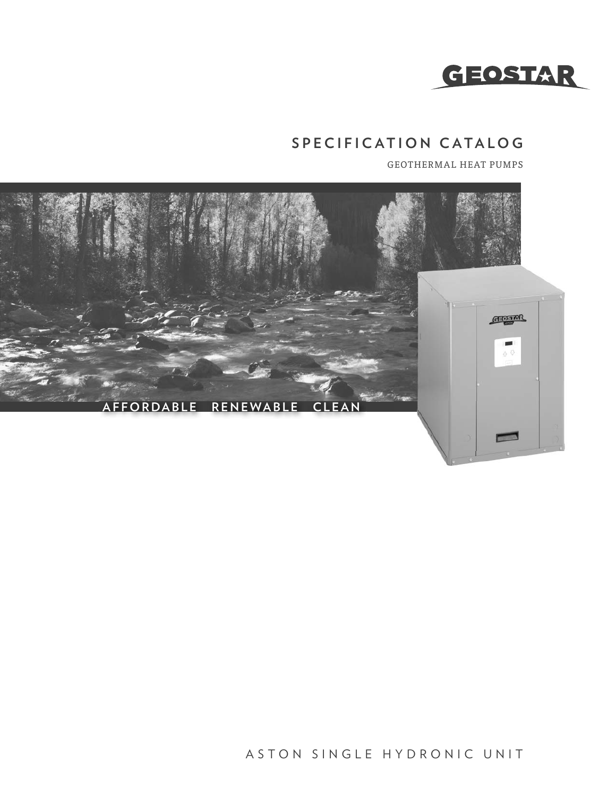

# **SPECIFICATION CATALOG**

GEOTHERMAL HEAT PUMPS



ASTON SINGLE HYDRONIC UNIT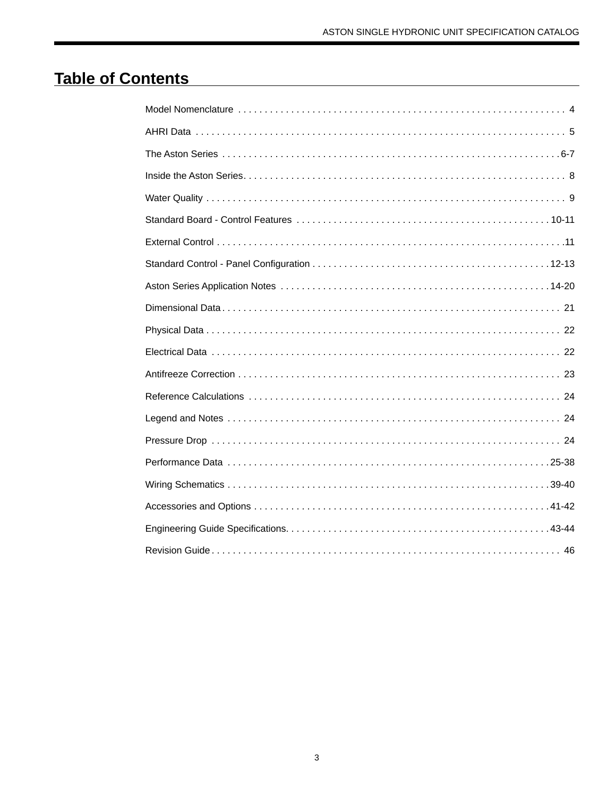# **Table of Contents**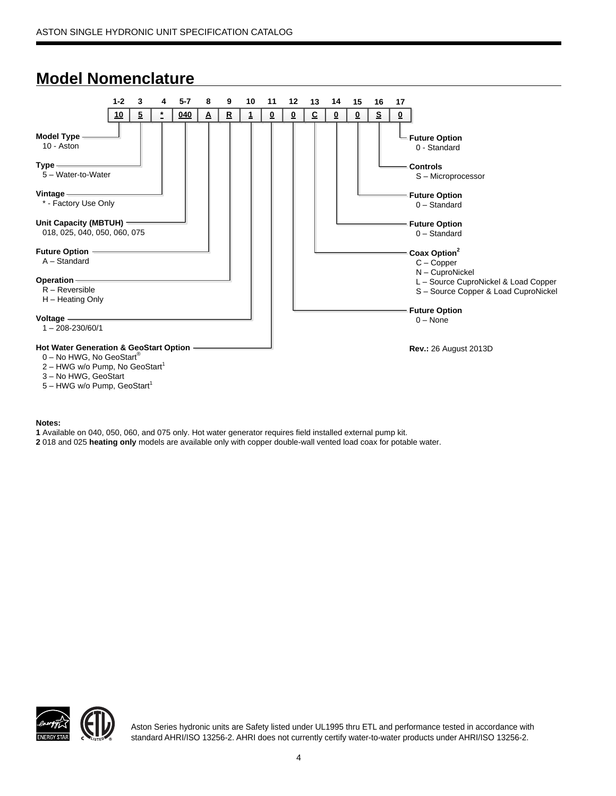# **Model Nomenclature**



#### **Notes:**

5 – HWG w/o Pump, GeoStart<sup>1</sup>

**1** Available on 040, 050, 060, and 075 only. Hot water generator requires field installed external pump kit.

**2** 018 and 025 **heating only** models are available only with copper double-wall vented load coax for potable water.



Aston Series hydronic units are Safety listed under UL1995 thru ETL and performance tested in accordance with standard AHRI/ISO 13256-2. AHRI does not currently certify water-to-water products under AHRI/ISO 13256-2.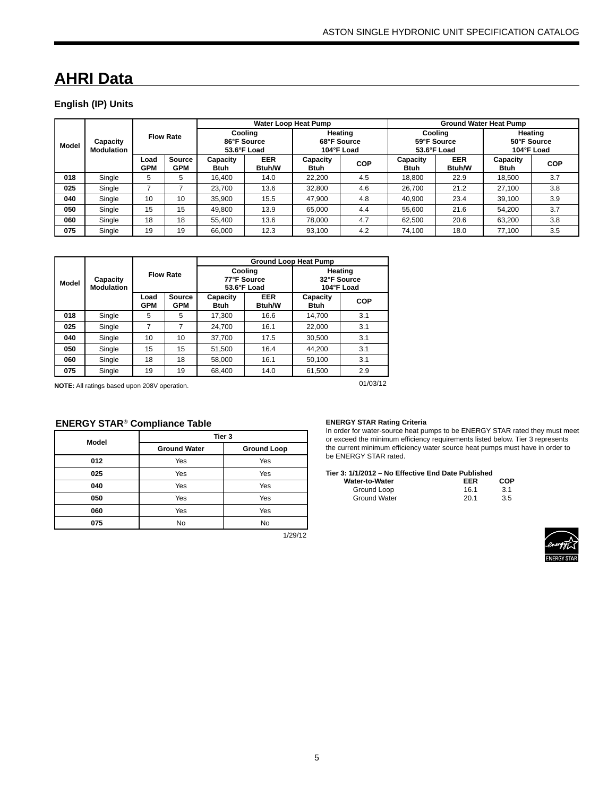# **AHRI Data**

### **English (IP) Units**

|              |                               |                    |                             |                                       |                             | Water Loop Heat Pump                 |            | <b>Ground Water Heat Pump</b> |                                       |                                      |            |  |
|--------------|-------------------------------|--------------------|-----------------------------|---------------------------------------|-----------------------------|--------------------------------------|------------|-------------------------------|---------------------------------------|--------------------------------------|------------|--|
| <b>Model</b> | Capacity<br><b>Modulation</b> |                    | <b>Flow Rate</b>            | Cooling<br>86°F Source<br>53.6°F Load |                             | Heating<br>68°F Source<br>104°F Load |            |                               | Cooling<br>59°F Source<br>53.6°F Load | Heating<br>50°F Source<br>104°F Load |            |  |
|              |                               | Load<br><b>GPM</b> | <b>Source</b><br><b>GPM</b> | Capacity<br><b>Btuh</b>               | <b>EER</b><br><b>Btuh/W</b> | Capacity<br>Btuh                     | <b>COP</b> | Capacity<br><b>Btuh</b>       | <b>EER</b><br><b>Btuh/W</b>           | Capacity<br>Btuh                     | <b>COP</b> |  |
| 018          | Single                        | 5                  | 5                           | 16,400                                | 14.0                        | 22,200                               | 4.5        | 18.800                        | 22.9                                  | 18,500                               | 3.7        |  |
| 025          | Single                        |                    |                             | 23,700                                | 13.6                        | 32,800                               | 4.6        | 26,700                        | 21.2                                  | 27,100                               | 3.8        |  |
| 040          | Single                        | 10                 | 10                          | 35.900                                | 15.5                        | 47,900                               | 4.8        | 40.900                        | 23.4                                  | 39.100                               | 3.9        |  |
| 050          | Single                        | 15                 | 15                          | 49.800                                | 13.9                        | 65,000                               | 4.4        | 55.600                        | 21.6                                  | 54.200                               | 3.7        |  |
| 060          | Single                        | 18                 | 18                          | 55.400                                | 13.6                        | 78.000                               | 4.7        | 62,500                        | 20.6                                  | 63.200                               | 3.8        |  |
| 075          | Single                        | 19                 | 19                          | 66.000                                | 12.3                        | 93.100                               | 4.2        | 74.100                        | 18.0                                  | 77.100                               | 3.5        |  |

|       |                               |                    |                      |                                                        |                                       | <b>Ground Loop Heat Pump</b>         |            |  |
|-------|-------------------------------|--------------------|----------------------|--------------------------------------------------------|---------------------------------------|--------------------------------------|------------|--|
| Model | Capacity<br><b>Modulation</b> |                    | <b>Flow Rate</b>     |                                                        | Cooling<br>77°F Source<br>53.6°F Load | Heating<br>32°F Source<br>104°F Load |            |  |
|       |                               | Load<br><b>GPM</b> | Source<br><b>GPM</b> | <b>EER</b><br>Capacity<br><b>Btuh/W</b><br><b>Btuh</b> |                                       | Capacity<br><b>Btuh</b>              | <b>COP</b> |  |
| 018   | Single                        | 5                  | 5                    | 17,300                                                 | 16.6                                  | 14.700                               | 3.1        |  |
| 025   | Single                        | 7                  | 7                    | 24.700                                                 | 16.1                                  | 22.000                               | 3.1        |  |
| 040   | Single                        | 10                 | 10                   | 37.700                                                 | 17.5                                  | 30.500                               | 3.1        |  |
| 050   | Single                        | 15                 | 15                   | 51.500                                                 | 16.4                                  | 44,200                               | 3.1        |  |
| 060   | Single                        | 18                 | 18                   | 58.000                                                 | 16.1                                  | 50,100                               | 3.1        |  |
| 075   | Single                        | 19                 | 19                   | 68.400                                                 | 14.0                                  | 61.500                               | 2.9        |  |

**NOTE:** All ratings based upon 208V operation.

01/03/12

### **ENERGY STAR® Compliance Table**

| Model |                     | Tier 3             |
|-------|---------------------|--------------------|
|       | <b>Ground Water</b> | <b>Ground Loop</b> |
| 012   | Yes                 | Yes                |
| 025   | Yes                 | Yes                |
| 040   | Yes                 | Yes                |
| 050   | Yes                 | Yes                |
| 060   | Yes                 | Yes                |
| 075   | No                  | No                 |

1/29/12

### **ENERGY STAR Rating Criteria**

In order for water-source heat pumps to be ENERGY STAR rated they must meet or exceed the minimum efficiency requirements listed below. Tier 3 represents the current minimum efficiency water source heat pumps must have in order to be ENERGY STAR rated.

#### **Tier 3: 1/1/2012 – No Effective End Date Published**

| Water-to-Water      | EER  | COP |
|---------------------|------|-----|
| Ground Loop         | 161  | 3.1 |
| <b>Ground Water</b> | 20.1 | 3.5 |

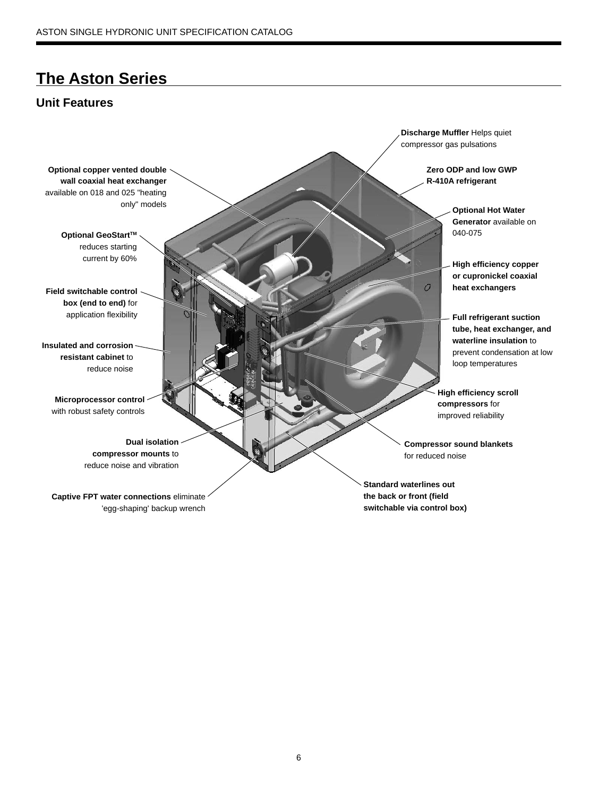# **The Aston Series**

# **Unit Features**

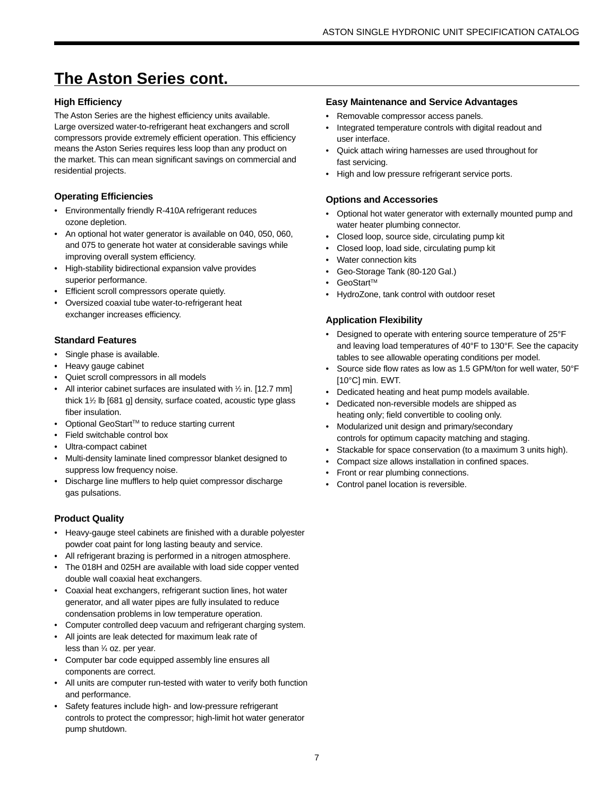# **The Aston Series cont.**

### **High Efficiency**

The Aston Series are the highest efficiency units available. Large oversized water-to-refrigerant heat exchangers and scroll compressors provide extremely efficient operation. This efficiency means the Aston Series requires less loop than any product on the market. This can mean significant savings on commercial and residential projects.

### **Operating Efficiencies**

- Environmentally friendly R-410A refrigerant reduces ozone depletion.
- An optional hot water generator is available on 040, 050, 060, and 075 to generate hot water at considerable savings while improving overall system efficiency.
- High-stability bidirectional expansion valve provides superior performance.
- Efficient scroll compressors operate quietly.
- Oversized coaxial tube water-to-refrigerant heat exchanger increases efficiency.

### **Standard Features**

- Single phase is available.
- Heavy gauge cabinet
- Quiet scroll compressors in all models
- All interior cabinet surfaces are insulated with 1/2 in. [12.7 mm] thick 11 ⁄2 lb [681 g] density, surface coated, acoustic type glass fiber insulation.
- Optional GeoStart™ to reduce starting current
- Field switchable control box
- Ultra-compact cabinet
- Multi-density laminate lined compressor blanket designed to suppress low frequency noise.
- Discharge line mufflers to help quiet compressor discharge gas pulsations.

### **Product Quality**

- Heavy-gauge steel cabinets are finished with a durable polyester powder coat paint for long lasting beauty and service.
- All refrigerant brazing is performed in a nitrogen atmosphere.
- The 018H and 025H are available with load side copper vented double wall coaxial heat exchangers.
- Coaxial heat exchangers, refrigerant suction lines, hot water generator, and all water pipes are fully insulated to reduce condensation problems in low temperature operation.
- Computer controlled deep vacuum and refrigerant charging system.
- All joints are leak detected for maximum leak rate of less than 1 ⁄4 oz. per year.
- Computer bar code equipped assembly line ensures all components are correct.
- All units are computer run-tested with water to verify both function and performance.
- Safety features include high- and low-pressure refrigerant controls to protect the compressor; high-limit hot water generator pump shutdown.

### **Easy Maintenance and Service Advantages**

- Removable compressor access panels.
- Integrated temperature controls with digital readout and user interface.
- Quick attach wiring harnesses are used throughout for fast servicing.
- High and low pressure refrigerant service ports.

### **Options and Accessories**

- Optional hot water generator with externally mounted pump and water heater plumbing connector.
- Closed loop, source side, circulating pump kit
- Closed loop, load side, circulating pump kit
- Water connection kits
- Geo-Storage Tank (80-120 Gal.)
- GeoStart™
- HydroZone, tank control with outdoor reset

### **Application Flexibility**

- Designed to operate with entering source temperature of 25°F and leaving load temperatures of 40°F to 130°F. See the capacity tables to see allowable operating conditions per model.
- Source side flow rates as low as 1.5 GPM/ton for well water, 50°F [10°C] min. EWT.
- Dedicated heating and heat pump models available.
- Dedicated non-reversible models are shipped as heating only; field convertible to cooling only.
- Modularized unit design and primary/secondary controls for optimum capacity matching and staging.
- Stackable for space conservation (to a maximum 3 units high).
- Compact size allows installation in confined spaces.
- Front or rear plumbing connections.
- Control panel location is reversible.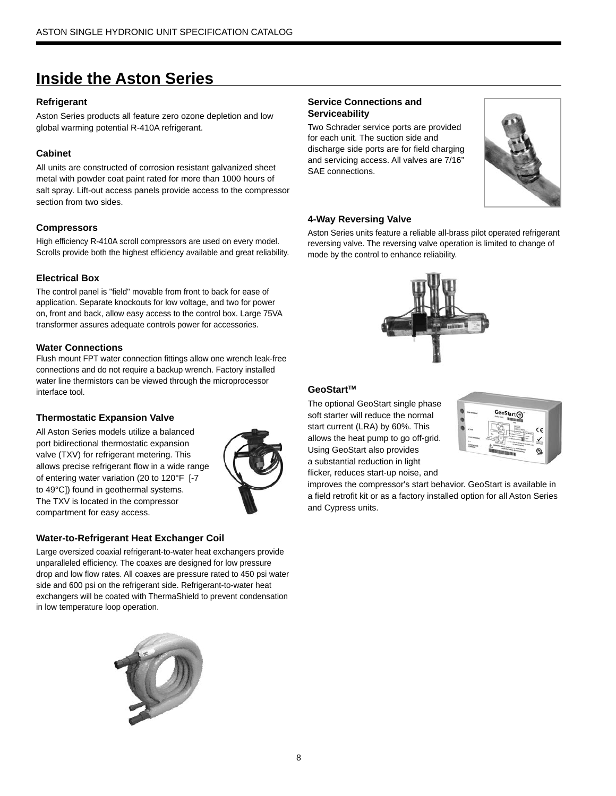# **Inside the Aston Series**

### **Refrigerant**

Aston Series products all feature zero ozone depletion and low global warming potential R-410A refrigerant.

### **Cabinet**

All units are constructed of corrosion resistant galvanized sheet metal with powder coat paint rated for more than 1000 hours of salt spray. Lift-out access panels provide access to the compressor section from two sides.

### **Compressors**

High efficiency R-410A scroll compressors are used on every model. Scrolls provide both the highest efficiency available and great reliability.

### **Electrical Box**

The control panel is "field" movable from front to back for ease of application. Separate knockouts for low voltage, and two for power on, front and back, allow easy access to the control box. Large 75VA transformer assures adequate controls power for accessories.

### **Water Connections**

Flush mount FPT water connection fittings allow one wrench leak-free connections and do not require a backup wrench. Factory installed water line thermistors can be viewed through the microprocessor interface tool.

### **Thermostatic Expansion Valve**

All Aston Series models utilize a balanced port bidirectional thermostatic expansion valve (TXV) for refrigerant metering. This allows precise refrigerant flow in a wide range of entering water variation (20 to 120°F [-7 to 49°C]) found in geothermal systems. The TXV is located in the compressor compartment for easy access.



# **Water-to-Refrigerant Heat Exchanger Coil**

Large oversized coaxial refrigerant-to-water heat exchangers provide unparalleled efficiency. The coaxes are designed for low pressure drop and low flow rates. All coaxes are pressure rated to 450 psi water side and 600 psi on the refrigerant side. Refrigerant-to-water heat exchangers will be coated with ThermaShield to prevent condensation in low temperature loop operation.



### **Service Connections and Serviceability**

Two Schrader service ports are provided for each unit. The suction side and discharge side ports are for field charging and servicing access. All valves are 7/16" SAE connections.



### **4-Way Reversing Valve**

Aston Series units feature a reliable all-brass pilot operated refrigerant reversing valve. The reversing valve operation is limited to change of mode by the control to enhance reliability.



### GeoStart<sup>™</sup>

The optional GeoStart single phase soft starter will reduce the normal start current (LRA) by 60%. This allows the heat pump to go off-grid. Using GeoStart also provides a substantial reduction in light flicker, reduces start-up noise, and



improves the compressor's start behavior. GeoStart is available in a field retrofit kit or as a factory installed option for all Aston Series and Cypress units.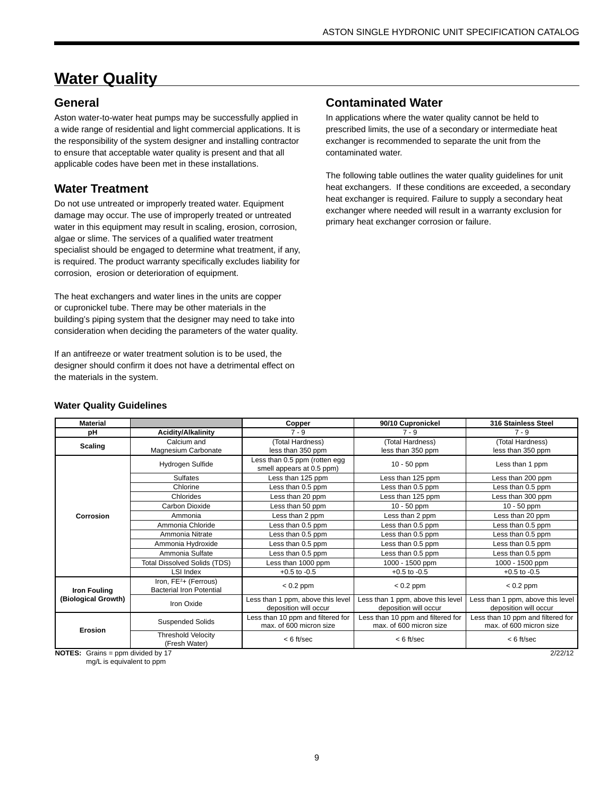# **Water Quality**

# **General**

Aston water-to-water heat pumps may be successfully applied in a wide range of residential and light commercial applications. It is the responsibility of the system designer and installing contractor to ensure that acceptable water quality is present and that all applicable codes have been met in these installations.

# **Water Treatment**

Do not use untreated or improperly treated water. Equipment damage may occur. The use of improperly treated or untreated water in this equipment may result in scaling, erosion, corrosion, algae or slime. The services of a qualified water treatment specialist should be engaged to determine what treatment, if any, is required. The product warranty specifically excludes liability for corrosion, erosion or deterioration of equipment.

The heat exchangers and water lines in the units are copper or cupronickel tube. There may be other materials in the building's piping system that the designer may need to take into consideration when deciding the parameters of the water quality.

If an antifreeze or water treatment solution is to be used, the designer should confirm it does not have a detrimental effect on the materials in the system.

# **Contaminated Water**

In applications where the water quality cannot be held to prescribed limits, the use of a secondary or intermediate heat exchanger is recommended to separate the unit from the contaminated water.

The following table outlines the water quality guidelines for unit heat exchangers. If these conditions are exceeded, a secondary heat exchanger is required. Failure to supply a secondary heat exchanger where needed will result in a warranty exclusion for primary heat exchanger corrosion or failure.

| <b>Material</b>                    |                                                                      | 90/10 Cupronickel<br>Copper<br>$7 - 9$<br>$7 - 9$<br>(Total Hardness)<br>(Total Hardness)<br>less than 350 ppm<br>less than 350 ppm<br>Less than 0.5 ppm (rotten egg<br>10 - 50 ppm<br>smell appears at 0.5 ppm)<br>Less than 125 ppm<br>Less than 125 ppm<br>Less than 0.5 ppm<br>Less than 0.5 ppm<br>Less than 20 ppm<br>Less than 125 ppm<br>Less than 50 ppm<br>$10 - 50$ ppm<br>Less than 2 ppm<br>Less than 2 ppm<br>Less than 0.5 ppm<br>Less than 0.5 ppm<br>Less than 0.5 ppm<br>Less than 0.5 ppm<br>Less than 0.5 ppm<br>Less than 0.5 ppm<br>Less than 0.5 ppm<br>Less than 0.5 ppm<br>Less than 1000 ppm<br>1000 - 1500 ppm<br>$+0.5$ to $-0.5$<br>$+0.5$ to $-0.5$<br>$< 0.2$ ppm<br>$< 0.2$ ppm<br>Less than 1 ppm, above this level<br>deposition will occur<br>deposition will occur |                                                              | 316 Stainless Steel                                          |  |
|------------------------------------|----------------------------------------------------------------------|--------------------------------------------------------------------------------------------------------------------------------------------------------------------------------------------------------------------------------------------------------------------------------------------------------------------------------------------------------------------------------------------------------------------------------------------------------------------------------------------------------------------------------------------------------------------------------------------------------------------------------------------------------------------------------------------------------------------------------------------------------------------------------------------------------|--------------------------------------------------------------|--------------------------------------------------------------|--|
| рH                                 | <b>Acidity/Alkalinity</b>                                            |                                                                                                                                                                                                                                                                                                                                                                                                                                                                                                                                                                                                                                                                                                                                                                                                        |                                                              | $7 - 9$                                                      |  |
| <b>Scaling</b>                     | Calcium and                                                          |                                                                                                                                                                                                                                                                                                                                                                                                                                                                                                                                                                                                                                                                                                                                                                                                        |                                                              | (Total Hardness)                                             |  |
|                                    | Magnesium Carbonate                                                  |                                                                                                                                                                                                                                                                                                                                                                                                                                                                                                                                                                                                                                                                                                                                                                                                        |                                                              | less than 350 ppm                                            |  |
|                                    | Hydrogen Sulfide                                                     |                                                                                                                                                                                                                                                                                                                                                                                                                                                                                                                                                                                                                                                                                                                                                                                                        |                                                              | Less than 1 ppm                                              |  |
|                                    | <b>Sulfates</b>                                                      |                                                                                                                                                                                                                                                                                                                                                                                                                                                                                                                                                                                                                                                                                                                                                                                                        |                                                              | Less than 200 ppm                                            |  |
|                                    | Chlorine                                                             |                                                                                                                                                                                                                                                                                                                                                                                                                                                                                                                                                                                                                                                                                                                                                                                                        |                                                              | Less than 0.5 ppm                                            |  |
|                                    | Chlorides                                                            |                                                                                                                                                                                                                                                                                                                                                                                                                                                                                                                                                                                                                                                                                                                                                                                                        |                                                              | Less than 300 ppm                                            |  |
|                                    | Carbon Dioxide                                                       |                                                                                                                                                                                                                                                                                                                                                                                                                                                                                                                                                                                                                                                                                                                                                                                                        |                                                              | $10 - 50$ ppm                                                |  |
| Corrosion                          | Ammonia                                                              |                                                                                                                                                                                                                                                                                                                                                                                                                                                                                                                                                                                                                                                                                                                                                                                                        |                                                              | Less than 20 ppm                                             |  |
|                                    | Ammonia Chloride                                                     |                                                                                                                                                                                                                                                                                                                                                                                                                                                                                                                                                                                                                                                                                                                                                                                                        |                                                              | Less than 0.5 ppm                                            |  |
|                                    | Ammonia Nitrate                                                      |                                                                                                                                                                                                                                                                                                                                                                                                                                                                                                                                                                                                                                                                                                                                                                                                        |                                                              | Less than 0.5 ppm                                            |  |
|                                    | Ammonia Hydroxide                                                    |                                                                                                                                                                                                                                                                                                                                                                                                                                                                                                                                                                                                                                                                                                                                                                                                        |                                                              | Less than 0.5 ppm                                            |  |
|                                    | Ammonia Sulfate                                                      |                                                                                                                                                                                                                                                                                                                                                                                                                                                                                                                                                                                                                                                                                                                                                                                                        |                                                              | Less than 0.5 ppm                                            |  |
|                                    | <b>Total Dissolved Solids (TDS)</b>                                  |                                                                                                                                                                                                                                                                                                                                                                                                                                                                                                                                                                                                                                                                                                                                                                                                        |                                                              | 1000 - 1500 ppm                                              |  |
|                                    | LSI Index                                                            |                                                                                                                                                                                                                                                                                                                                                                                                                                                                                                                                                                                                                                                                                                                                                                                                        |                                                              | $+0.5$ to $-0.5$                                             |  |
| <b>Iron Fouling</b>                | Iron, FE <sup>2</sup> + (Ferrous)<br><b>Bacterial Iron Potential</b> |                                                                                                                                                                                                                                                                                                                                                                                                                                                                                                                                                                                                                                                                                                                                                                                                        |                                                              | $< 0.2$ ppm                                                  |  |
| (Biological Growth)                | Iron Oxide                                                           | Less than 1 ppm, above this level                                                                                                                                                                                                                                                                                                                                                                                                                                                                                                                                                                                                                                                                                                                                                                      |                                                              | Less than 1 ppm, above this level<br>deposition will occur   |  |
| Erosion                            | <b>Suspended Solids</b>                                              | Less than 10 ppm and filtered for<br>max. of 600 micron size                                                                                                                                                                                                                                                                                                                                                                                                                                                                                                                                                                                                                                                                                                                                           | Less than 10 ppm and filtered for<br>max. of 600 micron size | Less than 10 ppm and filtered for<br>max. of 600 micron size |  |
|                                    | <b>Threshold Velocity</b><br>(Fresh Water)                           | $< 6$ ft/sec                                                                                                                                                                                                                                                                                                                                                                                                                                                                                                                                                                                                                                                                                                                                                                                           | $< 6$ ft/sec                                                 | $< 6$ ft/sec                                                 |  |
| $NOTES$ Grains – nnm divided by 17 |                                                                      |                                                                                                                                                                                                                                                                                                                                                                                                                                                                                                                                                                                                                                                                                                                                                                                                        |                                                              | 2/22/12                                                      |  |

#### **Water Quality Guidelines**

**NOTES:** Grains = ppm divided by 17

mg/L is equivalent to ppm

2/22/12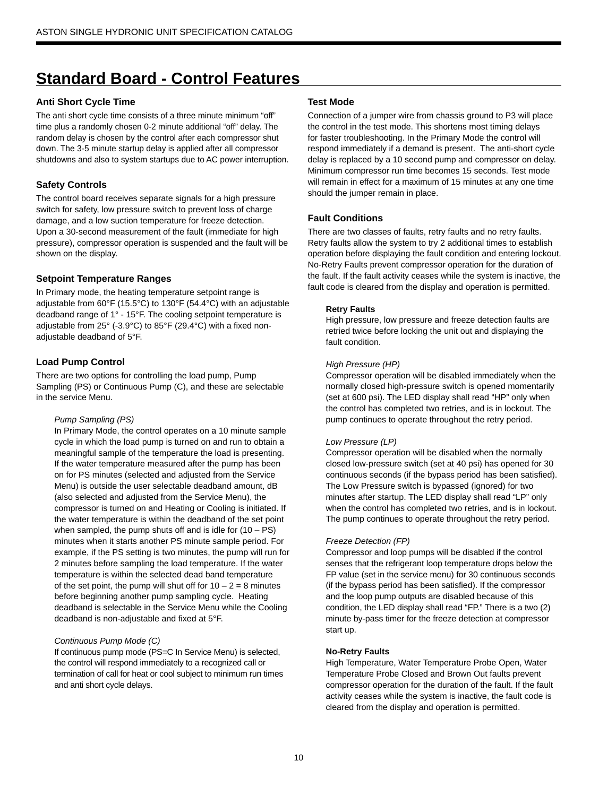# **Standard Board - Control Features**

### **Anti Short Cycle Time**

The anti short cycle time consists of a three minute minimum "off" time plus a randomly chosen 0-2 minute additional "off" delay. The random delay is chosen by the control after each compressor shut down. The 3-5 minute startup delay is applied after all compressor shutdowns and also to system startups due to AC power interruption.

### **Safety Controls**

The control board receives separate signals for a high pressure switch for safety, low pressure switch to prevent loss of charge damage, and a low suction temperature for freeze detection. Upon a 30-second measurement of the fault (immediate for high pressure), compressor operation is suspended and the fault will be shown on the display.

### **Setpoint Temperature Ranges**

In Primary mode, the heating temperature setpoint range is adjustable from 60°F (15.5°C) to 130°F (54.4°C) with an adjustable deadband range of 1° - 15°F. The cooling setpoint temperature is adjustable from 25° (-3.9°C) to 85°F (29.4°C) with a fixed nonadjustable deadband of 5°F.

### **Load Pump Control**

There are two options for controlling the load pump, Pump Sampling (PS) or Continuous Pump (C), and these are selectable in the service Menu.

#### *Pump Sampling (PS)*

In Primary Mode, the control operates on a 10 minute sample cycle in which the load pump is turned on and run to obtain a meaningful sample of the temperature the load is presenting. If the water temperature measured after the pump has been on for PS minutes (selected and adjusted from the Service Menu) is outside the user selectable deadband amount, dB (also selected and adjusted from the Service Menu), the compressor is turned on and Heating or Cooling is initiated. If the water temperature is within the deadband of the set point when sampled, the pump shuts off and is idle for  $(10 - PS)$ minutes when it starts another PS minute sample period. For example, if the PS setting is two minutes, the pump will run for 2 minutes before sampling the load temperature. If the water temperature is within the selected dead band temperature of the set point, the pump will shut off for  $10 - 2 = 8$  minutes before beginning another pump sampling cycle. Heating deadband is selectable in the Service Menu while the Cooling deadband is non-adjustable and fixed at 5°F.

#### *Continuous Pump Mode (C)*

If continuous pump mode (PS=C In Service Menu) is selected, the control will respond immediately to a recognized call or termination of call for heat or cool subject to minimum run times and anti short cycle delays.

#### **Test Mode**

Connection of a jumper wire from chassis ground to P3 will place the control in the test mode. This shortens most timing delays for faster troubleshooting. In the Primary Mode the control will respond immediately if a demand is present. The anti-short cycle delay is replaced by a 10 second pump and compressor on delay. Minimum compressor run time becomes 15 seconds. Test mode will remain in effect for a maximum of 15 minutes at any one time should the jumper remain in place.

#### **Fault Conditions**

There are two classes of faults, retry faults and no retry faults. Retry faults allow the system to try 2 additional times to establish operation before displaying the fault condition and entering lockout. No-Retry Faults prevent compressor operation for the duration of the fault. If the fault activity ceases while the system is inactive, the fault code is cleared from the display and operation is permitted.

#### **Retry Faults**

High pressure, low pressure and freeze detection faults are retried twice before locking the unit out and displaying the fault condition.

#### *High Pressure (HP)*

Compressor operation will be disabled immediately when the normally closed high-pressure switch is opened momentarily (set at 600 psi). The LED display shall read "HP" only when the control has completed two retries, and is in lockout. The pump continues to operate throughout the retry period.

#### *Low Pressure (LP)*

Compressor operation will be disabled when the normally closed low-pressure switch (set at 40 psi) has opened for 30 continuous seconds (if the bypass period has been satisfied). The Low Pressure switch is bypassed (ignored) for two minutes after startup. The LED display shall read "LP" only when the control has completed two retries, and is in lockout. The pump continues to operate throughout the retry period.

#### *Freeze Detection (FP)*

Compressor and loop pumps will be disabled if the control senses that the refrigerant loop temperature drops below the FP value (set in the service menu) for 30 continuous seconds (if the bypass period has been satisfied). If the compressor and the loop pump outputs are disabled because of this condition, the LED display shall read "FP." There is a two (2) minute by-pass timer for the freeze detection at compressor start up.

#### **No-Retry Faults**

High Temperature, Water Temperature Probe Open, Water Temperature Probe Closed and Brown Out faults prevent compressor operation for the duration of the fault. If the fault activity ceases while the system is inactive, the fault code is cleared from the display and operation is permitted.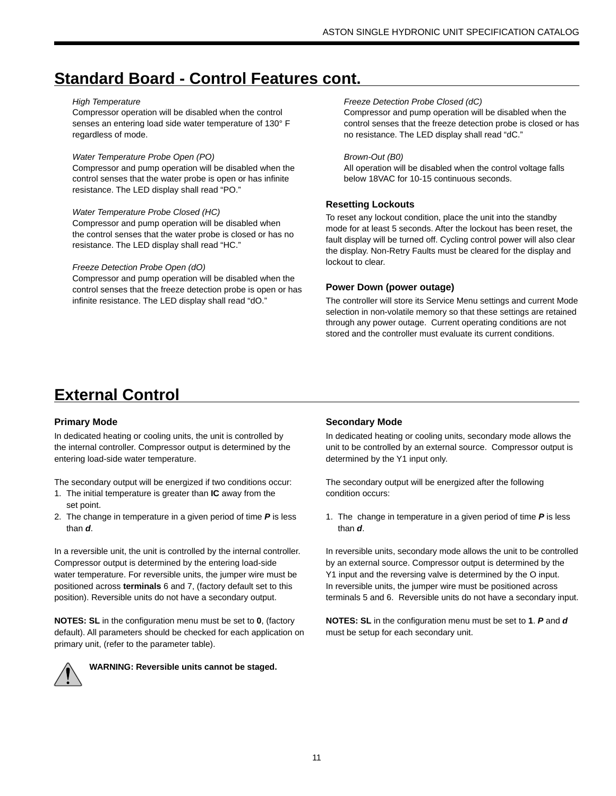# **Standard Board - Control Features cont.**

#### *High Temperature*

Compressor operation will be disabled when the control senses an entering load side water temperature of 130° F regardless of mode.

#### *Water Temperature Probe Open (PO)*

Compressor and pump operation will be disabled when the control senses that the water probe is open or has infinite resistance. The LED display shall read "PO."

*Water Temperature Probe Closed (HC)* Compressor and pump operation will be disabled when the control senses that the water probe is closed or has no resistance. The LED display shall read "HC."

#### *Freeze Detection Probe Open (dO)*

Compressor and pump operation will be disabled when the control senses that the freeze detection probe is open or has infinite resistance. The LED display shall read "dO."

#### *Freeze Detection Probe Closed (dC)*

Compressor and pump operation will be disabled when the control senses that the freeze detection probe is closed or has no resistance. The LED display shall read "dC."

#### *Brown-Out (B0)*

All operation will be disabled when the control voltage falls below 18VAC for 10-15 continuous seconds.

### **Resetting Lockouts**

To reset any lockout condition, place the unit into the standby mode for at least 5 seconds. After the lockout has been reset, the fault display will be turned off. Cycling control power will also clear the display. Non-Retry Faults must be cleared for the display and lockout to clear.

### **Power Down (power outage)**

The controller will store its Service Menu settings and current Mode selection in non-volatile memory so that these settings are retained through any power outage. Current operating conditions are not stored and the controller must evaluate its current conditions.

# **External Control**

### **Primary Mode**

In dedicated heating or cooling units, the unit is controlled by the internal controller. Compressor output is determined by the entering load-side water temperature.

The secondary output will be energized if two conditions occur:

- 1. The initial temperature is greater than **IC** away from the set point.
- 2. The change in temperature in a given period of time *P* is less than *d*.

In a reversible unit, the unit is controlled by the internal controller. Compressor output is determined by the entering load-side water temperature. For reversible units, the jumper wire must be positioned across **terminals** 6 and 7, (factory default set to this position). Reversible units do not have a secondary output.

**NOTES: SL** in the configuration menu must be set to **0**, (factory default). All parameters should be checked for each application on primary unit, (refer to the parameter table).



**WARNING: Reversible units cannot be staged.**

### **Secondary Mode**

In dedicated heating or cooling units, secondary mode allows the unit to be controlled by an external source. Compressor output is determined by the Y1 input only.

The secondary output will be energized after the following condition occurs:

1. The change in temperature in a given period of time *P* is less than *d*.

In reversible units, secondary mode allows the unit to be controlled by an external source. Compressor output is determined by the Y1 input and the reversing valve is determined by the O input. In reversible units, the jumper wire must be positioned across terminals 5 and 6. Reversible units do not have a secondary input.

**NOTES: SL** in the configuration menu must be set to **1**. *P* and *d* must be setup for each secondary unit.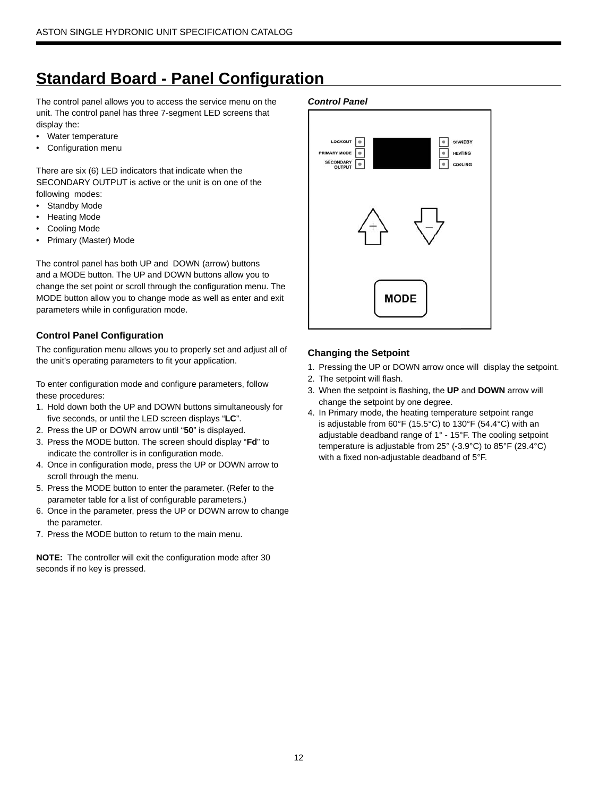# **Standard Board - Panel Configuration**

The control panel allows you to access the service menu on the unit. The control panel has three 7-segment LED screens that display the:

- Water temperature
- Configuration menu

There are six (6) LED indicators that indicate when the SECONDARY OUTPUT is active or the unit is on one of the following modes:

- Standby Mode
- Heating Mode
- Cooling Mode
- Primary (Master) Mode

The control panel has both UP and DOWN (arrow) buttons and a MODE button. The UP and DOWN buttons allow you to change the set point or scroll through the configuration menu. The MODE button allow you to change mode as well as enter and exit parameters while in configuration mode.

### **Control Panel Configuration**

The configuration menu allows you to properly set and adjust all of the unit's operating parameters to fit your application.

To enter configuration mode and configure parameters, follow these procedures:

- 1. Hold down both the UP and DOWN buttons simultaneously for five seconds, or until the LED screen displays "**LC**".
- 2. Press the UP or DOWN arrow until "**50**" is displayed.
- 3. Press the MODE button. The screen should display "**Fd**" to indicate the controller is in configuration mode.
- 4. Once in configuration mode, press the UP or DOWN arrow to scroll through the menu.
- 5. Press the MODE button to enter the parameter. (Refer to the parameter table for a list of configurable parameters.)
- 6. Once in the parameter, press the UP or DOWN arrow to change the parameter.
- 7. Press the MODE button to return to the main menu.

**NOTE:** The controller will exit the configuration mode after 30 seconds if no key is pressed.

#### *Control Panel*



### **Changing the Setpoint**

- 1. Pressing the UP or DOWN arrow once will display the setpoint.
- 2. The setpoint will flash.
- 3. When the setpoint is flashing, the **UP** and **DOWN** arrow will change the setpoint by one degree.
- 4. In Primary mode, the heating temperature setpoint range is adjustable from 60°F (15.5°C) to 130°F (54.4°C) with an adjustable deadband range of 1° - 15°F. The cooling setpoint temperature is adjustable from 25° (-3.9°C) to 85°F (29.4°C) with a fixed non-adjustable deadband of 5°F.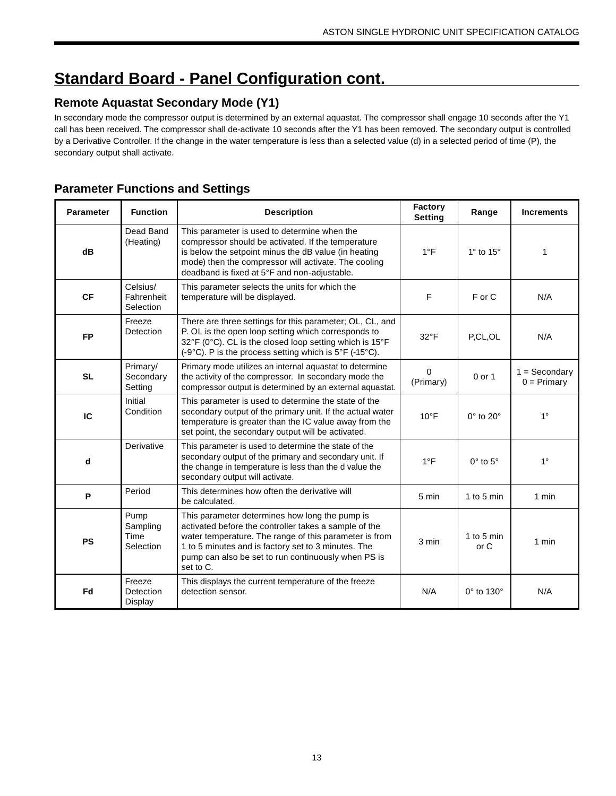# **Standard Board - Panel Configuration cont.**

# **Remote Aquastat Secondary Mode (Y1)**

In secondary mode the compressor output is determined by an external aquastat. The compressor shall engage 10 seconds after the Y1 call has been received. The compressor shall de-activate 10 seconds after the Y1 has been removed. The secondary output is controlled by a Derivative Controller. If the change in the water temperature is less than a selected value (d) in a selected period of time (P), the secondary output shall activate.

# **Parameter Functions and Settings**

| <b>Parameter</b> | <b>Function</b>                       | <b>Description</b>                                                                                                                                                                                                                                                                           | Factory<br><b>Setting</b> | Range                   | <b>Increments</b>                |
|------------------|---------------------------------------|----------------------------------------------------------------------------------------------------------------------------------------------------------------------------------------------------------------------------------------------------------------------------------------------|---------------------------|-------------------------|----------------------------------|
| dB               | Dead Band<br>(Heating)                | This parameter is used to determine when the<br>compressor should be activated. If the temperature<br>is below the setpoint minus the dB value (in heating<br>mode) then the compressor will activate. The cooling<br>deadband is fixed at 5°F and non-adjustable.                           | $1^{\circ}F$              | $1^\circ$ to $15^\circ$ | 1                                |
| <b>CF</b>        | Celsius/<br>Fahrenheit<br>Selection   | This parameter selects the units for which the<br>temperature will be displayed.                                                                                                                                                                                                             | F                         | F or C                  | N/A                              |
| <b>FP</b>        | Freeze<br>Detection                   | There are three settings for this parameter; OL, CL, and<br>P. OL is the open loop setting which corresponds to<br>32°F (0°C). CL is the closed loop setting which is 15°F<br>(-9°C). P is the process setting which is 5°F (-15°C).                                                         | $32^{\circ}$ F            | P,CL,OL                 | N/A                              |
| <b>SL</b>        | Primary/<br>Secondary<br>Setting      | Primary mode utilizes an internal aquastat to determine<br>the activity of the compressor. In secondary mode the<br>compressor output is determined by an external aquastat.                                                                                                                 | $\mathbf 0$<br>(Primary)  | $0$ or $1$              | $1 =$ Secondary<br>$0 = Primary$ |
| IC               | Initial<br>Condition                  | This parameter is used to determine the state of the<br>secondary output of the primary unit. If the actual water<br>temperature is greater than the IC value away from the<br>set point, the secondary output will be activated.                                                            | $10^{\circ}$ F            | $0^\circ$ to $20^\circ$ | $1^{\circ}$                      |
| d                | Derivative                            | This parameter is used to determine the state of the<br>secondary output of the primary and secondary unit. If<br>the change in temperature is less than the d value the<br>secondary output will activate.                                                                                  | $1^{\circ}$ F             | $0^\circ$ to $5^\circ$  | $1^{\circ}$                      |
| $\mathsf P$      | Period                                | This determines how often the derivative will<br>be calculated.                                                                                                                                                                                                                              | 5 min                     | 1 to 5 min              | 1 min                            |
| <b>PS</b>        | Pump<br>Sampling<br>Time<br>Selection | This parameter determines how long the pump is<br>activated before the controller takes a sample of the<br>water temperature. The range of this parameter is from<br>1 to 5 minutes and is factory set to 3 minutes. The<br>pump can also be set to run continuously when PS is<br>set to C. | 3 min                     | 1 to 5 min<br>or C      | 1 min                            |
| Fd               | Freeze<br>Detection<br>Display        | This displays the current temperature of the freeze<br>detection sensor.                                                                                                                                                                                                                     | N/A                       | 0° to 130°              | N/A                              |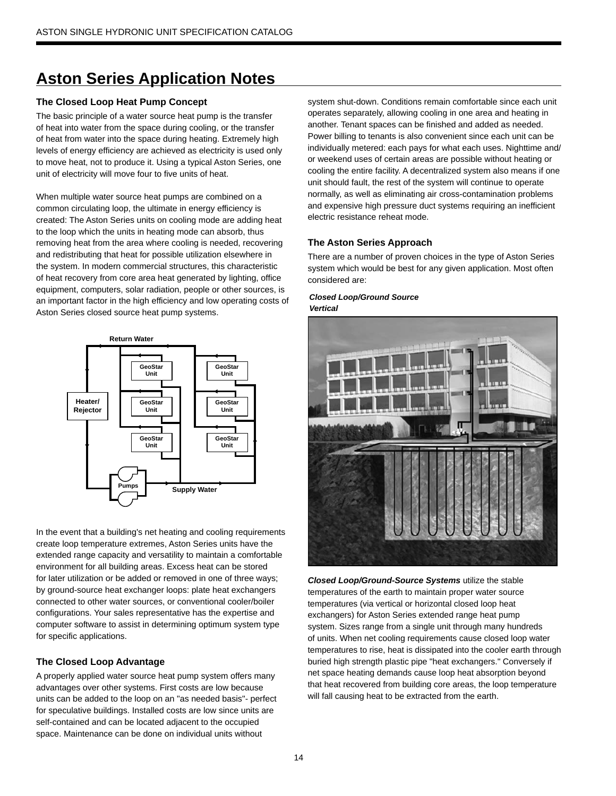### **The Closed Loop Heat Pump Concept**

The basic principle of a water source heat pump is the transfer of heat into water from the space during cooling, or the transfer of heat from water into the space during heating. Extremely high levels of energy efficiency are achieved as electricity is used only to move heat, not to produce it. Using a typical Aston Series, one unit of electricity will move four to five units of heat.

When multiple water source heat pumps are combined on a common circulating loop, the ultimate in energy efficiency is created: The Aston Series units on cooling mode are adding heat to the loop which the units in heating mode can absorb, thus removing heat from the area where cooling is needed, recovering and redistributing that heat for possible utilization elsewhere in the system. In modern commercial structures, this characteristic of heat recovery from core area heat generated by lighting, office equipment, computers, solar radiation, people or other sources, is an important factor in the high efficiency and low operating costs of Aston Series closed source heat pump systems.



In the event that a building's net heating and cooling requirements create loop temperature extremes, Aston Series units have the extended range capacity and versatility to maintain a comfortable environment for all building areas. Excess heat can be stored for later utilization or be added or removed in one of three ways; by ground-source heat exchanger loops: plate heat exchangers connected to other water sources, or conventional cooler/boiler configurations. Your sales representative has the expertise and computer software to assist in determining optimum system type for specific applications.

### **The Closed Loop Advantage**

A properly applied water source heat pump system offers many advantages over other systems. First costs are low because units can be added to the loop on an "as needed basis"- perfect for speculative buildings. Installed costs are low since units are self-contained and can be located adjacent to the occupied space. Maintenance can be done on individual units without

system shut-down. Conditions remain comfortable since each unit operates separately, allowing cooling in one area and heating in another. Tenant spaces can be finished and added as needed. Power billing to tenants is also convenient since each unit can be individually metered: each pays for what each uses. Nighttime and/ or weekend uses of certain areas are possible without heating or cooling the entire facility. A decentralized system also means if one unit should fault, the rest of the system will continue to operate normally, as well as eliminating air cross-contamination problems and expensive high pressure duct systems requiring an inefficient electric resistance reheat mode.

### **The Aston Series Approach**

There are a number of proven choices in the type of Aston Series system which would be best for any given application. Most often considered are:

#### *Closed Loop/Ground Source Vertical*



*Closed Loop/Ground-Source Systems* utilize the stable temperatures of the earth to maintain proper water source temperatures (via vertical or horizontal closed loop heat exchangers) for Aston Series extended range heat pump system. Sizes range from a single unit through many hundreds of units. When net cooling requirements cause closed loop water temperatures to rise, heat is dissipated into the cooler earth through buried high strength plastic pipe "heat exchangers." Conversely if net space heating demands cause loop heat absorption beyond that heat recovered from building core areas, the loop temperature will fall causing heat to be extracted from the earth.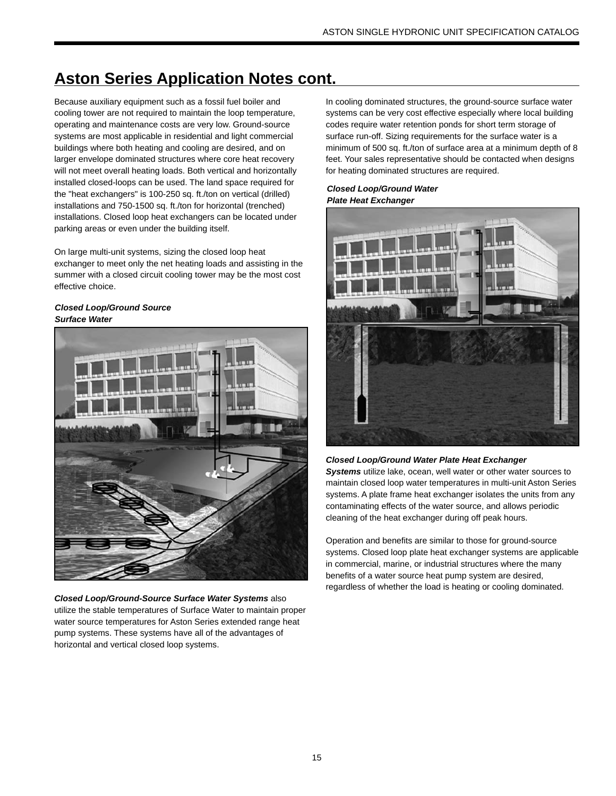Because auxiliary equipment such as a fossil fuel boiler and cooling tower are not required to maintain the loop temperature, operating and maintenance costs are very low. Ground-source systems are most applicable in residential and light commercial buildings where both heating and cooling are desired, and on larger envelope dominated structures where core heat recovery will not meet overall heating loads. Both vertical and horizontally installed closed-loops can be used. The land space required for the "heat exchangers" is 100-250 sq. ft./ton on vertical (drilled) installations and 750-1500 sq. ft./ton for horizontal (trenched) installations. Closed loop heat exchangers can be located under parking areas or even under the building itself.

On large multi-unit systems, sizing the closed loop heat exchanger to meet only the net heating loads and assisting in the summer with a closed circuit cooling tower may be the most cost effective choice.

#### *Closed Loop/Ground Source Surface Water*



*Closed Loop/Ground-Source Surface Water Systems* also utilize the stable temperatures of Surface Water to maintain proper water source temperatures for Aston Series extended range heat pump systems. These systems have all of the advantages of horizontal and vertical closed loop systems.

In cooling dominated structures, the ground-source surface water systems can be very cost effective especially where local building codes require water retention ponds for short term storage of surface run-off. Sizing requirements for the surface water is a minimum of 500 sq. ft./ton of surface area at a minimum depth of 8 feet. Your sales representative should be contacted when designs for heating dominated structures are required.

#### *Closed Loop/Ground Water Plate Heat Exchanger*



### *Closed Loop/Ground Water Plate Heat Exchanger*

*Systems* utilize lake, ocean, well water or other water sources to maintain closed loop water temperatures in multi-unit Aston Series systems. A plate frame heat exchanger isolates the units from any contaminating effects of the water source, and allows periodic cleaning of the heat exchanger during off peak hours.

Operation and benefits are similar to those for ground-source systems. Closed loop plate heat exchanger systems are applicable in commercial, marine, or industrial structures where the many benefits of a water source heat pump system are desired, regardless of whether the load is heating or cooling dominated.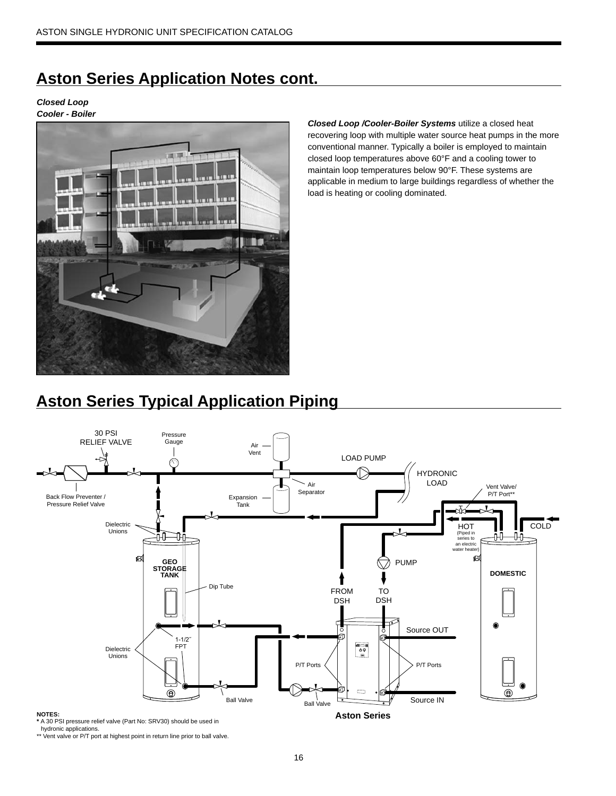*Closed Loop Cooler - Boiler*



*Closed Loop /Cooler-Boiler Systems* utilize a closed heat recovering loop with multiple water source heat pumps in the more conventional manner. Typically a boiler is employed to maintain closed loop temperatures above 60°F and a cooling tower to maintain loop temperatures below 90°F. These systems are applicable in medium to large buildings regardless of whether the load is heating or cooling dominated.

# **Aston Series Typical Application Piping**



hydronic applications. \*\* Vent valve or P/T port at highest point in return line prior to ball valve.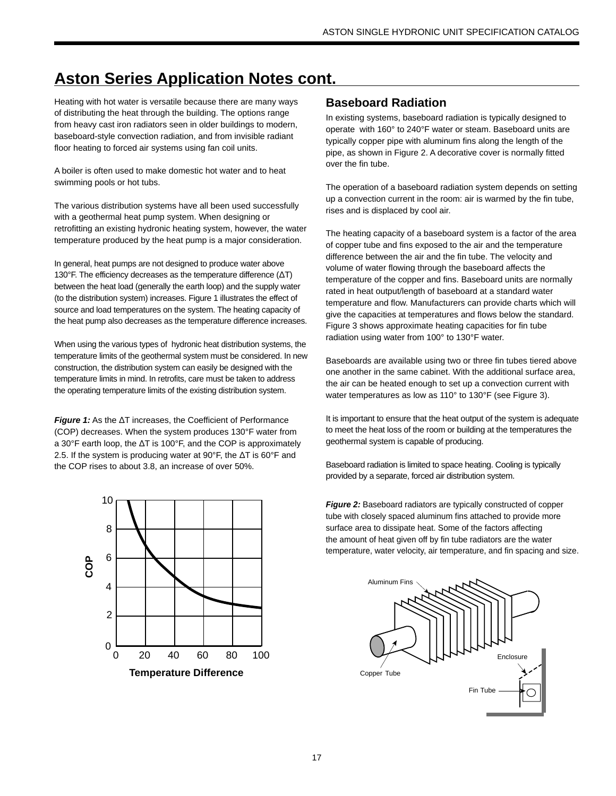Heating with hot water is versatile because there are many ways of distributing the heat through the building. The options range from heavy cast iron radiators seen in older buildings to modern, baseboard-style convection radiation, and from invisible radiant floor heating to forced air systems using fan coil units.

A boiler is often used to make domestic hot water and to heat swimming pools or hot tubs.

The various distribution systems have all been used successfully with a geothermal heat pump system. When designing or retrofitting an existing hydronic heating system, however, the water temperature produced by the heat pump is a major consideration.

In general, heat pumps are not designed to produce water above 130°F. The efficiency decreases as the temperature difference (ΔT) between the heat load (generally the earth loop) and the supply water (to the distribution system) increases. Figure 1 illustrates the effect of source and load temperatures on the system. The heating capacity of the heat pump also decreases as the temperature difference increases.

When using the various types of hydronic heat distribution systems, the temperature limits of the geothermal system must be considered. In new construction, the distribution system can easily be designed with the temperature limits in mind. In retrofits, care must be taken to address the operating temperature limits of the existing distribution system.

*Figure 1:* As the ΔT increases, the Coefficient of Performance (COP) decreases. When the system produces 130°F water from a 30°F earth loop, the ΔT is 100°F, and the COP is approximately 2.5. If the system is producing water at 90°F, the ΔT is 60°F and the COP rises to about 3.8, an increase of over 50%.



# **Baseboard Radiation**

In existing systems, baseboard radiation is typically designed to operate with 160° to 240°F water or steam. Baseboard units are typically copper pipe with aluminum fins along the length of the pipe, as shown in Figure 2. A decorative cover is normally fitted over the fin tube.

The operation of a baseboard radiation system depends on setting up a convection current in the room: air is warmed by the fin tube, rises and is displaced by cool air.

The heating capacity of a baseboard system is a factor of the area of copper tube and fins exposed to the air and the temperature difference between the air and the fin tube. The velocity and volume of water flowing through the baseboard affects the temperature of the copper and fins. Baseboard units are normally rated in heat output/length of baseboard at a standard water temperature and flow. Manufacturers can provide charts which will give the capacities at temperatures and flows below the standard. Figure 3 shows approximate heating capacities for fin tube radiation using water from 100° to 130°F water.

Baseboards are available using two or three fin tubes tiered above one another in the same cabinet. With the additional surface area, the air can be heated enough to set up a convection current with water temperatures as low as 110° to 130°F (see Figure 3).

It is important to ensure that the heat output of the system is adequate to meet the heat loss of the room or building at the temperatures the geothermal system is capable of producing.

Baseboard radiation is limited to space heating. Cooling is typically provided by a separate, forced air distribution system.

*Figure 2:* Baseboard radiators are typically constructed of copper tube with closely spaced aluminum fins attached to provide more surface area to dissipate heat. Some of the factors affecting the amount of heat given off by fin tube radiators are the water temperature, water velocity, air temperature, and fin spacing and size.

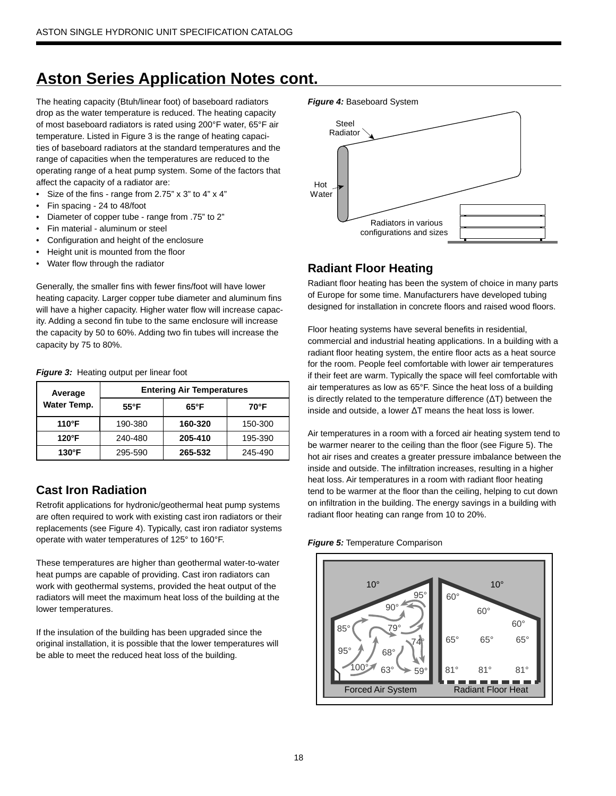The heating capacity (Btuh/linear foot) of baseboard radiators drop as the water temperature is reduced. The heating capacity of most baseboard radiators is rated using 200°F water, 65°F air temperature. Listed in Figure 3 is the range of heating capacities of baseboard radiators at the standard temperatures and the range of capacities when the temperatures are reduced to the operating range of a heat pump system. Some of the factors that affect the capacity of a radiator are:

- Size of the fins range from 2.75" x 3" to 4" x 4"
- Fin spacing 24 to 48/foot
- Diameter of copper tube range from .75" to 2"
- Fin material aluminum or steel
- Configuration and height of the enclosure
- Height unit is mounted from the floor
- Water flow through the radiator

Generally, the smaller fins with fewer fins/foot will have lower heating capacity. Larger copper tube diameter and aluminum fins will have a higher capacity. Higher water flow will increase capacity. Adding a second fin tube to the same enclosure will increase the capacity by 50 to 60%. Adding two fin tubes will increase the capacity by 75 to 80%.

| Average         | <b>Entering Air Temperatures</b> |                |         |  |  |  |  |  |
|-----------------|----------------------------------|----------------|---------|--|--|--|--|--|
| Water Temp.     | $55^{\circ}$ F                   | $65^{\circ}$ F | 70°F    |  |  |  |  |  |
| 110°F           | 190-380                          | 160-320        |         |  |  |  |  |  |
| $120^{\circ}$ F | 240-480                          | 205-410        | 195-390 |  |  |  |  |  |
| $130^\circ$ F   | 295-590                          | 265-532        | 245-490 |  |  |  |  |  |

#### *Figure 3:* Heating output per linear foot

# **Cast Iron Radiation**

Retrofit applications for hydronic/geothermal heat pump systems are often required to work with existing cast iron radiators or their replacements (see Figure 4). Typically, cast iron radiator systems operate with water temperatures of 125° to 160°F.

These temperatures are higher than geothermal water-to-water heat pumps are capable of providing. Cast iron radiators can work with geothermal systems, provided the heat output of the radiators will meet the maximum heat loss of the building at the lower temperatures.

If the insulation of the building has been upgraded since the original installation, it is possible that the lower temperatures will be able to meet the reduced heat loss of the building.





# **Radiant Floor Heating**

Radiant floor heating has been the system of choice in many parts of Europe for some time. Manufacturers have developed tubing designed for installation in concrete floors and raised wood floors.

Floor heating systems have several benefits in residential, commercial and industrial heating applications. In a building with a radiant floor heating system, the entire floor acts as a heat source for the room. People feel comfortable with lower air temperatures if their feet are warm. Typically the space will feel comfortable with air temperatures as low as 65°F. Since the heat loss of a building is directly related to the temperature difference (ΔT) between the inside and outside, a lower ΔT means the heat loss is lower.

Air temperatures in a room with a forced air heating system tend to be warmer nearer to the ceiling than the floor (see Figure 5). The hot air rises and creates a greater pressure imbalance between the inside and outside. The infiltration increases, resulting in a higher heat loss. Air temperatures in a room with radiant floor heating tend to be warmer at the floor than the ceiling, helping to cut down on infiltration in the building. The energy savings in a building with radiant floor heating can range from 10 to 20%.

#### *Figure 5:* Temperature Comparison

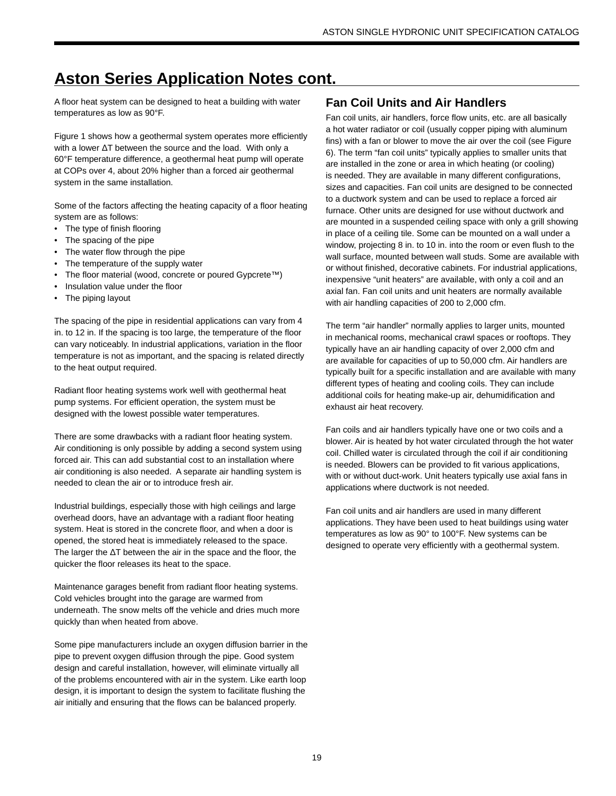A floor heat system can be designed to heat a building with water temperatures as low as 90°F.

Figure 1 shows how a geothermal system operates more efficiently with a lower ΔT between the source and the load. With only a 60°F temperature difference, a geothermal heat pump will operate at COPs over 4, about 20% higher than a forced air geothermal system in the same installation.

Some of the factors affecting the heating capacity of a floor heating system are as follows:

- The type of finish flooring
- The spacing of the pipe
- The water flow through the pipe
- The temperature of the supply water
- The floor material (wood, concrete or poured Gypcrete™)
- Insulation value under the floor
- The piping layout

The spacing of the pipe in residential applications can vary from 4 in. to 12 in. If the spacing is too large, the temperature of the floor can vary noticeably. In industrial applications, variation in the floor temperature is not as important, and the spacing is related directly to the heat output required.

Radiant floor heating systems work well with geothermal heat pump systems. For efficient operation, the system must be designed with the lowest possible water temperatures.

There are some drawbacks with a radiant floor heating system. Air conditioning is only possible by adding a second system using forced air. This can add substantial cost to an installation where air conditioning is also needed. A separate air handling system is needed to clean the air or to introduce fresh air.

Industrial buildings, especially those with high ceilings and large overhead doors, have an advantage with a radiant floor heating system. Heat is stored in the concrete floor, and when a door is opened, the stored heat is immediately released to the space. The larger the ΔT between the air in the space and the floor, the quicker the floor releases its heat to the space.

Maintenance garages benefit from radiant floor heating systems. Cold vehicles brought into the garage are warmed from underneath. The snow melts off the vehicle and dries much more quickly than when heated from above.

Some pipe manufacturers include an oxygen diffusion barrier in the pipe to prevent oxygen diffusion through the pipe. Good system design and careful installation, however, will eliminate virtually all of the problems encountered with air in the system. Like earth loop design, it is important to design the system to facilitate flushing the air initially and ensuring that the flows can be balanced properly.

# **Fan Coil Units and Air Handlers**

Fan coil units, air handlers, force flow units, etc. are all basically a hot water radiator or coil (usually copper piping with aluminum fins) with a fan or blower to move the air over the coil (see Figure 6). The term "fan coil units" typically applies to smaller units that are installed in the zone or area in which heating (or cooling) is needed. They are available in many different configurations, sizes and capacities. Fan coil units are designed to be connected to a ductwork system and can be used to replace a forced air furnace. Other units are designed for use without ductwork and are mounted in a suspended ceiling space with only a grill showing in place of a ceiling tile. Some can be mounted on a wall under a window, projecting 8 in. to 10 in. into the room or even flush to the wall surface, mounted between wall studs. Some are available with or without finished, decorative cabinets. For industrial applications, inexpensive "unit heaters" are available, with only a coil and an axial fan. Fan coil units and unit heaters are normally available with air handling capacities of 200 to 2,000 cfm.

The term "air handler" normally applies to larger units, mounted in mechanical rooms, mechanical crawl spaces or rooftops. They typically have an air handling capacity of over 2,000 cfm and are available for capacities of up to 50,000 cfm. Air handlers are typically built for a specific installation and are available with many different types of heating and cooling coils. They can include additional coils for heating make-up air, dehumidification and exhaust air heat recovery.

Fan coils and air handlers typically have one or two coils and a blower. Air is heated by hot water circulated through the hot water coil. Chilled water is circulated through the coil if air conditioning is needed. Blowers can be provided to fit various applications, with or without duct-work. Unit heaters typically use axial fans in applications where ductwork is not needed.

Fan coil units and air handlers are used in many different applications. They have been used to heat buildings using water temperatures as low as 90° to 100°F. New systems can be designed to operate very efficiently with a geothermal system.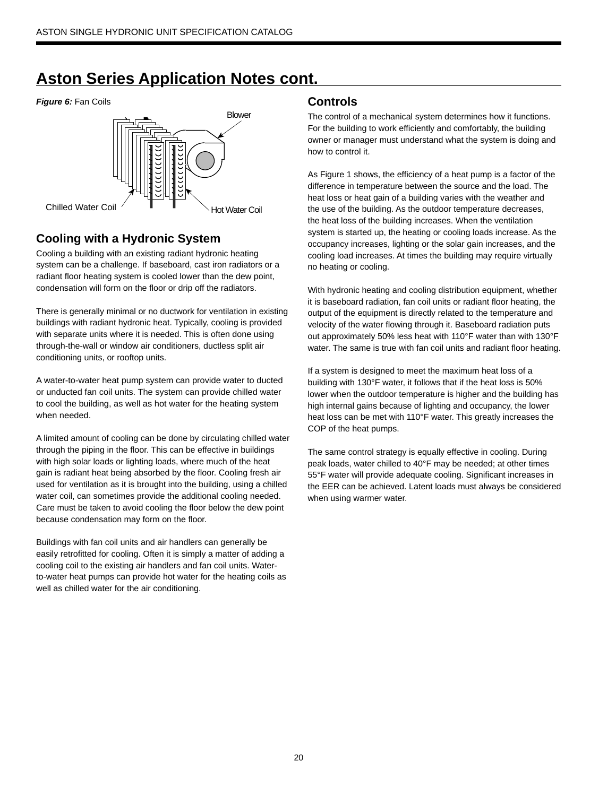#### *Figure 6:* Fan Coils **Controls**



# **Cooling with a Hydronic System**

Cooling a building with an existing radiant hydronic heating system can be a challenge. If baseboard, cast iron radiators or a radiant floor heating system is cooled lower than the dew point, condensation will form on the floor or drip off the radiators.

There is generally minimal or no ductwork for ventilation in existing buildings with radiant hydronic heat. Typically, cooling is provided with separate units where it is needed. This is often done using through-the-wall or window air conditioners, ductless split air conditioning units, or rooftop units.

A water-to-water heat pump system can provide water to ducted or unducted fan coil units. The system can provide chilled water to cool the building, as well as hot water for the heating system when needed.

A limited amount of cooling can be done by circulating chilled water through the piping in the floor. This can be effective in buildings with high solar loads or lighting loads, where much of the heat gain is radiant heat being absorbed by the floor. Cooling fresh air used for ventilation as it is brought into the building, using a chilled water coil, can sometimes provide the additional cooling needed. Care must be taken to avoid cooling the floor below the dew point because condensation may form on the floor.

Buildings with fan coil units and air handlers can generally be easily retrofitted for cooling. Often it is simply a matter of adding a cooling coil to the existing air handlers and fan coil units. Waterto-water heat pumps can provide hot water for the heating coils as well as chilled water for the air conditioning.

The control of a mechanical system determines how it functions. For the building to work efficiently and comfortably, the building owner or manager must understand what the system is doing and how to control it.

As Figure 1 shows, the efficiency of a heat pump is a factor of the difference in temperature between the source and the load. The heat loss or heat gain of a building varies with the weather and the use of the building. As the outdoor temperature decreases, the heat loss of the building increases. When the ventilation system is started up, the heating or cooling loads increase. As the occupancy increases, lighting or the solar gain increases, and the cooling load increases. At times the building may require virtually no heating or cooling.

With hydronic heating and cooling distribution equipment, whether it is baseboard radiation, fan coil units or radiant floor heating, the output of the equipment is directly related to the temperature and velocity of the water flowing through it. Baseboard radiation puts out approximately 50% less heat with 110°F water than with 130°F water. The same is true with fan coil units and radiant floor heating.

If a system is designed to meet the maximum heat loss of a building with 130°F water, it follows that if the heat loss is 50% lower when the outdoor temperature is higher and the building has high internal gains because of lighting and occupancy, the lower heat loss can be met with 110°F water. This greatly increases the COP of the heat pumps.

The same control strategy is equally effective in cooling. During peak loads, water chilled to 40°F may be needed; at other times 55°F water will provide adequate cooling. Significant increases in the EER can be achieved. Latent loads must always be considered when using warmer water.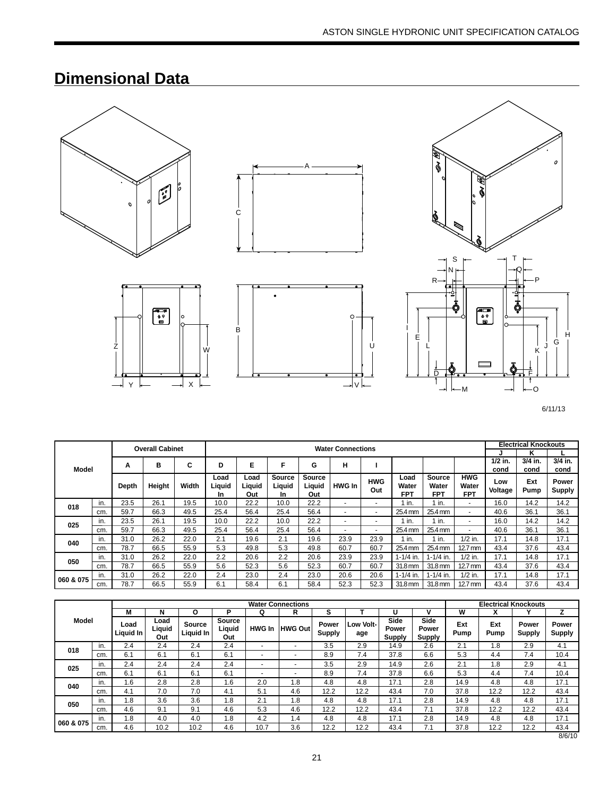# **Dimensional Data**



Z







6/11/13

|              |     |       | <b>Overall Cabinet</b> |       |                       | <b>Water Connections</b> |                                      |                                |                          |                          |                      |                               |                                   | <b>Electrical Knockouts</b> |             |                        |
|--------------|-----|-------|------------------------|-------|-----------------------|--------------------------|--------------------------------------|--------------------------------|--------------------------|--------------------------|----------------------|-------------------------------|-----------------------------------|-----------------------------|-------------|------------------------|
|              |     |       |                        |       |                       |                          |                                      |                                |                          |                          |                      |                               |                                   |                             | κ           |                        |
| <b>Model</b> |     | А     | в                      | C     | D                     | Е                        | F                                    | G                              | н                        |                          |                      |                               |                                   | $1/2$ in.                   | $3/4$ in.   | $3/4$ in.              |
|              |     |       |                        |       |                       |                          |                                      |                                |                          |                          |                      |                               |                                   | cond                        | cond        | cond                   |
|              |     | Depth | Height                 | Width | Load<br>Liquid<br>In. | Load<br>Liquid<br>Out    | <b>Source</b><br>Liguid<br><b>In</b> | <b>Source</b><br>Liguid<br>Out | <b>HWG In</b>            | <b>HWG</b><br>Out        | Load<br>Water<br>FPT | Source<br>Water<br><b>FPT</b> | <b>HWG</b><br>Water<br><b>FPT</b> | Low<br>Voltage              | Ext<br>Pump | Power<br><b>Supply</b> |
| 018          | in. | 23.5  | 26.1                   | 19.5  | 10.0                  | 22.2                     | 10.0                                 | 22.2                           | $\overline{\phantom{a}}$ | $\blacksquare$           | in.                  | $1$ in.                       | $\overline{\phantom{0}}$          | 16.0                        | 14.2        | 14.2                   |
|              | cm. | 59.7  | 66.3                   | 49.5  | 25.4                  | 56.4                     | 25.4                                 | 56.4                           | -                        | $\blacksquare$           | 25.4 mm              | 25.4 mm                       | $\overline{\phantom{0}}$          | 40.6                        | 36.1        | 36.1                   |
| 025          | in. | 23.5  | 26.1                   | 19.5  | 10.0                  | 22.2                     | 10.0                                 | 22.2                           | -                        | $\overline{\phantom{a}}$ | in.                  | $1$ in.                       | $\overline{\phantom{a}}$          | 16.0                        | 14.2        | 14.2                   |
|              | cm. | 59.7  | 66.3                   | 49.5  | 25.4                  | 56.4                     | 25.4                                 | 56.4                           | -                        | $\overline{\phantom{0}}$ | 25.4 mm              | 25.4 mm                       | $\overline{\phantom{a}}$          | 40.6                        | 36.1        | 36.1                   |
|              | in. | 31.0  | 26.2                   | 22.0  | 2.1                   | 19.6                     | 2.1                                  | 19.6                           | 23.9                     | 23.9                     | $1$ in.              | 1 in.                         | $1/2$ in.                         | 17.1                        | 14.8        | 17.1                   |
| 040          | cm. | 78.7  | 66.5                   | 55.9  | 5.3                   | 49.8                     | 5.3                                  | 49.8                           | 60.7                     | 60.7                     | 25.4 mm              | 25.4 mm                       | $12.7 \text{ mm}$                 | 43.4                        | 37.6        | 43.4                   |
|              | in. | 31.0  | 26.2                   | 22.0  | 2.2                   | 20.6                     | 2.2                                  | 20.6                           | 23.9                     | 23.9                     | $1 - 1/4$ in.        | $1 - 1/4$ in.                 | $1/2$ in.                         | 17.1                        | 14.8        | 17.1                   |
| 050          | cm. | 78.7  | 66.5                   | 55.9  | 5.6                   | 52.3                     | 5.6                                  | 52.3                           | 60.7                     | 60.7                     | 31.8 mm              | 31.8 mm                       | $12.7 \text{ mm}$                 | 43.4                        | 37.6        | 43.4                   |
|              | in. | 31.0  | 26.2                   | 22.0  | 2.4                   | 23.0                     | 2.4                                  | 23.0                           | 20.6                     | 20.6                     | $1 - 1/4$ in.        | $1 - 1/4$ in.                 | $1/2$ in.                         | 17.1                        | 14.8        | 17.1                   |
| 060 & 075    | cm. | 78.7  | 66.5                   | 55.9  | 6.1                   | 58.4                     | 6.1                                  | 58.4                           | 52.3                     | 52.3                     | 31.8 mm              | 31.8 mm                       | $12.7 \text{ mm}$                 | 43.4                        | 37.6        | 43.4                   |

U

|              |     |                   |                       |                     |                         |                          | <b>Water Connections</b> |                 |                  |                         |                                |             |             | <b>Electrical Knockouts</b> |                 |
|--------------|-----|-------------------|-----------------------|---------------------|-------------------------|--------------------------|--------------------------|-----------------|------------------|-------------------------|--------------------------------|-------------|-------------|-----------------------------|-----------------|
|              |     | М                 | N                     | О                   | P                       | Q                        | R                        | s               |                  |                         | v                              | W           |             |                             |                 |
| <b>Model</b> |     | Load<br>Liguid In | Load<br>Liquid<br>Out | Source<br>Liguid In | Source<br>Liquid<br>Out | <b>HWG In</b>            | <b>HWG Out</b>           | Power<br>Supply | Low Volt-<br>age | Side<br>Power<br>Supply | Side<br>Power<br><b>Supply</b> | Ext<br>Pump | Ext<br>Pump | Power<br><b>Supply</b>      | Power<br>Supply |
| 018          | in. | 2.4               | 2.4                   | 2.4                 | 2.4                     | $\overline{\phantom{a}}$ | $\overline{\phantom{a}}$ | 3.5             | 2.9              | 14.9                    | 2.6                            | 2.1         | .8          | 2.9                         | 4.1             |
|              | cm. | 6.1               | 6.1                   | 6.1                 | 6.1                     | $\overline{\phantom{0}}$ | ۰                        | 8.9             | 7.4              | 37.8                    | 6.6                            | 5.3         | 4.4         | 7.4                         | 10.4            |
|              | in. | 2.4               | 2.4                   | 2.4                 | 2.4                     | $\overline{a}$           | $\sim$                   | 3.5             | 2.9              | 14.9                    | 2.6                            | 2.1         | .8          | 2.9                         | 4.1             |
| 025          | cm. | 6.1               | 6.1                   | 6.1                 | 6.1                     | $\overline{\phantom{a}}$ | $\blacksquare$           | 8.9             | 7.4              | 37.8                    | 6.6                            | 5.3         | 4.4         | 7.4                         | 10.4            |
| 040          | in. | 1.6               | 2.8                   | 2.8                 | 6.،                     | 2.0                      | 1.8                      | 4.8             | 4.8              | 17.1                    | 2.8                            | 14.9        | 4.8         | 4.8                         | 17.1            |
|              | cm. | 4.1               | 7.0                   | 7.0                 | 4.1                     | 5.1                      | 4.6                      | 12.2            | 12.2             | 43.4                    | 7.0                            | 37.8        | 12.2        | 12.2                        | 43.4            |
| 050          | in. | 1.8               | 3.6                   | 3.6                 | 1.8                     | 2.1                      | 1.8                      | 4.8             | 4.8              | 17.1                    | 2.8                            | 14.9        | 4.8         | 4.8                         | 17.1            |
|              | cm. | 4.6               | 9.1                   | 9.1                 | 4.6                     | 5.3                      | 4.6                      | 12.2            | 12.2             | 43.4                    | 7.1                            | 37.8        | 12.2        | 12.2                        | 43.4            |
|              | in. | 1.8               | 4.0                   | 4.0                 | .8                      | 4.2                      | 1.4                      | 4.8             | 4.8              | 17.1                    | 2.8                            | 14.9        | 4.8         | 4.8                         | 17.1            |
| 060 & 075    | cm. | 4.6               | 10.2                  | 10.2                | 4.6                     | 10.7                     | 3.6                      | 12.2            | 12.2             | 43.4                    | 7.1                            | 37.8        | 12.2        | 12.2                        | 43.4            |
|              |     |                   |                       |                     |                         |                          |                          |                 |                  |                         |                                |             |             |                             | 8/6/10          |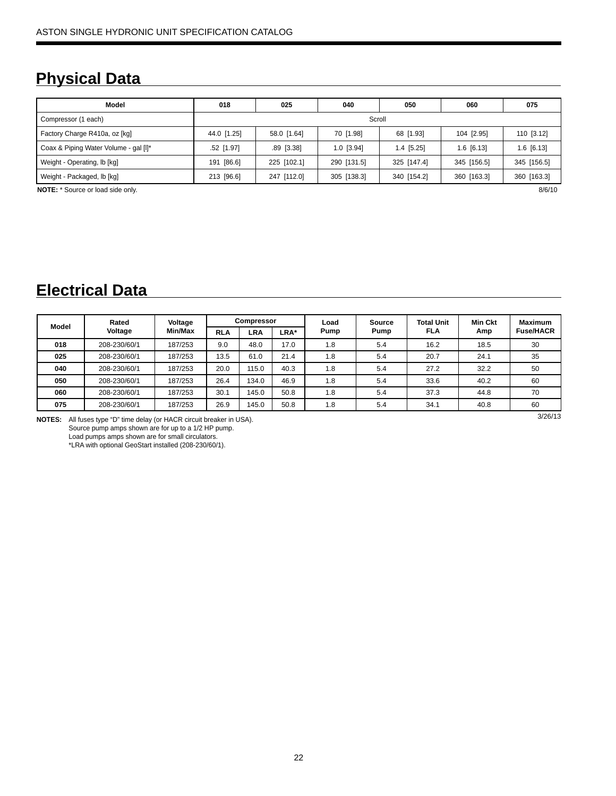# **Physical Data**

| Model                                    | 018         | 025          | 040         | 050          | 060          | 075          |  |  |  |  |  |  |
|------------------------------------------|-------------|--------------|-------------|--------------|--------------|--------------|--|--|--|--|--|--|
| Scroll<br>Compressor (1 each)            |             |              |             |              |              |              |  |  |  |  |  |  |
| Factory Charge R410a, oz [kg]            | 44.0 [1.25] | 58.0 [1.64]  | 70 [1.98]   | 68 [1.93]    | 104 [2.95]   | 110 [3.12]   |  |  |  |  |  |  |
| Coax & Piping Water Volume - gal [I]*    | .52 [1.97]  | $.89$ [3.38] | 1.0 [3.94]  | $1.4$ [5.25] | $1.6$ [6.13] | $1.6$ [6.13] |  |  |  |  |  |  |
| Weight - Operating, lb [kg]              | 191 [86.6]  | 225 [102.1]  | 290 [131.5] | 325 [147.4]  | 345 [156.5]  | 345 [156.5]  |  |  |  |  |  |  |
| Weight - Packaged, lb [kg]               | 213 [96.6]  | 247 [112.0]  | 305 [138.3] | 340 [154.2]  | 360 [163.3]  | 360 [163.3]  |  |  |  |  |  |  |
| <b>NOTE:</b> * Source or load side only. | 8/6/10      |              |             |              |              |              |  |  |  |  |  |  |

# **Electrical Data**

| Model | Rated        | Voltage | <b>Compressor</b> |            |      | Load | Source | <b>Total Unit</b> | Min Ckt | <b>Maximum</b>   |
|-------|--------------|---------|-------------------|------------|------|------|--------|-------------------|---------|------------------|
|       | Voltage      | Min/Max | <b>RLA</b>        | <b>LRA</b> | LRA* | Pump | Pump   | FLA               | Amp     | <b>Fuse/HACR</b> |
| 018   | 208-230/60/1 | 187/253 | 9.0               | 48.0       | 17.0 | 1.8  | 5.4    | 16.2              | 18.5    | 30               |
| 025   | 208-230/60/1 | 187/253 | 13.5              | 61.0       | 21.4 | 1.8  | 5.4    | 20.7              | 24.1    | 35               |
| 040   | 208-230/60/1 | 187/253 | 20.0              | 115.0      | 40.3 | 1.8  | 5.4    | 27.2              | 32.2    | 50               |
| 050   | 208-230/60/1 | 187/253 | 26.4              | 134.0      | 46.9 | 1.8  | 5.4    | 33.6              | 40.2    | 60               |
| 060   | 208-230/60/1 | 187/253 | 30.1              | 145.0      | 50.8 | 1.8  | 5.4    | 37.3              | 44.8    | 70               |
| 075   | 208-230/60/1 | 187/253 | 26.9              | 145.0      | 50.8 | 1.8  | 5.4    | 34.1              | 40.8    | 60               |

**NOTES:** All fuses type "D" time delay (or HACR circuit breaker in USA). Source pump amps shown are for up to a 1/2 HP pump. Load pumps amps shown are for small circulators. \*LRA with optional GeoStart installed (208-230/60/1).

3/26/13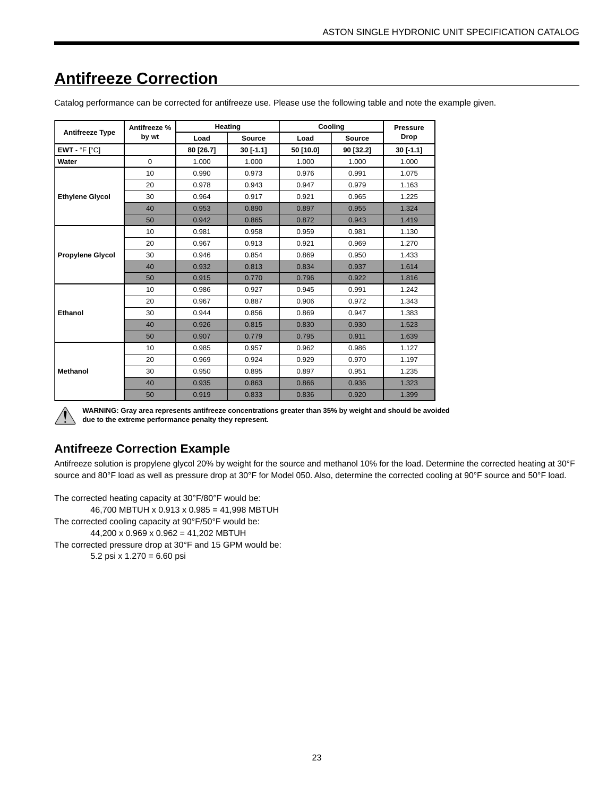#### **Antifreeze Type Antifreeze % by wt Heating Cooling Pressure** Load Source Load Source Drop **EWT** - °F [°C] **80 [26.7] 30 [-1.1] 50 [10.0] 90 [32.2] 30 [-1.1] Water** 0 1.000 1.000 1.000 1.000 1.000 **Ethylene Glycol** 10 0.990 0.973 0.976 0.991 1.075 20 0.978 0.943 0.947 0.979 1.163 30 0.964 0.917 0.921 0.965 1.225 40 0.953 0.890 0.897 0.955 1.324 50 0.942 0.865 0.872 0.943 1.419 **Propylene Glycol** 10 0.981 0.958 0.959 0.981 1.130 20 0.967 0.913 0.921 0.969 1.270 30 0.946 0.854 0.869 0.950 1.433 40 0.932 0.813 0.834 0.937 1.614 50 0.915 0.770 0.796 0.922 1.816 **Ethanol** 10 0.986 0.927 0.945 0.991 1.242 20 0.967 0.887 0.906 0.972 1.343 30 0.944 0.856 0.869 0.947 1.383 40 0.926 0.815 0.830 0.930 1.523 50 0.907 0.779 0.795 0.911 1.639 **Methanol** 10 0.985 0.957 0.962 0.986 1.127 20 0.969 0.924 0.929 0.970 1.197 30 0.950 0.895 0.897 0.951 1.235 40 0.935 0.863 0.866 0.936 1.323 50 0.919 0.833 0.836 0.920 1.399

# **Antifreeze Correction**

Catalog performance can be corrected for antifreeze use. Please use the following table and note the example given.



**WARNING: Gray area represents antifreeze concentrations greater than 35% by weight and should be avoided due to the extreme performance penalty they represent.**

# **Antifreeze Correction Example**

Antifreeze solution is propylene glycol 20% by weight for the source and methanol 10% for the load. Determine the corrected heating at 30°F source and 80°F load as well as pressure drop at 30°F for Model 050. Also, determine the corrected cooling at 90°F source and 50°F load.

The corrected heating capacity at 30°F/80°F would be: 46,700 MBTUH x 0.913 x 0.985 = 41,998 MBTUH The corrected cooling capacity at 90°F/50°F would be: 44,200 x 0.969 x 0.962 = 41,202 MBTUH The corrected pressure drop at 30°F and 15 GPM would be: 5.2 psi x 1.270 = 6.60 psi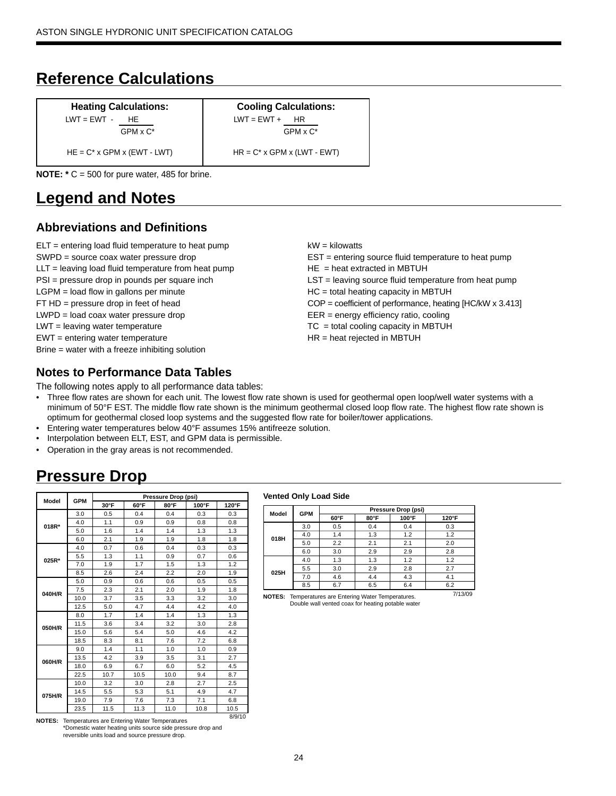# **Reference Calculations**

| <b>Heating Calculations:</b><br>$LWT = EWT - HE$<br>$GPM \times C^*$ | <b>Cooling Calculations:</b><br>$LWT = EWT +$<br>HR<br>$GPM \times C^*$ |
|----------------------------------------------------------------------|-------------------------------------------------------------------------|
| $HE = C^* \times GPM \times (EWT - LWT)$                             | $HR = C^* \times GPM \times (LWT - EWT)$                                |
| <b>NOTE:</b> $*$ C = 500 for pure water, 485 for brine.              |                                                                         |

# **Legend and Notes**

# **Abbreviations and Definitions**

ELT = entering load fluid temperature to heat pump SWPD = source coax water pressure drop LLT = leaving load fluid temperature from heat pump PSI = pressure drop in pounds per square inch LGPM = load flow in gallons per minute FT HD = pressure drop in feet of head LWPD = load coax water pressure drop LWT = leaving water temperature EWT = entering water temperature Brine = water with a freeze inhibiting solution

# **Notes to Performance Data Tables**

The following notes apply to all performance data tables:

- Three flow rates are shown for each unit. The lowest flow rate shown is used for geothermal open loop/well water systems with a minimum of 50°F EST. The middle flow rate shown is the minimum geothermal closed loop flow rate. The highest flow rate shown is optimum for geothermal closed loop systems and the suggested flow rate for boiler/tower applications.
- Entering water temperatures below 40°F assumes 15% antifreeze solution.
- Interpolation between ELT, EST, and GPM data is permissible.
- Operation in the gray areas is not recommended.

# **Pressure Drop**

| Model  | <b>GPM</b> |      |      | Pressure Drop (psi) |       |       |
|--------|------------|------|------|---------------------|-------|-------|
|        |            | 30°F | 60°F | 80°F                | 100°F | 120°F |
|        | 3.0        | 0.5  | 0.4  | 0.4                 | 0.3   | 0.3   |
| 018R*  | 4.0        | 1.1  | 0.9  | 0.9                 | 0.8   | 0.8   |
|        | 5.0        | 1.6  | 1.4  | 1.4                 | 1.3   | 1.3   |
|        | 6.0        | 2.1  | 1.9  | 1.9                 | 1.8   | 1.8   |
|        | 4.0        | 0.7  | 0.6  | 0.4                 | 0.3   | 0.3   |
| 025R*  | 5.5        | 1.3  | 1.1  | 0.9                 | 0.7   | 0.6   |
|        | 7.0        | 1.9  | 1.7  | 1.5                 | 1.3   | 1.2   |
|        | 8.5        | 2.6  | 2.4  | 2.2                 | 2.0   | 1.9   |
|        | 5.0        | 0.9  | 0.6  | 0.6                 | 0.5   | 0.5   |
| 040H/R | 7.5        | 2.3  | 2.1  | 2.0                 | 1.9   | 1.8   |
|        | 10.0       | 3.7  | 3.5  | 3.3                 | 3.2   | 3.0   |
|        | 12.5       | 5.0  | 4.7  | 4.4                 | 4.2   | 4.0   |
|        | 8.0        | 1.7  | 1.4  | 1.4                 | 1.3   | 1.3   |
| 050H/R | 11.5       | 3.6  | 3.4  | 3.2                 | 3.0   | 2.8   |
|        | 15.0       | 5.6  | 5.4  | 5.0                 | 4.6   | 4.2   |
|        | 18.5       | 8.3  | 8.1  | 7.6                 | 7.2   | 6.8   |
|        | 9.0        | 1.4  | 1.1  | 1.0                 | 1.0   | 0.9   |
| 060H/R | 13.5       | 4.2  | 3.9  | 3.5                 | 3.1   | 2.7   |
|        | 18.0       | 6.9  | 6.7  | 6.0                 | 5.2   | 4.5   |
|        | 22.5       | 10.7 | 10.5 | 10.0                | 9.4   | 8.7   |
|        | 10.0       | 3.2  | 3.0  | 2.8                 | 2.7   | 2.5   |
| 075H/R | 14.5       | 5.5  | 5.3  | 5.1                 | 4.9   | 4.7   |
|        | 19.0       | 7.9  | 7.6  | 7.3                 | 7.1   | 6.8   |
|        | 23.5       | 11.5 | 11.3 | 11.0                | 10.8  | 10.5  |

8/9/10 **NOTES:** Temperatures are Entering Water Temperatures \*Domestic water heating units source side pressure drop and reversible units load and source pressure drop.

#### **Vented Only Load Side**

| Model | <b>GPM</b> |                |            |                                                                                           |               |
|-------|------------|----------------|------------|-------------------------------------------------------------------------------------------|---------------|
|       |            | $60^{\circ}$ F | 80°F       | 100°F                                                                                     | $120^\circ F$ |
|       | 3.0        | 0.5            | 0.4        | 0.4                                                                                       | 0.3           |
| 018H  | 4.0        | 1.4            | 1.3        | 1.2                                                                                       | 1.2           |
|       | 5.0        | 2.2            | 2.1        | Pressure Drop (psi)<br>2.0<br>2.1<br>2.8<br>2.9<br>1.2<br>1.2<br>2.7<br>2.8<br>4.1<br>4.3 |               |
|       | 6.0        | 3.0            | 2.9<br>1.3 |                                                                                           |               |
|       | 4.0        | 1.3            |            |                                                                                           |               |
| 025H  | 5.5        | 3.0            | 2.9        |                                                                                           |               |
|       | 7.0        | 4.6            | 4.4        |                                                                                           |               |
|       | 8.5        | 6.7            | 6.5        | 6.4                                                                                       | 6.2           |

7/13/09 **NOTES:** Temperatures are Entering Water Temperatures. Double wall vented coax for heating potable water

 $kW =$  kilowatts EST = entering source fluid temperature to heat pump  $HE = heat$  extracted in MBTUH LST = leaving source fluid temperature from heat pump HC = total heating capacity in MBTUH COP = coefficient of performance, heating [HC/kW x 3.413] EER = energy efficiency ratio, cooling TC = total cooling capacity in MBTUH HR = heat rejected in MBTUH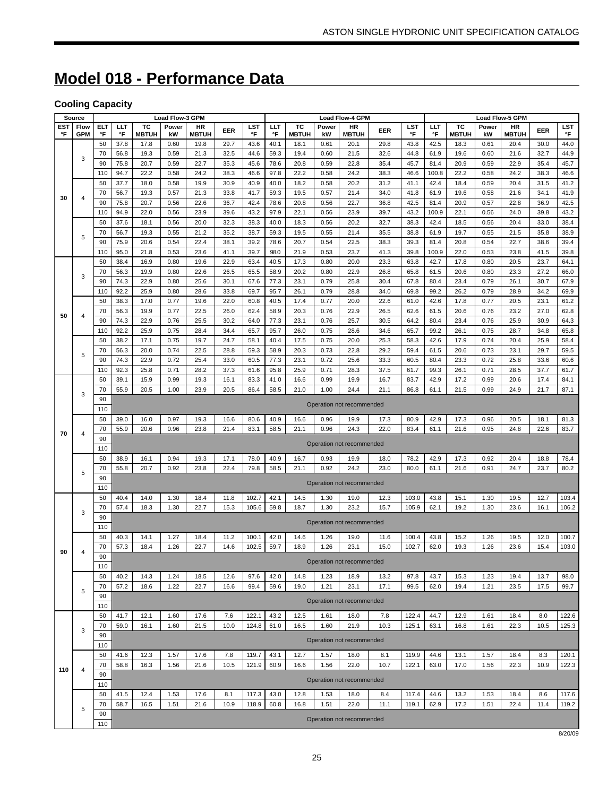# **Model 018 - Performance Data**

# **Cooling Capacity**

|                  | Source             |                  |              |                    | Load Flow-3 GPM |                    |              |                |              |                    |              | Load Flow-4 GPM           |              |                |              |                    |              | Load Flow-5 GPM           |              |                  |
|------------------|--------------------|------------------|--------------|--------------------|-----------------|--------------------|--------------|----------------|--------------|--------------------|--------------|---------------------------|--------------|----------------|--------------|--------------------|--------------|---------------------------|--------------|------------------|
| <b>EST</b><br>°F | Flow<br><b>GPM</b> | <b>ELT</b><br>°F | LLT<br>°F    | тс<br><b>MBTUH</b> | Power<br>kW     | HR<br><b>MBTUH</b> | EER          | LST<br>°F      | ШT<br>°F     | тc<br><b>MBTUH</b> | Power<br>kW  | <b>HR</b><br><b>MBTUH</b> | EER          | LST<br>°F      | ШT<br>°F     | тc<br><b>MBTUH</b> | Power<br>kW  | <b>HR</b><br><b>MBTUH</b> | EER          | <b>LST</b><br>°F |
|                  |                    | 50               | 37.8         | 17.8               | 0.60            | 19.8               | 29.7         | 43.6           | 40.1         | 18.1               | 0.61         | 20.1                      | 29.8         | 43.8           | 42.5         | 18.3               | 0.61         | 20.4                      | 30.0         | 44.0             |
|                  | 3                  | 70               | 56.8         | 19.3               | 0.59            | 21.3               | 32.5         | 44.6           | 59.3         | 19.4               | 0.60         | 21.5                      | 32.6         | 44.8           | 61.9         | 19.6               | 0.60         | 21.6                      | 32.7         | 44.9             |
|                  |                    | 90               | 75.8         | 20.7               | 0.59            | 22.7               | 35.3         | 45.6           | 78.6         | 20.8               | 0.59         | 22.8                      | 35.4         | 45.7           | 81.4         | 20.9               | 0.59         | 22.9                      | 35.4         | 45.7             |
|                  |                    | 110              | 94.7         | 22.2               | 0.58            | 24.2               | 38.3         | 46.6           | 97.8         | 22.2               | 0.58         | 24.2                      | 38.3         | 46.6           | 100.8        | 22.2               | 0.58         | 24.2                      | 38.3         | 46.6             |
|                  |                    | 50               | 37.7         | 18.0               | 0.58            | 19.9               | 30.9         | 40.9           | 40.0         | 18.2               | 0.58         | 20.2                      | 31.2         | 41.1           | 42.4         | 18.4               | 0.59         | 20.4                      | 31.5         | 41.2             |
| 30               | 4                  | 70<br>90         | 56.7<br>75.8 | 19.3<br>20.7       | 0.57<br>0.56    | 21.3<br>22.6       | 33.8<br>36.7 | 41.7<br>42.4   | 59.3<br>78.6 | 19.5<br>20.8       | 0.57<br>0.56 | 21.4<br>22.7              | 34.0<br>36.8 | 41.8<br>42.5   | 61.9<br>81.4 | 19.6<br>20.9       | 0.58<br>0.57 | 21.6<br>22.8              | 34.1<br>36.9 | 41.9<br>42.5     |
|                  |                    | 110              | 94.9         | 22.0               | 0.56            | 23.9               | 39.6         | 43.2           | 97.9         | 22.1               | 0.56         | 23.9                      | 39.7         | 43.2           | 100.9        | 22.1               | 0.56         | 24.0                      | 39.8         | 43.2             |
|                  |                    | 50               | 37.6         | 18.1               | 0.56            | 20.0               | 32.3         | 38.3           | 40.0         | 18.3               | 0.56         | 20.2                      | 32.7         | 38.3           | 42.4         | 18.5               | 0.56         | 20.4                      | 33.0         | 38.4             |
|                  |                    | 70               | 56.7         | 19.3               | 0.55            | 21.2               | 35.2         | 38.7           | 59.3         | 19.5               | 0.55         | 21.4                      | 35.5         | 38.8           | 61.9         | 19.7               | 0.55         | 21.5                      | 35.8         | 38.9             |
|                  | 5                  | 90               | 75.9         | 20.6               | 0.54            | 22.4               | 38.1         | 39.2           | 78.6         | 20.7               | 0.54         | 22.5                      | 38.3         | 39.3           | 81.4         | 20.8               | 0.54         | 22.7                      | 38.6         | 39.4             |
|                  |                    | 110              | 95.0         | 21.8               | 0.53            | 23.6               | 41.1         | 39.7           | 98.0         | 21.9               | 0.53         | 23.7                      | 41.3         | 39.8           | 100.9        | 22.0               | 0.53         | 23.8                      | 41.5         | 39.8             |
|                  |                    | 50               | 38.4         | 16.9               | 0.80            | 19.6               | 22.9         | 63.4           | 40.5         | 17.3               | 0.80         | 20.0                      | 23.3         | 63.8           | 42.7         | 17.8               | 0.80         | 20.5                      | 23.7         | 64.1             |
|                  | 3                  | 70               | 56.3         | 19.9               | 0.80            | 22.6               | 26.5         | 65.5           | 58.9         | 20.2               | 0.80         | 22.9                      | 26.8         | 65.8           | 61.5         | 20.6               | 0.80         | 23.3                      | 27.2         | 66.0             |
|                  |                    | 90               | 74.3         | 22.9               | 0.80            | 25.6               | 30.1         | 67.6           | 77.3         | 23.1               | 0.79         | 25.8                      | 30.4         | 67.8           | 80.4         | 23.4               | 0.79         | 26.1                      | 30.7         | 67.9             |
|                  |                    | 110              | 92.2         | 25.9               | 0.80            | 28.6               | 33.8         | 69.7           | 95.7         | 26.1               | 0.79         | 28.8                      | 34.0         | 69.8           | 99.2         | 26.2               | 0.79         | 28.9                      | 34.2         | 69.9             |
|                  |                    | 50               | 38.3         | 17.0               | 0.77            | 19.6               | 22.0         | 60.8           | 40.5         | 17.4               | 0.77         | 20.0                      | 22.6         | 61.0           | 42.6         | 17.8               | 0.77         | 20.5                      | 23.1         | 61.2             |
| 50               | 4                  | 70               | 56.3         | 19.9               | 0.77            | 22.5               | 26.0         | 62.4           | 58.9         | 20.3               | 0.76         | 22.9                      | 26.5         | 62.6           | 61.5         | 20.6               | 0.76         | 23.2                      | 27.0         | 62.8             |
|                  |                    | 90<br>110        | 74.3<br>92.2 | 22.9<br>25.9       | 0.76<br>0.75    | 25.5<br>28.4       | 30.2<br>34.4 | 64.0<br>65.7   | 77.3<br>95.7 | 23.1<br>26.0       | 0.76<br>0.75 | 25.7<br>28.6              | 30.5<br>34.6 | 64.2<br>65.7   | 80.4<br>99.2 | 23.4<br>26.1       | 0.76         | 25.9<br>28.7              | 30.9<br>34.8 | 64.3<br>65.8     |
|                  |                    | 50               | 38.2         | 17.1               | 0.75            | 19.7               | 24.7         | 58.1           | 40.4         | 17.5               | 0.75         | 20.0                      | 25.3         | 58.3           | 42.6         | 17.9               | 0.75<br>0.74 | 20.4                      | 25.9         | 58.4             |
|                  |                    | 70               | 56.3         | 20.0               | 0.74            | 22.5               | 28.8         | 59.3           | 58.9         | 20.3               | 0.73         | 22.8                      | 29.2         | 59.4           | 61.5         | 20.6               | 0.73         | 23.1                      | 29.7         | 59.5             |
|                  | 5                  | 90               | 74.3         | 22.9               | 0.72            | 25.4               | 33.0         | 60.5           | 77.3         | 23.1               | 0.72         | 25.6                      | 33.3         | 60.5           | 80.4         | 23.3               | 0.72         | 25.8                      | 33.6         | 60.6             |
|                  |                    | 110              | 92.3         | 25.8               | 0.71            | 28.2               | 37.3         | 61.6           | 95.8         | 25.9               | 0.71         | 28.3                      | 37.5         | 61.7           | 99.3         | 26.1               | 0.71         | 28.5                      | 37.7         | 61.7             |
|                  |                    | 50               | 39.1         | 15.9               | 0.99            | 19.3               | 16.1         | 83.3           | 41.0         | 16.6               | 0.99         | 19.9                      | 16.7         | 83.7           | 42.9         | 17.2               | 0.99         | 20.6                      | 17.4         | 84.1             |
|                  |                    | 70               | 55.9         | 20.5               | 1.00            | 23.9               | 20.5         | 86.4           | 58.5         | 21.0               | 1.00         | 24.4                      | 21.1         | 86.8           | 61.1         | 21.5               | 0.99         | 24.9                      | 21.7         | 87.1             |
|                  | 3                  | 90               |              |                    |                 |                    |              |                |              |                    |              | Operation not recommended |              |                |              |                    |              |                           |              |                  |
|                  |                    | 110              |              |                    |                 |                    |              |                |              |                    |              |                           |              |                |              |                    |              |                           |              |                  |
|                  |                    | 50               | 39.0         | 16.0               | 0.97            | 19.3               | 16.6         | 80.6           | 40.9         | 16.6               | 0.96         | 19.9                      | 17.3         | 80.9           | 42.9         | 17.3               | 0.96         | 20.5                      | 18.1         | 81.3             |
| 70               | 4                  | 70               | 55.9         | 20.6               | 0.96            | 23.8               | 21.4         | 83.1           | 58.5         | 21.1               | 0.96         | 24.3                      | 22.0         | 83.4           | 61.1         | 21.6               | 0.95         | 24.8                      | 22.6         | 83.7             |
|                  |                    | 90<br>110        |              |                    |                 |                    |              |                |              |                    |              | Operation not recommended |              |                |              |                    |              |                           |              |                  |
|                  |                    | 50               | 38.9         | 16.1               | 0.94            | 19.3               | 17.1         | 78.0           | 40.9         | 16.7               | 0.93         | 19.9                      | 18.0         | 78.2           | 42.9         | 17.3               | 0.92         | 20.4                      | 18.8         | 78.4             |
|                  | 5                  | 70               | 55.8         | 20.7               | 0.92            | 23.8               | 22.4         | 79.8           | 58.5         | 21.1               | 0.92         | 24.2                      | 23.0         | 80.0           | 61.1         | 21.6               | 0.91         | 24.7                      | 23.7         | 80.2             |
|                  |                    | 90               |              |                    |                 |                    |              |                |              |                    |              | Operation not recommended |              |                |              |                    |              |                           |              |                  |
|                  |                    | 110              |              |                    |                 |                    |              |                |              |                    |              |                           |              |                |              |                    |              |                           |              |                  |
|                  |                    | 50<br>70         | 40.4<br>57.4 | 14.0<br>18.3       | 1.30<br>1.30    | 18.4<br>22.7       | 11.8<br>15.3 | 102.7<br>105.6 | 42.1<br>59.8 | 14.5<br>18.7       | 1.30<br>1.30 | 19.0<br>23.2              | 12.3<br>15.7 | 103.0<br>105.9 | 43.8<br>62.1 | 15.1<br>19.2       | 1.30<br>1.30 | 19.5<br>23.6              | 12.7<br>16.1 | 103.4<br>106.2   |
|                  | 3                  | 90               |              |                    |                 |                    |              |                |              |                    |              |                           |              |                |              |                    |              |                           |              |                  |
|                  |                    | 110              |              |                    |                 |                    |              |                |              |                    |              | Operation not recommended |              |                |              |                    |              |                           |              |                  |
|                  |                    | 50               | 40.3         | 14.1               | 1.27            | 18.4               | 11.2         | 100.1          | 42.0         | 14.6               | 1.26         | 19.0                      | 11.6         | 100.4          | 43.8         | 15.2               | 1.26         | 19.5                      | 12.0         | 100.7            |
|                  |                    | 70               | 57.3         | 18.4               | 1.26            | 22.7               | 14.6         | 102.5          | 59.7         | 18.9               | 1.26         | 23.1                      | 15.0         | 102.7          | 62.0         | 19.3               | 1.26         | 23.6                      | 15.4         | 103.0            |
| 90               | 4                  | 90               |              |                    |                 |                    |              |                |              |                    |              |                           |              |                |              |                    |              |                           |              |                  |
|                  |                    | 110              |              |                    |                 |                    |              |                |              |                    |              | Operation not recommended |              |                |              |                    |              |                           |              |                  |
|                  |                    | 50               | 40.2         | 14.3               | 1.24            | 18.5               | 12.6         | 97.6           | 42.0         | 14.8               | 1.23         | 18.9                      | 13.2         | 97.8           | 43.7         | 15.3               | 1.23         | 19.4                      | 13.7         | 98.0             |
|                  | 5                  | 70               | 57.2         | 18.6               | 1.22            | 22.7               | 16.6         | 99.4           | 59.6         | 19.0               | 1.21         | 23.1                      | 17.1         | 99.5           | 62.0         | 19.4               | 1.21         | 23.5                      | 17.5         | 99.7             |
|                  |                    | 90               |              |                    |                 |                    |              |                |              |                    |              | Operation not recommended |              |                |              |                    |              |                           |              |                  |
|                  |                    | 110              |              |                    |                 |                    |              |                |              |                    |              |                           |              |                |              |                    |              |                           |              |                  |
|                  |                    | 50<br>70         | 41.7<br>59.0 | 12.1<br>16.1       | 1.60<br>1.60    | 17.6<br>21.5       | 7.6<br>10.0  | 122.1<br>124.8 | 43.2<br>61.0 | 12.5<br>16.5       | 1.61<br>1.60 | 18.0<br>21.9              | 7.8<br>10.3  | 122.4<br>125.1 | 44.7<br>63.1 | 12.9<br>16.8       | 1.61<br>1.61 | 18.4<br>22.3              | 8.0<br>10.5  | 122.6<br>125.3   |
|                  | 3                  | 90               |              |                    |                 |                    |              |                |              |                    |              |                           |              |                |              |                    |              |                           |              |                  |
|                  |                    | 110              |              |                    |                 |                    |              |                |              |                    |              | Operation not recommended |              |                |              |                    |              |                           |              |                  |
|                  |                    | 50               | 41.6         | 12.3               | 1.57            | 17.6               | 7.8          | 119.7          | 43.1         | 12.7               | 1.57         | 18.0                      | 8.1          | 119.9          | 44.6         | 13.1               | 1.57         | 18.4                      | 8.3          | 120.1            |
|                  |                    | 70               | 58.8         | 16.3               | 1.56            | 21.6               | 10.5         | 121.9          | 60.9         | 16.6               | 1.56         | 22.0                      | 10.7         | 122.1          | 63.0         | 17.0               | 1.56         | 22.3                      | 10.9         | 122.3            |
| 110              | $\overline{4}$     | 90               |              |                    |                 |                    |              |                |              |                    |              |                           |              |                |              |                    |              |                           |              |                  |
|                  |                    | 110              |              |                    |                 |                    |              |                |              |                    |              | Operation not recommended |              |                |              |                    |              |                           |              |                  |
|                  |                    | 50               | 41.5         | 12.4               | 1.53            | 17.6               | 8.1          | 117.3          | 43.0         | 12.8               | 1.53         | 18.0                      | 8.4          | 117.4          | 44.6         | 13.2               | 1.53         | 18.4                      | 8.6          | 117.6            |
|                  | 5                  | 70               | 58.7         | 16.5               | 1.51            | 21.6               | 10.9         | 118.9          | 60.8         | 16.8               | 1.51         | 22.0                      | 11.1         | 119.1          | 62.9         | 17.2               | 1.51         | 22.4                      | 11.4         | 119.2            |
|                  |                    | 90               |              |                    |                 |                    |              |                |              |                    |              | Operation not recommended |              |                |              |                    |              |                           |              |                  |
|                  |                    | 110              |              |                    |                 |                    |              |                |              |                    |              |                           |              |                |              |                    |              |                           |              |                  |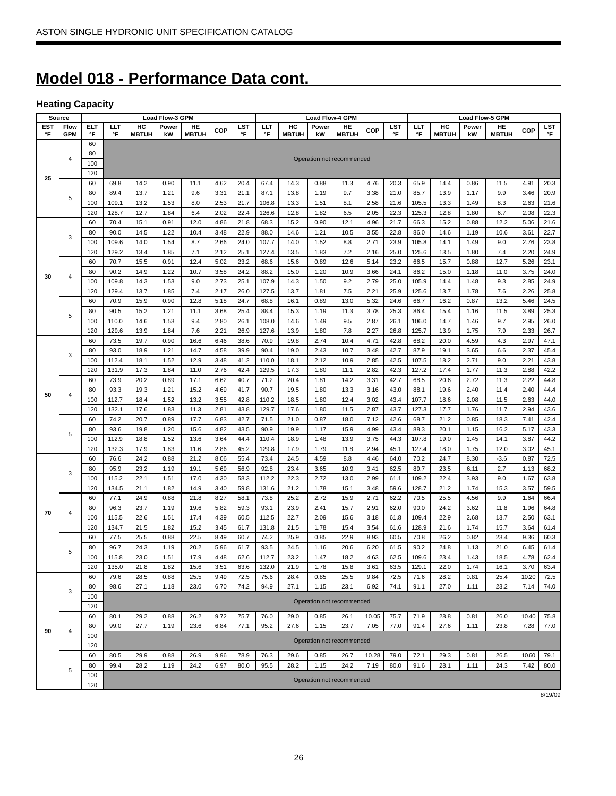# **Model 018 - Performance Data cont.**

# **Heating Capacity**

|     | Source     |     |       |              | <b>Load Flow-3 GPM</b> |              |      |      |       |              | <b>Load Flow-4 GPM</b> |                           |       |      |       |              | <b>Load Flow-5 GPM</b> |              |            |            |
|-----|------------|-----|-------|--------------|------------------------|--------------|------|------|-------|--------------|------------------------|---------------------------|-------|------|-------|--------------|------------------------|--------------|------------|------------|
| EST | Flow       | ELT | ШT    | HC           | Power                  | HE           | COP  | LST  | LLT   | HC           | Power                  | HE                        | COP   | LST  | ШT    | HC           | Power                  | HE           | <b>COP</b> | <b>LST</b> |
| °F  | <b>GPM</b> | °F  | °F    | <b>MBTUH</b> | kW                     | <b>MBTUH</b> |      | °F   | °F    | <b>MBTUH</b> | kW                     | <b>MBTUH</b>              |       | °F   | °F    | <b>MBTUH</b> | kW                     | <b>MBTUH</b> |            | °F         |
|     |            | 60  |       |              |                        |              |      |      |       |              |                        |                           |       |      |       |              |                        |              |            |            |
|     | 4          | 80  |       |              |                        |              |      |      |       |              |                        | Operation not recommended |       |      |       |              |                        |              |            |            |
|     |            | 100 |       |              |                        |              |      |      |       |              |                        |                           |       |      |       |              |                        |              |            |            |
| 25  |            | 120 |       |              |                        |              |      |      |       |              |                        |                           |       |      |       |              |                        |              |            |            |
|     |            | 60  | 69.8  | 14.2         | 0.90                   | 11.1         | 4.62 | 20.4 | 67.4  | 14.3         | 0.88                   | 11.3                      | 4.76  | 20.3 | 65.9  | 14.4         | 0.86                   | 11.5         | 4.91       | 20.3       |
|     | 5          | 80  | 89.4  | 13.7         | 1.21                   | 9.6          | 3.31 | 21.1 | 87.1  | 13.8         | 1.19                   | 9.7                       | 3.38  | 21.0 | 85.7  | 13.9         | 1.17                   | 9.9          | 3.46       | 20.9       |
|     |            | 100 | 109.1 | 13.2         | 1.53                   | 8.0          | 2.53 | 21.7 | 106.8 | 13.3         | 1.51                   | 8.1                       | 2.58  | 21.6 | 105.5 | 13.3         | 1.49                   | 8.3          | 2.63       | 21.6       |
|     |            | 120 | 128.7 | 12.7         | 1.84                   | 6.4          | 2.02 | 22.4 | 126.6 | 12.8         | 1.82                   | 6.5                       | 2.05  | 22.3 | 125.3 | 12.8         | 1.80                   | 6.7          | 2.08       | 22.3       |
|     |            | 60  | 70.4  | 15.1         | 0.91                   | 12.0         | 4.86 | 21.8 | 68.3  | 15.2         | 0.90                   | 12.1                      | 4.96  | 21.7 | 66.3  | 15.2         | 0.88                   | 12.2         | 5.06       | 21.6       |
|     | 3          | 80  | 90.0  | 14.5         | 1.22                   | 10.4         | 3.48 | 22.9 | 88.0  | 14.6         | 1.21                   | 10.5                      | 3.55  | 22.8 | 86.0  | 14.6         | 1.19                   | 10.6         | 3.61       | 22.7       |
|     |            | 100 | 109.6 | 14.0         | 1.54                   | 8.7          | 2.66 | 24.0 | 107.7 | 14.0         | 1.52                   | 8.8                       | 2.71  | 23.9 | 105.8 | 14.1         | 1.49                   | 9.0          | 2.76       | 23.8       |
|     |            | 120 | 129.2 | 13.4         | 1.85                   | 7.1          | 2.12 | 25.1 | 127.4 | 13.5         | 1.83                   | 7.2                       | 2.16  | 25.0 | 125.6 | 13.5         | 1.80                   | 7.4          | 2.20       | 24.9       |
|     |            | 60  | 70.7  | 15.5         | 0.91                   | 12.4         | 5.02 | 23.2 | 68.6  | 15.6         | 0.89                   | 12.6                      | 5.14  | 23.2 | 66.5  | 15.7         | 0.88                   | 12.7         | 5.26       | 23.1       |
| 30  | 4          | 80  | 90.2  | 14.9         | 1.22                   | 10.7         | 3.58 | 24.2 | 88.2  | 15.0         | 1.20                   | 10.9                      | 3.66  | 24.1 | 86.2  | 15.0         | 1.18                   | 11.0         | 3.75       | 24.0       |
|     |            | 100 | 109.8 | 14.3         | 1.53                   | 9.0          | 2.73 | 25.1 | 107.9 | 14.3         | 1.50                   | 9.2                       | 2.79  | 25.0 | 105.9 | 14.4         | 1.48                   | 9.3          | 2.85       | 24.9       |
|     |            | 120 | 129.4 | 13.7         | 1.85                   | 7.4          | 2.17 | 26.0 | 127.5 | 13.7         | 1.81                   | 7.5                       | 2.21  | 25.9 | 125.6 | 13.7         | 1.78                   | 7.6          | 2.26       | 25.8       |
|     |            | 60  | 70.9  | 15.9         | 0.90                   | 12.8         | 5.18 | 24.7 | 68.8  | 16.1         | 0.89                   | 13.0                      | 5.32  | 24.6 | 66.7  | 16.2         | 0.87                   | 13.2         | 5.46       | 24.5       |
|     | 5          | 80  | 90.5  | 15.2         | 1.21                   | 11.1         | 3.68 | 25.4 | 88.4  | 15.3         | 1.19                   | 11.3                      | 3.78  | 25.3 | 86.4  | 15.4         | 1.16                   | 11.5         | 3.89       | 25.3       |
|     |            | 100 | 110.0 | 14.6         | 1.53                   | 9.4          | 2.80 | 26.1 | 108.0 | 14.6         | 1.49                   | 9.5                       | 2.87  | 26.1 | 106.0 | 14.7         | 1.46                   | 9.7          | 2.95       | 26.0       |
|     |            | 120 | 129.6 | 13.9         | 1.84                   | 7.6          | 2.21 | 26.9 | 127.6 | 13.9         | 1.80                   | 7.8                       | 2.27  | 26.8 | 125.7 | 13.9         | 1.75                   | 7.9          | 2.33       | 26.7       |
|     |            | 60  | 73.5  | 19.7         | 0.90                   | 16.6         | 6.46 | 38.6 | 70.9  | 19.8         | 2.74                   | 10.4                      | 4.71  | 42.8 | 68.2  | 20.0         | 4.59                   | 4.3          | 2.97       | 47.1       |
|     | 3          | 80  | 93.0  | 18.9         | 1.21                   | 14.7         | 4.58 | 39.9 | 90.4  | 19.0         | 2.43                   | 10.7                      | 3.48  | 42.7 | 87.9  | 19.1         | 3.65                   | 6.6          | 2.37       | 45.4       |
|     |            | 100 | 112.4 | 18.1         | 1.52                   | 12.9         | 3.48 | 41.2 | 110.0 | 18.1         | 2.12                   | 10.9                      | 2.85  | 42.5 | 107.5 | 18.2         | 2.71                   | 9.0          | 2.21       | 43.8       |
|     |            | 120 | 131.9 | 17.3         | 1.84                   | 11.0         | 2.76 | 42.4 | 129.5 | 17.3         | 1.80                   | 11.1                      | 2.82  | 42.3 | 127.2 | 17.4         | 1.77                   | 11.3         | 2.88       | 42.2       |
|     |            | 60  | 73.9  | 20.2         | 0.89                   | 17.1         | 6.62 | 40.7 | 71.2  | 20.4         | 1.81                   | 14.2                      | 3.31  | 42.7 | 68.5  | 20.6         | 2.72                   | 11.3         | 2.22       | 44.8       |
| 50  | 4          | 80  | 93.3  | 19.3         | 1.21                   | 15.2         | 4.69 | 41.7 | 90.7  | 19.5         | 1.80                   | 13.3                      | 3.16  | 43.0 | 88.1  | 19.6         | 2.40                   | 11.4         | 2.40       | 44.4       |
|     |            | 100 | 112.7 | 18.4         | 1.52                   | 13.2         | 3.55 | 42.8 | 110.2 | 18.5         | 1.80                   | 12.4                      | 3.02  | 43.4 | 107.7 | 18.6         | 2.08                   | 11.5         | 2.63       | 44.0       |
|     |            | 120 | 132.1 | 17.6         | 1.83                   | 11.3         | 2.81 | 43.8 | 129.7 | 17.6         | 1.80                   | 11.5                      | 2.87  | 43.7 | 127.3 | 17.7         | 1.76                   | 11.7         | 2.94       | 43.6       |
|     |            | 60  | 74.2  | 20.7         | 0.89                   | 17.7         | 6.83 | 42.7 | 71.5  | 21.0         | 0.87                   | 18.0                      | 7.12  | 42.6 | 68.7  | 21.2         | 0.85                   | 18.3         | 7.41       | 42.4       |
|     |            | 80  | 93.6  | 19.8         | 1.20                   | 15.6         | 4.82 | 43.5 | 90.9  | 19.9         | 1.17                   | 15.9                      | 4.99  | 43.4 | 88.3  | 20.1         | 1.15                   | 16.2         | 5.17       | 43.3       |
|     | 5          | 100 | 112.9 | 18.8         | 1.52                   | 13.6         | 3.64 | 44.4 | 110.4 | 18.9         | 1.48                   | 13.9                      | 3.75  | 44.3 | 107.8 | 19.0         | 1.45                   | 14.1         | 3.87       | 44.2       |
|     |            | 120 | 132.3 | 17.9         | 1.83                   | 11.6         | 2.86 | 45.2 | 129.8 | 17.9         | 1.79                   | 11.8                      | 2.94  | 45.1 | 127.4 | 18.0         | 1.75                   | 12.0         | 3.02       | 45.1       |
|     |            | 60  | 76.6  | 24.2         | 0.88                   | 21.2         | 8.06 | 55.4 | 73.4  | 24.5         | 4.59                   | 8.8                       | 4.46  | 64.0 | 70.2  | 24.7         | 8.30                   | $-3.6$       | 0.87       | 72.5       |
|     |            | 80  | 95.9  | 23.2         | 1.19                   | 19.1         | 5.69 | 56.9 | 92.8  | 23.4         | 3.65                   | 10.9                      | 3.41  | 62.5 | 89.7  | 23.5         | 6.11                   | 2.7          | 1.13       | 68.2       |
|     | 3          | 100 | 115.2 | 22.1         | 1.51                   | 17.0         | 4.30 | 58.3 | 112.2 | 22.3         | 2.72                   | 13.0                      | 2.99  | 61.1 | 109.2 | 22.4         | 3.93                   | 9.0          | 1.67       | 63.8       |
|     |            | 120 | 134.5 | 21.1         | 1.82                   | 14.9         | 3.40 | 59.8 | 131.6 | 21.2         | 1.78                   | 15.1                      | 3.48  | 59.6 | 128.7 | 21.2         | 1.74                   | 15.3         | 3.57       | 59.5       |
|     |            | 60  | 77.1  | 24.9         | 0.88                   | 21.8         | 8.27 | 58.1 | 73.8  | 25.2         | 2.72                   | 15.9                      | 2.71  | 62.2 | 70.5  | 25.5         | 4.56                   | 9.9          | 1.64       | 66.4       |
|     |            | 80  | 96.3  | 23.7         | 1.19                   | 19.6         | 5.82 | 59.3 | 93.1  | 23.9         | 2.41                   | 15.7                      | 2.91  | 62.0 | 90.0  | 24.2         | 3.62                   | 11.8         | 1.96       | 64.8       |
| 70  | 4          | 100 | 115.5 | 22.6         | 1.51                   | 17.4         | 4.39 | 60.5 | 112.5 | 22.7         | 2.09                   | 15.6                      | 3.18  | 61.8 | 109.4 | 22.9         | 2.68                   | 13.7         | 2.50       | 63.1       |
|     |            | 120 | 134.7 | 21.5         | 1.82                   | 15.2         | 3.45 | 61.7 | 131.8 | 21.5         | 1.78                   | 15.4                      | 3.54  | 61.6 | 128.9 | 21.6         | 1.74                   | 15.7         | 3.64       | 61.4       |
|     |            | 60  | 77.5  | 25.5         | 0.88                   | 22.5         | 8.49 | 60.7 | 74.2  | 25.9         | 0.85                   | 22.9                      | 8.93  | 60.5 | 70.8  | 26.2         | 0.82                   | 23.4         | 9.36       | 60.3       |
|     |            | 80  | 96.7  | 24.3         | 1.19                   | 20.2         | 5.96 | 61.7 | 93.5  | 24.5         | 1.16                   | 20.6                      | 6.20  | 61.5 | 90.2  | 24.8         | 1.13                   | 21.0         | 6.45       | 61.4       |
|     | 5          | 100 | 115.8 | 23.0         | 1.51                   | 17.9         | 4.48 | 62.6 | 112.7 | 23.2         | 1.47                   | 18.2                      | 4.63  | 62.5 | 109.6 | 23.4         | 1.43                   | 18.5         | 4.78       | 62.4       |
|     |            | 120 | 135.0 | 21.8         | 1.82                   | 15.6         | 3.51 | 63.6 | 132.0 | 21.9         | 1.78                   | 15.8                      | 3.61  | 63.5 | 129.1 | 22.0         | 1.74                   | 16.1         | 3.70       | 63.4       |
|     |            | 60  | 79.6  | 28.5         | 0.88                   | 25.5         | 9.49 | 72.5 | 75.6  | 28.4         | 0.85                   | 25.5                      | 9.84  | 72.5 | 71.6  | 28.2         | 0.81                   | 25.4         | 10.20      | 72.5       |
|     |            | 80  | 98.6  | 27.1         | 1.18                   | 23.0         | 6.70 | 74.2 | 94.9  | 27.1         | 1.15                   | 23.1                      | 6.92  | 74.1 | 91.1  | 27.0         | 1.11                   | 23.2         | 7.14       | 74.0       |
|     | 3          | 100 |       |              |                        |              |      |      |       |              |                        |                           |       |      |       |              |                        |              |            |            |
|     |            | 120 |       |              |                        |              |      |      |       |              |                        | Operation not recommended |       |      |       |              |                        |              |            |            |
|     |            | 60  | 80.1  | 29.2         | 0.88                   | 26.2         | 9.72 | 75.7 | 76.0  | 29.0         | 0.85                   | 26.1                      | 10.05 | 75.7 | 71.9  | 28.8         | 0.81                   | 26.0         | 10.40      | 75.8       |
|     |            | 80  | 99.0  | 27.7         | 1.19                   | 23.6         | 6.84 | 77.1 | 95.2  | 27.6         | 1.15                   | 23.7                      | 7.05  | 77.0 | 91.4  | 27.6         | 1.11                   | 23.8         | 7.28       | 77.0       |
| 90  | 4          | 100 |       |              |                        |              |      |      |       |              |                        |                           |       |      |       |              |                        |              |            |            |
|     |            | 120 |       |              |                        |              |      |      |       |              |                        | Operation not recommended |       |      |       |              |                        |              |            |            |
|     |            | 60  | 80.5  | 29.9         | 0.88                   | 26.9         | 9.96 | 78.9 | 76.3  | 29.6         | 0.85                   | 26.7                      | 10.28 | 79.0 | 72.1  | 29.3         | 0.81                   | 26.5         | 10.60      | 79.1       |
|     |            | 80  | 99.4  | 28.2         | 1.19                   | 24.2         | 6.97 | 80.0 | 95.5  | 28.2         | 1.15                   | 24.2                      | 7.19  | 80.0 | 91.6  | 28.1         | 1.11                   | 24.3         | 7.42       | 80.0       |
|     | 5          | 100 |       |              |                        |              |      |      |       |              |                        |                           |       |      |       |              |                        |              |            |            |
|     |            | 120 |       |              |                        |              |      |      |       |              |                        | Operation not recommended |       |      |       |              |                        |              |            |            |

8/19/09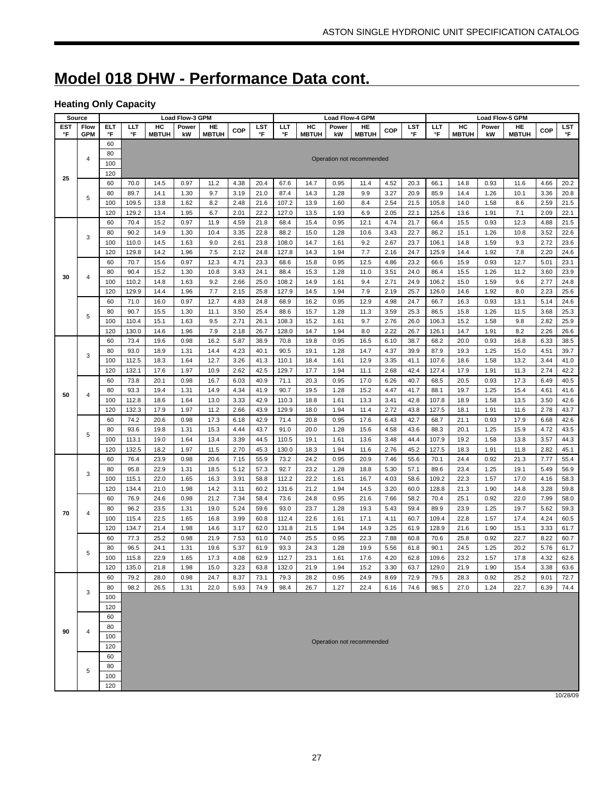# **Model 018 DHW - Performance Data cont.**

# **Heating Only Capacity**

|     | Source                  |            |              |              | Load Flow-3 GPM |              |              |              |       |              | <b>Load Flow-4 GPM</b> |                           |              |              |       |              | <b>Load Flow-5 GPM</b> |              |              |              |
|-----|-------------------------|------------|--------------|--------------|-----------------|--------------|--------------|--------------|-------|--------------|------------------------|---------------------------|--------------|--------------|-------|--------------|------------------------|--------------|--------------|--------------|
| EST | Flow                    | <b>ELT</b> | ШT           | HC           | Power           | HE           | COP          | LST          | ШT    | HC           | Power                  | HE                        | <b>COP</b>   | LST          | LLT   | HC           | Power                  | HE           | COP          | LST          |
| °F  | <b>GPM</b>              | °F         | °F           | <b>MBTUH</b> | kW              | <b>MBTUH</b> |              | °F           | °F    | <b>MBTUH</b> | kW                     | <b>MBTUH</b>              |              | °F           | °F    | <b>MBTUH</b> | kW                     | <b>MBTUH</b> |              | $\mathsf{P}$ |
|     |                         | 60         |              |              |                 |              |              |              |       |              |                        |                           |              |              |       |              |                        |              |              |              |
|     | 4                       | 80         |              |              |                 |              |              |              |       |              |                        | Operation not recommended |              |              |       |              |                        |              |              |              |
|     |                         | 100        |              |              |                 |              |              |              |       |              |                        |                           |              |              |       |              |                        |              |              |              |
| 25  |                         | 120        |              |              |                 |              |              |              |       |              |                        |                           |              |              |       |              |                        |              |              |              |
|     |                         | 60         | 70.0         | 14.5         | 0.97            | 11.2         | 4.38         | 20.4         | 67.6  | 14.7         | 0.95                   | 11.4                      | 4.52         | 20.3         | 66.1  | 14.8         | 0.93                   | 11.6         | 4.66         | 20.2         |
|     |                         | 80         | 89.7         | 14.1         | 1.30            | 9.7          | 3.19         | 21.0         | 87.4  | 14.3         | 1.28                   | 9.9                       | 3.27         | 20.9         | 85.9  | 14.4         | 1.26                   | 10.1         | 3.36         | 20.8         |
|     | 5                       | 100        | 109.5        | 13.8         | 1.62            | 8.2          | 2.48         | 21.6         | 107.2 | 13.9         | 1.60                   | 8.4                       | 2.54         | 21.5         | 105.8 | 14.0         | 1.58                   | 8.6          | 2.59         | 21.5         |
|     |                         | 120        | 129.2        | 13.4         | 1.95            | 6.7          | 2.01         | 22.2         | 127.0 | 13.5         | 1.93                   | 6.9                       | 2.05         | 22.1         | 125.6 | 13.6         | 1.91                   | 7.1          | 2.09         | 22.1         |
|     |                         | 60         | 70.4         | 15.2         | 0.97            | 11.9         | 4.59         | 21.8         | 68.4  | 15.4         | 0.95                   | 12.1                      | 4.74         | 21.7         | 66.4  | 15.5         | 0.93                   | 12.3         | 4.88         | 21.5         |
|     |                         | 80         | 90.2         | 14.9         | 1.30            | 10.4         | 3.35         | 22.8         | 88.2  | 15.0         | 1.28                   | 10.6                      | 3.43         | 22.7         | 86.2  | 15.1         | 1.26                   | 10.8         | 3.52         | 22.6         |
|     | 3                       | 100        | 110.0        | 14.5         | 1.63            | 9.0          | 2.61         | 23.8         | 108.0 | 14.7         | 1.61                   | 9.2                       | 2.67         | 23.7         | 106.1 | 14.8         | 1.59                   | 9.3          | 2.72         | 23.6         |
|     |                         | 120        | 129.8        | 14.2         | 1.96            | 7.5          | 2.12         | 24.8         | 127.8 | 14.3         | 1.94                   | 7.7                       | 2.16         | 24.7         | 125.9 | 14.4         | 1.92                   | 7.8          | 2.20         | 24.6         |
|     |                         | 60         | 70.7         | 15.6         | 0.97            | 12.3         | 4.71         | 23.3         | 68.6  | 15.8         | 0.95                   | 12.5                      | 4.86         | 23.2         | 66.6  | 15.9         | 0.93                   | 12.7         | 5.01         | 23.1         |
|     |                         | 80         | 90.4         | 15.2         | 1.30            | 10.8         | 3.43         | 24.1         | 88.4  | 15.3         | 1.28                   | 11.0                      | 3.51         | 24.0         | 86.4  | 15.5         | 1.26                   | 11.2         | 3.60         | 23.9         |
| 30  | $\overline{\mathbf{4}}$ |            | 110.2        |              | 1.63            | 9.2          |              |              |       |              | 1.61                   |                           | 2.71         | 24.9         | 106.2 |              |                        | 9.6          | 2.77         | 24.8         |
|     |                         | 100        |              | 14.8         |                 |              | 2.66         | 25.0         | 108.2 | 14.9         |                        | 9.4                       |              |              |       | 15.0         | 1.59                   |              |              |              |
|     |                         | 120        | 129.9        | 14.4         | 1.96            | 7.7          | 2.15         | 25.8         | 127.9 | 14.5         | 1.94                   | 7.9                       | 2.19         | 25.7         | 126.0 | 14.6         | 1.92                   | 8.0          | 2.23         | 25.6         |
|     |                         | 60         | 71.0         | 16.0         | 0.97            | 12.7         | 4.83         | 24.8         | 68.9  | 16.2         | 0.95                   | 12.9                      | 4.98         | 24.7         | 66.7  | 16.3         | 0.93                   | 13.1         | 5.14         | 24.6         |
|     | 5                       | 80         | 90.7         | 15.5         | 1.30            | 11.1         | 3.50         | 25.4         | 88.6  | 15.7         | 1.28                   | 11.3                      | 3.59         | 25.3         | 86.5  | 15.8         | 1.26                   | 11.5         | 3.68         | 25.3         |
|     |                         | 100        | 110.4        | 15.1         | 1.63            | 9.5          | 2.71         | 26.1         | 108.3 | 15.2         | 1.61                   | 9.7                       | 2.76         | 26.0         | 106.3 | 15.2         | 1.58                   | 9.8          | 2.82         | 25.9         |
|     |                         | 120        | 130.0        | 14.6         | 1.96            | 7.9          | 2.18         | 26.7         | 128.0 | 14.7         | 1.94                   | 8.0                       | 2.22         | 26.7         | 126.1 | 14.7         | 1.91                   | 8.2          | 2.26         | 26.6         |
|     |                         | 60         | 73.4         | 19.6         | 0.98            | 16.2         | 5.87         | 38.9         | 70.8  | 19.8         | 0.95                   | 16.5                      | 6.10         | 38.7         | 68.2  | 20.0         | 0.93                   | 16.8         | 6.33         | 38.5         |
|     | 3                       | 80         | 93.0         | 18.9         | 1.31            | 14.4         | 4.23         | 40.1         | 90.5  | 19.1         | 1.28                   | 14.7                      | 4.37         | 39.9         | 87.9  | 19.3         | 1.25                   | 15.0         | 4.51         | 39.7         |
|     |                         | 100        | 112.5        | 18.3         | 1.64            | 12.7         | 3.26         | 41.3         | 110.1 | 18.4         | 1.61                   | 12.9                      | 3.35         | 41.1         | 107.6 | 18.6         | 1.58                   | 13.2         | 3.44         | 41.0         |
|     |                         | 120        | 132.1        | 17.6         | 1.97            | 10.9         | 2.62         | 42.5         | 129.7 | 17.7         | 1.94                   | 11.1                      | 2.68         | 42.4         | 127.4 | 17.9         | 1.91                   | 11.3         | 2.74         | 42.2         |
|     |                         | 60         | 73.8         | 20.1         | 0.98            | 16.7         | 6.03         | 40.9         | 71.1  | 20.3         | 0.95                   | 17.0                      | 6.26         | 40.7         | 68.5  | 20.5         | 0.93                   | 17.3         | 6.49         | 40.5         |
| 50  | 4                       | 80         | 93.3         | 19.4         | 1.31            | 14.9         | 4.34         | 41.9         | 90.7  | 19.5         | 1.28                   | 15.2                      | 4.47         | 41.7         | 88.1  | 19.7         | 1.25                   | 15.4         | 4.61         | 41.6         |
|     |                         | 100        | 112.8        | 18.6         | 1.64            | 13.0         | 3.33         | 42.9         | 110.3 | 18.8         | 1.61                   | 13.3                      | 3.41         | 42.8         | 107.8 | 18.9         | 1.58                   | 13.5         | 3.50         | 42.6         |
|     |                         | 120        | 132.3        | 17.9         | 1.97            | 11.2         | 2.66         | 43.9         | 129.9 | 18.0         | 1.94                   | 11.4                      | 2.72         | 43.8         | 127.5 | 18.1         | 1.91                   | 11.6         | 2.78         | 43.7         |
|     |                         | 60         | 74.2         | 20.6         | 0.98            | 17.3         | 6.18         | 42.9         | 71.4  | 20.8         | 0.95                   | 17.6                      | 6.43         | 42.7         | 68.7  | 21.1         | 0.93                   | 17.9         | 6.68         | 42.6         |
|     |                         | 80         | 93.6         | 19.8         | 1.31            | 15.3         | 4.44         | 43.7         | 91.0  | 20.0         | 1.28                   | 15.6                      | 4.58         | 43.6         | 88.3  | 20.1         | 1.25                   | 15.9         | 4.72         | 43.5         |
|     | 5                       | 100        | 113.1        | 19.0         | 1.64            | 13.4         | 3.39         | 44.5         | 110.5 | 19.1         | 1.61                   | 13.6                      | 3.48         | 44.4         | 107.9 | 19.2         | 1.58                   | 13.8         | 3.57         | 44.3         |
|     |                         | 120        | 132.5        | 18.2         | 1.97            | 11.5         | 2.70         | 45.3         | 130.0 | 18.3         | 1.94                   | 11.6                      | 2.76         | 45.2         | 127.5 | 18.3         | 1.91                   | 11.8         | 2.82         | 45.1         |
|     |                         | 60         | 76.4         | 23.9         | 0.98            | 20.6         | 7.15         | 55.9         | 73.2  | 24.2         | 0.95                   | 20.9                      | 7.46         | 55.6         | 70.1  | 24.4         | 0.92                   | 21.3         | 7.77         | 55.4         |
|     |                         | 80         | 95.8         | 22.9         | 1.31            | 18.5         | 5.12         | 57.3         | 92.7  | 23.2         | 1.28                   | 18.8                      | 5.30         | 57.1         | 89.6  | 23.4         | 1.25                   | 19.1         | 5.49         | 56.9         |
|     | 3                       | 100        | 115.1        | 22.0         | 1.65            | 16.3         | 3.91         | 58.8         | 112.2 | 22.2         | 1.61                   | 16.7                      | 4.03         | 58.6         | 109.2 | 22.3         | 1.57                   | 17.0         | 4.16         | 58.3         |
|     |                         | 120        | 134.4        | 21.0         | 1.98            | 14.2         | 3.11         | 60.2         | 131.6 | 21.2         | 1.94                   | 14.5                      | 3.20         | 60.0         | 128.8 | 21.3         | 1.90                   | 14.8         | 3.28         | 59.8         |
|     |                         | 60         | 76.9         | 24.6         | 0.98            | 21.2         | 7.34         | 58.4         | 73.6  | 24.8         | 0.95                   | 21.6                      | 7.66         | 58.2         | 70.4  | 25.1         | 0.92                   | 22.0         | 7.99         | 58.0         |
|     |                         | 80         | 96.2         | 23.5         | 1.31            | 19.0         | 5.24         | 59.6         | 93.0  | 23.7         | 1.28                   | 19.3                      | 5.43         | 59.4         | 89.9  | 23.9         | 1.25                   | 19.7         | 5.62         | 59.3         |
| 70  | 4                       | 100        | 115.4        | 22.5         | 1.65            | 16.8         | 3.99         | 60.8         | 112.4 | 22.6         | 1.61                   | 17.1                      | 4.11         | 60.7         | 109.4 | 22.8         | 1.57                   | 17.4         | 4.24         | 60.5         |
|     |                         | 120        | 134.7        | 21.4         | 1.98            | 14.6         | 3.17         | 62.0         | 131.8 | 21.5         | 1.94                   | 14.9                      | 3.25         | 61.9         | 128.9 | 21.6         | 1.90                   | 15.1         | 3.33         | 61.7         |
|     |                         | 60         |              |              | 0.98            | 21.9         |              |              | 74.0  | 25.5         |                        |                           |              |              | 70.6  | 25.8         | 0.92                   | 22.7         | 8.22         |              |
|     |                         | 80         | 77.3<br>96.5 | 25.2         | 1.31            | 19.6         | 7.53         | 61.0<br>61.9 | 93.3  | 24.3         | 0.95<br>1.28           | 22.3                      | 7.88         | 60.8<br>61.8 | 90.1  |              | 1.25                   |              |              | 60.7         |
|     | 5                       | 100        | 115.8        | 24.1<br>22.9 | 1.65            | 17.3         | 5.37<br>4.08 | 62.9         | 112.7 | 23.1         | 1.61                   | 19.9<br>17.6              | 5.56<br>4.20 | 62.8         | 109.6 | 24.5<br>23.2 | 1.57                   | 20.2<br>17.8 | 5.76<br>4.32 | 61.7<br>62.6 |
|     |                         |            |              |              |                 |              |              |              |       |              |                        |                           |              |              |       |              |                        |              |              |              |
|     |                         | 120        | 135.0        | 21.8         | 1.98            | 15.0         | 3.23         | 63.8         | 132.0 | 21.9         | 1.94                   | 15.2                      | 3.30         | 63.7         | 129.0 | 21.9         | 1.90                   | 15.4         | 3.38         | 63.6         |
|     |                         | 60         | 79.2         | 28.0         | 0.98            | 24.7         | 8.37         | 73.1         | 79.3  | 28.2         | 0.95                   | 24.9                      | 8.69         | 72.9         | 79.5  | 28.3         | 0.92                   | 25.2         | 9.01         | 72.7         |
|     | 3                       | 80         | 98.2         | 26.5         | 1.31            | 22.0         | 5.93         | 74.9         | 98.4  | 26.7         | 1.27                   | 22.4                      | 6.16         | 74.6         | 98.5  | 27.0         | 1.24                   | 22.7         | 6.39         | 74.4         |
|     |                         | 100        |              |              |                 |              |              |              |       |              |                        |                           |              |              |       |              |                        |              |              |              |
|     |                         | 120        |              |              |                 |              |              |              |       |              |                        |                           |              |              |       |              |                        |              |              |              |
|     |                         | 60         |              |              |                 |              |              |              |       |              |                        |                           |              |              |       |              |                        |              |              |              |
| 90  | $\overline{4}$          | 80         |              |              |                 |              |              |              |       |              |                        |                           |              |              |       |              |                        |              |              |              |
|     |                         | 100        |              |              |                 |              |              |              |       |              |                        | Operation not recommended |              |              |       |              |                        |              |              |              |
|     |                         | 120        |              |              |                 |              |              |              |       |              |                        |                           |              |              |       |              |                        |              |              |              |
|     |                         | 60         |              |              |                 |              |              |              |       |              |                        |                           |              |              |       |              |                        |              |              |              |
|     | 5                       | 80         |              |              |                 |              |              |              |       |              |                        |                           |              |              |       |              |                        |              |              |              |
|     |                         | 100        |              |              |                 |              |              |              |       |              |                        |                           |              |              |       |              |                        |              |              |              |
|     |                         | 120        |              |              |                 |              |              |              |       |              |                        |                           |              |              |       |              |                        |              |              |              |

10/28/09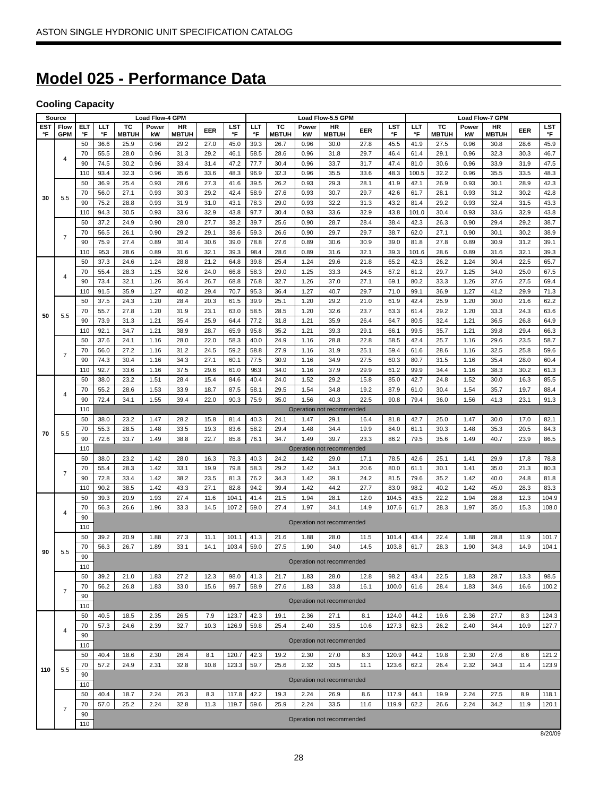# **Model 025 - Performance Data**

# **Cooling Capacity**

| Flow<br>ELT<br>тс<br>EST<br>LLT<br>тс<br>Power<br>HR<br>LST<br>LLT<br>Power<br>HR<br>LST<br>LLT<br>тс<br>EER<br>EER<br>°F<br><b>GPM</b><br>°F<br>°F<br><b>MBTUH</b><br>°F<br>°F<br><b>MBTUH</b><br>°F<br>°F<br><b>MBTUH</b><br>kW<br><b>MBTUH</b><br>kW<br><b>MBTUH</b><br>50<br>45.0<br>36.6<br>25.9<br>0.96<br>29.2<br>27.0<br>39.3<br>26.7<br>0.96<br>30.0<br>27.8<br>45.5<br>41.9<br>27.5<br>70<br>55.5<br>29.2<br>58.5<br>29.7<br>29.1<br>28.0<br>0.96<br>31.3<br>46.1<br>28.6<br>0.96<br>31.8<br>46.4<br>61.4<br>4<br>90<br>74.5<br>31.4<br>47.2<br>30.4<br>33.7<br>31.7<br>47.4<br>30.6<br>30.2<br>0.96<br>33.4<br>77.7<br>0.96<br>81.0<br>110<br>32.3<br>33.6<br>33.6<br>32.2<br>93.4<br>0.96<br>35.6<br>48.3<br>96.9<br>32.3<br>0.96<br>35.5<br>48.3<br>100.5<br>50<br>36.9<br>25.4<br>0.93<br>28.6<br>27.3<br>41.6<br>39.5<br>26.2<br>0.93<br>29.3<br>28.1<br>41.9<br>42.1<br>26.9<br>70<br>56.0<br>27.1<br>29.2<br>42.4<br>58.9<br>27.6<br>30.7<br>29.7<br>42.6<br>28.1<br>0.93<br>30.3<br>0.93<br>61.7<br>30<br>5.5<br>90<br>75.2<br>28.8<br>0.93<br>31.9<br>31.0<br>43.1<br>78.3<br>29.0<br>0.93<br>32.2<br>31.3<br>43.2<br>81.4<br>29.2<br>110<br>32.9<br>30.4<br>33.6<br>32.9<br>43.8<br>30.4<br>94.3<br>30.5<br>0.93<br>33.6<br>43.8<br>97.7<br>0.93<br>101.0<br>50<br>24.9<br>27.7<br>38.2<br>28.7<br>28.4<br>38.4<br>42.3<br>37.2<br>0.90<br>28.0<br>39.7<br>25.6<br>0.90<br>26.3<br>70<br>56.5<br>26.1<br>29.2<br>29.1<br>26.6<br>29.7<br>29.7<br>38.7<br>27.1<br>0.90<br>38.6<br>59.3<br>0.90<br>62.0<br>$\overline{7}$<br>90<br>27.4<br>30.6<br>30.9<br>27.8<br>75.9<br>0.89<br>30.4<br>39.0<br>78.8<br>27.6<br>0.89<br>30.6<br>39.0<br>81.8<br>110<br>32.1<br>95.3<br>28.6<br>0.89<br>31.6<br>32.1<br>39.3<br>98.4<br>28.6<br>0.89<br>31.6<br>39.3<br>101.6<br>28.6<br>50<br>37.3<br>24.6<br>1.24<br>28.8<br>21.2<br>39.8<br>25.4<br>1.24<br>29.6<br>21.8<br>65.2<br>42.3<br>26.2<br>64.8<br>70<br>55.4<br>28.3<br>1.25<br>32.6<br>24.0<br>66.8<br>58.3<br>29.0<br>1.25<br>33.3<br>24.5<br>67.2<br>61.2<br>29.7<br>4 | Power<br>kW  | HR           |              |              |
|--------------------------------------------------------------------------------------------------------------------------------------------------------------------------------------------------------------------------------------------------------------------------------------------------------------------------------------------------------------------------------------------------------------------------------------------------------------------------------------------------------------------------------------------------------------------------------------------------------------------------------------------------------------------------------------------------------------------------------------------------------------------------------------------------------------------------------------------------------------------------------------------------------------------------------------------------------------------------------------------------------------------------------------------------------------------------------------------------------------------------------------------------------------------------------------------------------------------------------------------------------------------------------------------------------------------------------------------------------------------------------------------------------------------------------------------------------------------------------------------------------------------------------------------------------------------------------------------------------------------------------------------------------------------------------------------------------------------------------------------------------------------------------------------------------------------------------------------------------------------------------------------------------------------------------------------------------------------------------------------------------------------------------------------|--------------|--------------|--------------|--------------|
|                                                                                                                                                                                                                                                                                                                                                                                                                                                                                                                                                                                                                                                                                                                                                                                                                                                                                                                                                                                                                                                                                                                                                                                                                                                                                                                                                                                                                                                                                                                                                                                                                                                                                                                                                                                                                                                                                                                                                                                                                                            |              | <b>MBTUH</b> | <b>EER</b>   | LST<br>°F    |
|                                                                                                                                                                                                                                                                                                                                                                                                                                                                                                                                                                                                                                                                                                                                                                                                                                                                                                                                                                                                                                                                                                                                                                                                                                                                                                                                                                                                                                                                                                                                                                                                                                                                                                                                                                                                                                                                                                                                                                                                                                            | 0.96         | 30.8         | 28.6         | 45.9         |
|                                                                                                                                                                                                                                                                                                                                                                                                                                                                                                                                                                                                                                                                                                                                                                                                                                                                                                                                                                                                                                                                                                                                                                                                                                                                                                                                                                                                                                                                                                                                                                                                                                                                                                                                                                                                                                                                                                                                                                                                                                            | 0.96         | 32.3         | 30.3         | 46.7         |
|                                                                                                                                                                                                                                                                                                                                                                                                                                                                                                                                                                                                                                                                                                                                                                                                                                                                                                                                                                                                                                                                                                                                                                                                                                                                                                                                                                                                                                                                                                                                                                                                                                                                                                                                                                                                                                                                                                                                                                                                                                            | 0.96         | 33.9         | 31.9         | 47.5         |
|                                                                                                                                                                                                                                                                                                                                                                                                                                                                                                                                                                                                                                                                                                                                                                                                                                                                                                                                                                                                                                                                                                                                                                                                                                                                                                                                                                                                                                                                                                                                                                                                                                                                                                                                                                                                                                                                                                                                                                                                                                            | 0.96         | 35.5         | 33.5         | 48.3         |
|                                                                                                                                                                                                                                                                                                                                                                                                                                                                                                                                                                                                                                                                                                                                                                                                                                                                                                                                                                                                                                                                                                                                                                                                                                                                                                                                                                                                                                                                                                                                                                                                                                                                                                                                                                                                                                                                                                                                                                                                                                            | 0.93         | 30.1         | 28.9         | 42.3         |
|                                                                                                                                                                                                                                                                                                                                                                                                                                                                                                                                                                                                                                                                                                                                                                                                                                                                                                                                                                                                                                                                                                                                                                                                                                                                                                                                                                                                                                                                                                                                                                                                                                                                                                                                                                                                                                                                                                                                                                                                                                            | 0.93         | 31.2         | 30.2         | 42.8         |
|                                                                                                                                                                                                                                                                                                                                                                                                                                                                                                                                                                                                                                                                                                                                                                                                                                                                                                                                                                                                                                                                                                                                                                                                                                                                                                                                                                                                                                                                                                                                                                                                                                                                                                                                                                                                                                                                                                                                                                                                                                            | 0.93         | 32.4         | 31.5         | 43.3         |
|                                                                                                                                                                                                                                                                                                                                                                                                                                                                                                                                                                                                                                                                                                                                                                                                                                                                                                                                                                                                                                                                                                                                                                                                                                                                                                                                                                                                                                                                                                                                                                                                                                                                                                                                                                                                                                                                                                                                                                                                                                            | 0.93         | 33.6         | 32.9         | 43.8         |
|                                                                                                                                                                                                                                                                                                                                                                                                                                                                                                                                                                                                                                                                                                                                                                                                                                                                                                                                                                                                                                                                                                                                                                                                                                                                                                                                                                                                                                                                                                                                                                                                                                                                                                                                                                                                                                                                                                                                                                                                                                            | 0.90         | 29.4         | 29.2         | 38.7         |
|                                                                                                                                                                                                                                                                                                                                                                                                                                                                                                                                                                                                                                                                                                                                                                                                                                                                                                                                                                                                                                                                                                                                                                                                                                                                                                                                                                                                                                                                                                                                                                                                                                                                                                                                                                                                                                                                                                                                                                                                                                            | 0.90         | 30.1         | 30.2         | 38.9         |
|                                                                                                                                                                                                                                                                                                                                                                                                                                                                                                                                                                                                                                                                                                                                                                                                                                                                                                                                                                                                                                                                                                                                                                                                                                                                                                                                                                                                                                                                                                                                                                                                                                                                                                                                                                                                                                                                                                                                                                                                                                            | 0.89         | 30.9         | 31.2         | 39.1         |
|                                                                                                                                                                                                                                                                                                                                                                                                                                                                                                                                                                                                                                                                                                                                                                                                                                                                                                                                                                                                                                                                                                                                                                                                                                                                                                                                                                                                                                                                                                                                                                                                                                                                                                                                                                                                                                                                                                                                                                                                                                            | 0.89         | 31.6         | 32.1         | 39.3         |
|                                                                                                                                                                                                                                                                                                                                                                                                                                                                                                                                                                                                                                                                                                                                                                                                                                                                                                                                                                                                                                                                                                                                                                                                                                                                                                                                                                                                                                                                                                                                                                                                                                                                                                                                                                                                                                                                                                                                                                                                                                            | 1.24         | 30.4         | 22.5         | 65.7         |
|                                                                                                                                                                                                                                                                                                                                                                                                                                                                                                                                                                                                                                                                                                                                                                                                                                                                                                                                                                                                                                                                                                                                                                                                                                                                                                                                                                                                                                                                                                                                                                                                                                                                                                                                                                                                                                                                                                                                                                                                                                            | 1.25         | 34.0         | 25.0         | 67.5<br>69.4 |
| 90<br>32.1<br>1.26<br>36.4<br>26.7<br>32.7<br>1.26<br>37.0<br>27.1<br>69.1<br>80.2<br>73.4<br>68.8<br>76.8<br>33.3<br>110<br>91.5<br>1.27<br>40.2<br>29.4<br>95.3<br>36.4<br>1.27<br>40.7<br>29.7<br>71.0<br>99.1<br>35.9<br>70.7<br>36.9                                                                                                                                                                                                                                                                                                                                                                                                                                                                                                                                                                                                                                                                                                                                                                                                                                                                                                                                                                                                                                                                                                                                                                                                                                                                                                                                                                                                                                                                                                                                                                                                                                                                                                                                                                                                  | 1.26<br>1.27 | 37.6<br>41.2 | 27.5<br>29.9 | 71.3         |
| 42.4<br>50<br>37.5<br>24.3<br>1.20<br>28.4<br>20.3<br>61.5<br>39.9<br>25.1<br>1.20<br>29.2<br>21.0<br>61.9<br>25.9                                                                                                                                                                                                                                                                                                                                                                                                                                                                                                                                                                                                                                                                                                                                                                                                                                                                                                                                                                                                                                                                                                                                                                                                                                                                                                                                                                                                                                                                                                                                                                                                                                                                                                                                                                                                                                                                                                                         | 1.20         | 30.0         | 21.6         | 62.2         |
| 70<br>23.7<br>55.7<br>27.8<br>1.20<br>31.9<br>23.1<br>28.5<br>1.20<br>32.6<br>63.3<br>29.2<br>63.0<br>58.5<br>61.4                                                                                                                                                                                                                                                                                                                                                                                                                                                                                                                                                                                                                                                                                                                                                                                                                                                                                                                                                                                                                                                                                                                                                                                                                                                                                                                                                                                                                                                                                                                                                                                                                                                                                                                                                                                                                                                                                                                         | 1.20         | 33.3         | 24.3         | 63.6         |
| 50<br>5.5<br>25.9<br>1.21<br>90<br>73.9<br>31.3<br>1.21<br>35.4<br>64.4<br>77.2<br>31.8<br>35.9<br>26.4<br>64.7<br>80.5<br>32.4                                                                                                                                                                                                                                                                                                                                                                                                                                                                                                                                                                                                                                                                                                                                                                                                                                                                                                                                                                                                                                                                                                                                                                                                                                                                                                                                                                                                                                                                                                                                                                                                                                                                                                                                                                                                                                                                                                            | 1.21         | 36.5         | 26.8         | 64.9         |
| 110<br>34.7<br>1.21<br>38.9<br>28.7<br>65.9<br>95.8<br>35.2<br>1.21<br>29.1<br>99.5<br>92.1<br>39.3<br>66.1<br>35.7                                                                                                                                                                                                                                                                                                                                                                                                                                                                                                                                                                                                                                                                                                                                                                                                                                                                                                                                                                                                                                                                                                                                                                                                                                                                                                                                                                                                                                                                                                                                                                                                                                                                                                                                                                                                                                                                                                                        | 1.21         | 39.8         | 29.4         | 66.3         |
| 50<br>37.6<br>24.1<br>1.16<br>28.0<br>22.0<br>40.0<br>24.9<br>28.8<br>22.8<br>58.5<br>42.4<br>25.7<br>58.3<br>1.16                                                                                                                                                                                                                                                                                                                                                                                                                                                                                                                                                                                                                                                                                                                                                                                                                                                                                                                                                                                                                                                                                                                                                                                                                                                                                                                                                                                                                                                                                                                                                                                                                                                                                                                                                                                                                                                                                                                         | 1.16         | 29.6         | 23.5         | 58.7         |
| 70<br>56.0<br>27.2<br>31.2<br>24.5<br>59.2<br>27.9<br>31.9<br>25.1<br>59.4<br>28.6<br>1.16<br>58.8<br>1.16<br>61.6                                                                                                                                                                                                                                                                                                                                                                                                                                                                                                                                                                                                                                                                                                                                                                                                                                                                                                                                                                                                                                                                                                                                                                                                                                                                                                                                                                                                                                                                                                                                                                                                                                                                                                                                                                                                                                                                                                                         | 1.16         | 32.5         | 25.8         | 59.6         |
| 7<br>90<br>30.4<br>27.1<br>34.9<br>27.5<br>60.3<br>74.3<br>1.16<br>34.3<br>60.1<br>77.5<br>30.9<br>1.16<br>80.7<br>31.5                                                                                                                                                                                                                                                                                                                                                                                                                                                                                                                                                                                                                                                                                                                                                                                                                                                                                                                                                                                                                                                                                                                                                                                                                                                                                                                                                                                                                                                                                                                                                                                                                                                                                                                                                                                                                                                                                                                    | 1.16         | 35.4         | 28.0         | 60.4         |
| 92.7<br>34.0<br>110<br>33.6<br>1.16<br>37.5<br>29.6<br>61.0<br>96.3<br>1.16<br>37.9<br>29.9<br>61.2<br>99.9<br>34.4                                                                                                                                                                                                                                                                                                                                                                                                                                                                                                                                                                                                                                                                                                                                                                                                                                                                                                                                                                                                                                                                                                                                                                                                                                                                                                                                                                                                                                                                                                                                                                                                                                                                                                                                                                                                                                                                                                                        | 1.16         | 38.3         | 30.2         | 61.3         |
| 50<br>23.2<br>1.51<br>28.4<br>15.4<br>84.6<br>24.0<br>29.2<br>15.8<br>85.0<br>42.7<br>38.0<br>40.4<br>1.52<br>24.8                                                                                                                                                                                                                                                                                                                                                                                                                                                                                                                                                                                                                                                                                                                                                                                                                                                                                                                                                                                                                                                                                                                                                                                                                                                                                                                                                                                                                                                                                                                                                                                                                                                                                                                                                                                                                                                                                                                         | 1.52         | 30.0         | 16.3         | 85.5         |
| 70<br>1.53<br>29.5<br>55.2<br>28.6<br>33.9<br>18.7<br>87.5<br>58.1<br>1.54<br>34.8<br>19.2<br>87.9<br>61.0<br>30.4<br>4                                                                                                                                                                                                                                                                                                                                                                                                                                                                                                                                                                                                                                                                                                                                                                                                                                                                                                                                                                                                                                                                                                                                                                                                                                                                                                                                                                                                                                                                                                                                                                                                                                                                                                                                                                                                                                                                                                                    | 1.54         | 35.7         | 19.7         | 88.4         |
| 90<br>72.4<br>22.0<br>75.9<br>35.0<br>22.5<br>90.8<br>79.4<br>36.0<br>34.1<br>1.55<br>39.4<br>90.3<br>1.56<br>40.3                                                                                                                                                                                                                                                                                                                                                                                                                                                                                                                                                                                                                                                                                                                                                                                                                                                                                                                                                                                                                                                                                                                                                                                                                                                                                                                                                                                                                                                                                                                                                                                                                                                                                                                                                                                                                                                                                                                         | 1.56         | 41.3         | 23.1         | 91.3         |
| 110<br>Operation not recommended                                                                                                                                                                                                                                                                                                                                                                                                                                                                                                                                                                                                                                                                                                                                                                                                                                                                                                                                                                                                                                                                                                                                                                                                                                                                                                                                                                                                                                                                                                                                                                                                                                                                                                                                                                                                                                                                                                                                                                                                           |              |              |              |              |
| 50<br>24.1<br>38.0<br>23.2<br>1.47<br>28.2<br>15.8<br>81.4<br>40.3<br>1.47<br>29.1<br>16.4<br>81.8<br>42.7<br>25.0                                                                                                                                                                                                                                                                                                                                                                                                                                                                                                                                                                                                                                                                                                                                                                                                                                                                                                                                                                                                                                                                                                                                                                                                                                                                                                                                                                                                                                                                                                                                                                                                                                                                                                                                                                                                                                                                                                                         | 1.47         | 30.0         | 17.0         | 82.1         |
| 55.3<br>19.3<br>83.6<br>58.2<br>29.4<br>1.48<br>34.4<br>84.0<br>70<br>28.5<br>1.48<br>33.5<br>19.9<br>61.1<br>30.3<br>70<br>5.5                                                                                                                                                                                                                                                                                                                                                                                                                                                                                                                                                                                                                                                                                                                                                                                                                                                                                                                                                                                                                                                                                                                                                                                                                                                                                                                                                                                                                                                                                                                                                                                                                                                                                                                                                                                                                                                                                                            | 1.48         | 35.3         | 20.5         | 84.3         |
| 90<br>72.6<br>33.7<br>22.7<br>85.8<br>76.1<br>34.7<br>39.7<br>23.3<br>86.2<br>79.5<br>1.49<br>38.8<br>1.49<br>35.6<br>110<br>Operation not recommended                                                                                                                                                                                                                                                                                                                                                                                                                                                                                                                                                                                                                                                                                                                                                                                                                                                                                                                                                                                                                                                                                                                                                                                                                                                                                                                                                                                                                                                                                                                                                                                                                                                                                                                                                                                                                                                                                     | 1.49         | 40.7         | 23.9         | 86.5         |
| 50<br>23.2<br>78.3<br>40.3<br>24.2<br>42.6<br>38.0<br>1.42<br>28.0<br>16.3<br>1.42<br>29.0<br>17.1<br>78.5<br>25.1                                                                                                                                                                                                                                                                                                                                                                                                                                                                                                                                                                                                                                                                                                                                                                                                                                                                                                                                                                                                                                                                                                                                                                                                                                                                                                                                                                                                                                                                                                                                                                                                                                                                                                                                                                                                                                                                                                                         | 1.41         | 29.9         | 17.8         | 78.8         |
| 70<br>28.3<br>1.42<br>79.8<br>29.2<br>20.6<br>80.0<br>55.4<br>33.1<br>19.9<br>58.3<br>1.42<br>34.1<br>61.1<br>30.1                                                                                                                                                                                                                                                                                                                                                                                                                                                                                                                                                                                                                                                                                                                                                                                                                                                                                                                                                                                                                                                                                                                                                                                                                                                                                                                                                                                                                                                                                                                                                                                                                                                                                                                                                                                                                                                                                                                         | 1.41         | 35.0         | 21.3         | 80.3         |
| $\overline{7}$<br>72.8<br>76.2<br>90<br>33.4<br>1.42<br>38.2<br>23.5<br>81.3<br>34.3<br>1.42<br>39.1<br>24.2<br>81.5<br>79.6<br>35.2                                                                                                                                                                                                                                                                                                                                                                                                                                                                                                                                                                                                                                                                                                                                                                                                                                                                                                                                                                                                                                                                                                                                                                                                                                                                                                                                                                                                                                                                                                                                                                                                                                                                                                                                                                                                                                                                                                       | 1.42         | 40.0         | 24.8         | 81.8         |
| 90.2<br>38.5<br>1.42<br>43.3<br>27.1<br>82.8<br>94.2<br>39.4<br>1.42<br>44.2<br>27.7<br>83.0<br>98.2<br>40.2<br>110                                                                                                                                                                                                                                                                                                                                                                                                                                                                                                                                                                                                                                                                                                                                                                                                                                                                                                                                                                                                                                                                                                                                                                                                                                                                                                                                                                                                                                                                                                                                                                                                                                                                                                                                                                                                                                                                                                                        | 1.42         | 45.0         | 28.3         | 83.3         |
| 50<br>27.4<br>11.6<br>21.5<br>12.0<br>22.2<br>39.3<br>20.9<br>1.93<br>104.1<br>41.4<br>1.94<br>28.1<br>104.5<br>43.5                                                                                                                                                                                                                                                                                                                                                                                                                                                                                                                                                                                                                                                                                                                                                                                                                                                                                                                                                                                                                                                                                                                                                                                                                                                                                                                                                                                                                                                                                                                                                                                                                                                                                                                                                                                                                                                                                                                       | 1.94         | 28.8         | 12.3         | 104.9        |
| 27.4<br>1.97<br>70<br>56.3<br>26.6<br>1.96<br>33.3<br>14.5<br>107.2<br>59.0<br>34.1<br>14.9<br>107.6<br>61.7<br>28.3                                                                                                                                                                                                                                                                                                                                                                                                                                                                                                                                                                                                                                                                                                                                                                                                                                                                                                                                                                                                                                                                                                                                                                                                                                                                                                                                                                                                                                                                                                                                                                                                                                                                                                                                                                                                                                                                                                                       | 1.97         | 35.0         | 15.3         | 108.0        |
| 4<br>90<br>Operation not recommended                                                                                                                                                                                                                                                                                                                                                                                                                                                                                                                                                                                                                                                                                                                                                                                                                                                                                                                                                                                                                                                                                                                                                                                                                                                                                                                                                                                                                                                                                                                                                                                                                                                                                                                                                                                                                                                                                                                                                                                                       |              |              |              |              |
| 110                                                                                                                                                                                                                                                                                                                                                                                                                                                                                                                                                                                                                                                                                                                                                                                                                                                                                                                                                                                                                                                                                                                                                                                                                                                                                                                                                                                                                                                                                                                                                                                                                                                                                                                                                                                                                                                                                                                                                                                                                                        |              |              |              |              |
| 50<br>39.2<br>20.9<br>1.88<br>27.3<br>11.1<br>101.1<br>41.3<br>21.6<br>1.88<br>28.0<br>11.5<br>101.4<br>43.4<br>22.4                                                                                                                                                                                                                                                                                                                                                                                                                                                                                                                                                                                                                                                                                                                                                                                                                                                                                                                                                                                                                                                                                                                                                                                                                                                                                                                                                                                                                                                                                                                                                                                                                                                                                                                                                                                                                                                                                                                       | 1.88         | 28.8         | 11.9         | 101.7        |
| 70<br>56.3<br>26.7<br>1.89<br>33.1<br>14.1<br>103.4<br>59.0<br>27.5<br>1.90<br>34.0<br>14.5<br>103.8<br>61.7<br>28.3<br>90<br>5.5                                                                                                                                                                                                                                                                                                                                                                                                                                                                                                                                                                                                                                                                                                                                                                                                                                                                                                                                                                                                                                                                                                                                                                                                                                                                                                                                                                                                                                                                                                                                                                                                                                                                                                                                                                                                                                                                                                          | 1.90         | 34.8         | 14.9         | 104.1        |
| 90<br>Operation not recommended                                                                                                                                                                                                                                                                                                                                                                                                                                                                                                                                                                                                                                                                                                                                                                                                                                                                                                                                                                                                                                                                                                                                                                                                                                                                                                                                                                                                                                                                                                                                                                                                                                                                                                                                                                                                                                                                                                                                                                                                            |              |              |              |              |
| 110                                                                                                                                                                                                                                                                                                                                                                                                                                                                                                                                                                                                                                                                                                                                                                                                                                                                                                                                                                                                                                                                                                                                                                                                                                                                                                                                                                                                                                                                                                                                                                                                                                                                                                                                                                                                                                                                                                                                                                                                                                        |              |              |              |              |
| 50<br>98.0<br>39.2<br>21.0<br>1.83<br>27.2<br>12.3<br>41.3<br>21.7<br>1.83<br>12.8<br>98.2<br>43.4<br>22.5<br>28.0                                                                                                                                                                                                                                                                                                                                                                                                                                                                                                                                                                                                                                                                                                                                                                                                                                                                                                                                                                                                                                                                                                                                                                                                                                                                                                                                                                                                                                                                                                                                                                                                                                                                                                                                                                                                                                                                                                                         | 1.83         | 28.7         | 13.3         | 98.5         |
| 56.2<br>26.8<br>1.83<br>99.7<br>58.9<br>27.6<br>1.83<br>33.8<br>100.0<br>61.6<br>28.4<br>70<br>33.0<br>15.6<br>16.1<br>7                                                                                                                                                                                                                                                                                                                                                                                                                                                                                                                                                                                                                                                                                                                                                                                                                                                                                                                                                                                                                                                                                                                                                                                                                                                                                                                                                                                                                                                                                                                                                                                                                                                                                                                                                                                                                                                                                                                   | 1.83         | 34.6         | 16.6         | 100.2        |
| 90<br>Operation not recommended<br>110                                                                                                                                                                                                                                                                                                                                                                                                                                                                                                                                                                                                                                                                                                                                                                                                                                                                                                                                                                                                                                                                                                                                                                                                                                                                                                                                                                                                                                                                                                                                                                                                                                                                                                                                                                                                                                                                                                                                                                                                     |              |              |              |              |
| 40.5<br>123.7<br>42.3<br>124.0<br>44.2<br>50<br>18.5<br>2.35<br>26.5<br>7.9<br>19.1<br>2.36<br>27.1<br>8.1<br>19.6                                                                                                                                                                                                                                                                                                                                                                                                                                                                                                                                                                                                                                                                                                                                                                                                                                                                                                                                                                                                                                                                                                                                                                                                                                                                                                                                                                                                                                                                                                                                                                                                                                                                                                                                                                                                                                                                                                                         | 2.36         | 27.7         | 8.3          | 124.3        |
| 57.3<br>10.3<br>126.9<br>33.5<br>127.3<br>62.3<br>70<br>24.6<br>2.39<br>32.7<br>59.8<br>25.4<br>2.40<br>10.6<br>26.2                                                                                                                                                                                                                                                                                                                                                                                                                                                                                                                                                                                                                                                                                                                                                                                                                                                                                                                                                                                                                                                                                                                                                                                                                                                                                                                                                                                                                                                                                                                                                                                                                                                                                                                                                                                                                                                                                                                       | 2.40         | 34.4         | 10.9         | 127.7        |
| 4<br>90                                                                                                                                                                                                                                                                                                                                                                                                                                                                                                                                                                                                                                                                                                                                                                                                                                                                                                                                                                                                                                                                                                                                                                                                                                                                                                                                                                                                                                                                                                                                                                                                                                                                                                                                                                                                                                                                                                                                                                                                                                    |              |              |              |              |
| Operation not recommended<br>110                                                                                                                                                                                                                                                                                                                                                                                                                                                                                                                                                                                                                                                                                                                                                                                                                                                                                                                                                                                                                                                                                                                                                                                                                                                                                                                                                                                                                                                                                                                                                                                                                                                                                                                                                                                                                                                                                                                                                                                                           |              |              |              |              |
| 120.7<br>42.3<br>44.2<br>50<br>40.4<br>18.6<br>2.30<br>26.4<br>8.1<br>19.2<br>2.30<br>27.0<br>8.3<br>120.9<br>19.8                                                                                                                                                                                                                                                                                                                                                                                                                                                                                                                                                                                                                                                                                                                                                                                                                                                                                                                                                                                                                                                                                                                                                                                                                                                                                                                                                                                                                                                                                                                                                                                                                                                                                                                                                                                                                                                                                                                         | 2.30         | 27.6         | 8.6          | 121.2        |
| 57.2<br>59.7<br>2.32<br>33.5<br>62.2<br>70<br>24.9<br>2.31<br>32.8<br>10.8<br>123.3<br>25.6<br>11.1<br>123.6<br>26.4<br>110<br>5.5                                                                                                                                                                                                                                                                                                                                                                                                                                                                                                                                                                                                                                                                                                                                                                                                                                                                                                                                                                                                                                                                                                                                                                                                                                                                                                                                                                                                                                                                                                                                                                                                                                                                                                                                                                                                                                                                                                         | 2.32         | 34.3         | 11.4         | 123.9        |
| 90<br>Operation not recommended                                                                                                                                                                                                                                                                                                                                                                                                                                                                                                                                                                                                                                                                                                                                                                                                                                                                                                                                                                                                                                                                                                                                                                                                                                                                                                                                                                                                                                                                                                                                                                                                                                                                                                                                                                                                                                                                                                                                                                                                            |              |              |              |              |
| 110                                                                                                                                                                                                                                                                                                                                                                                                                                                                                                                                                                                                                                                                                                                                                                                                                                                                                                                                                                                                                                                                                                                                                                                                                                                                                                                                                                                                                                                                                                                                                                                                                                                                                                                                                                                                                                                                                                                                                                                                                                        |              |              |              |              |
| 2.24<br>42.2<br>2.24<br>50<br>40.4<br>18.7<br>26.3<br>8.3<br>117.8<br>19.3<br>26.9<br>8.6<br>117.9<br>44.1<br>19.9                                                                                                                                                                                                                                                                                                                                                                                                                                                                                                                                                                                                                                                                                                                                                                                                                                                                                                                                                                                                                                                                                                                                                                                                                                                                                                                                                                                                                                                                                                                                                                                                                                                                                                                                                                                                                                                                                                                         | 2.24         | 27.5         | 8.9          | 118.1        |
| 57.0<br>25.2<br>2.24<br>32.8<br>11.3<br>119.7<br>59.6<br>25.9<br>2.24<br>119.9<br>62.2<br>70<br>33.5<br>11.6<br>26.6<br>7<br>90                                                                                                                                                                                                                                                                                                                                                                                                                                                                                                                                                                                                                                                                                                                                                                                                                                                                                                                                                                                                                                                                                                                                                                                                                                                                                                                                                                                                                                                                                                                                                                                                                                                                                                                                                                                                                                                                                                            | 2.24         | 34.2         | 11.9         | 120.1        |
| Operation not recommended<br>110                                                                                                                                                                                                                                                                                                                                                                                                                                                                                                                                                                                                                                                                                                                                                                                                                                                                                                                                                                                                                                                                                                                                                                                                                                                                                                                                                                                                                                                                                                                                                                                                                                                                                                                                                                                                                                                                                                                                                                                                           |              |              |              |              |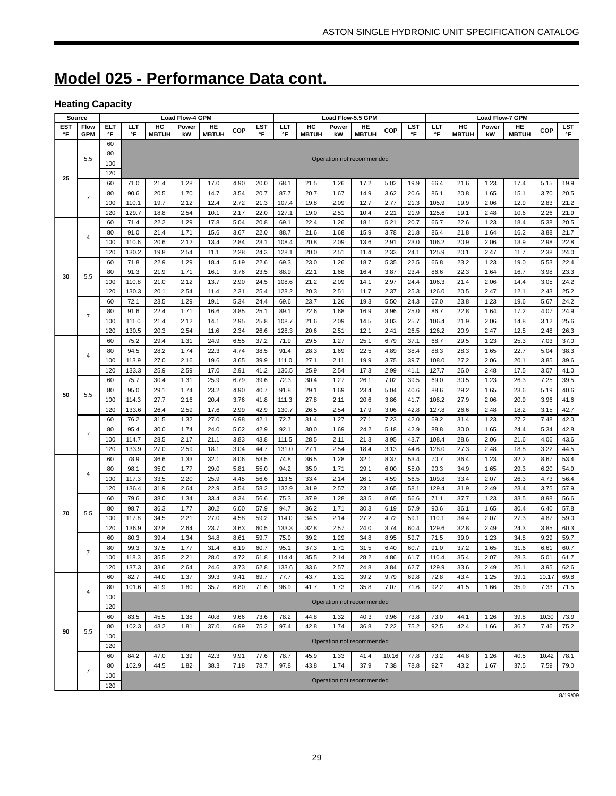# **Model 025 - Performance Data cont.**

### **Heating Capacity**

| Source |                         |     |       |              | <b>Load Flow-4 GPM</b> |              |      |      |       |              |       | Load Flow-5.5 GPM         |       |      |       |              | <b>Load Flow-7 GPM</b> |              |       |      |
|--------|-------------------------|-----|-------|--------------|------------------------|--------------|------|------|-------|--------------|-------|---------------------------|-------|------|-------|--------------|------------------------|--------------|-------|------|
| EST    | <b>Flow</b>             | ELT | ШT    | HC           | Power                  | HE           | COP  | LST  | LLT   | HC           | Power | HE                        | COP   | LST  | LLT   | HC           | Power                  | HE           | COP   | LST  |
| °F     | <b>GPM</b>              | °F  | °F    | <b>MBTUH</b> | kW                     | <b>MBTUH</b> |      | °F   | °F    | <b>MBTUH</b> | kW    | <b>MBTUH</b>              |       | °F   | °F    | <b>MBTUH</b> | kW                     | <b>MBTUH</b> |       | °F   |
|        |                         | 60  |       |              |                        |              |      |      |       |              |       |                           |       |      |       |              |                        |              |       |      |
|        | 5.5                     | 80  |       |              |                        |              |      |      |       |              |       | Operation not recommended |       |      |       |              |                        |              |       |      |
|        |                         | 100 |       |              |                        |              |      |      |       |              |       |                           |       |      |       |              |                        |              |       |      |
|        |                         | 120 |       |              |                        |              |      |      |       |              |       |                           |       |      |       |              |                        |              |       |      |
| 25     |                         | 60  | 71.0  | 21.4         | 1.28                   | 17.0         | 4.90 | 20.0 | 68.1  | 21.5         | 1.26  | 17.2                      | 5.02  | 19.9 | 66.4  | 21.6         | 1.23                   | 17.4         | 5.15  | 19.9 |
|        |                         | 80  | 90.6  | 20.5         | 1.70                   | 14.7         | 3.54 | 20.7 | 87.7  | 20.7         | 1.67  | 14.9                      | 3.62  | 20.6 | 86.1  | 20.8         | 1.65                   | 15.1         | 3.70  | 20.5 |
|        | $\overline{7}$          | 100 | 110.1 | 19.7         | 2.12                   | 12.4         | 2.72 | 21.3 | 107.4 | 19.8         | 2.09  | 12.7                      | 2.77  | 21.3 | 105.9 | 19.9         | 2.06                   | 12.9         | 2.83  | 21.2 |
|        |                         | 120 | 129.7 | 18.8         | 2.54                   | 10.1         | 2.17 | 22.0 | 127.1 | 19.0         | 2.51  | 10.4                      | 2.21  | 21.9 | 125.6 | 19.1         | 2.48                   | 10.6         | 2.26  | 21.9 |
|        |                         | 60  | 71.4  | 22.2         | 1.29                   | 17.8         | 5.04 | 20.8 | 69.1  | 22.4         | 1.26  | 18.1                      | 5.21  | 20.7 | 66.7  | 22.6         | 1.23                   | 18.4         | 5.38  | 20.5 |
|        |                         | 80  | 91.0  | 21.4         | 1.71                   | 15.6         | 3.67 | 22.0 | 88.7  | 21.6         | 1.68  | 15.9                      | 3.78  | 21.8 | 86.4  | 21.8         | 1.64                   | 16.2         | 3.88  | 21.7 |
|        | 4                       | 100 | 110.6 | 20.6         | 2.12                   | 13.4         | 2.84 | 23.1 | 108.4 | 20.8         | 2.09  | 13.6                      | 2.91  | 23.0 | 106.2 | 20.9         | 2.06                   | 13.9         | 2.98  | 22.8 |
|        |                         | 120 | 130.2 | 19.8         | 2.54                   | 11.1         | 2.28 | 24.3 | 128.1 | 20.0         | 2.51  | 11.4                      | 2.33  | 24.1 | 125.9 | 20.1         | 2.47                   | 11.7         | 2.38  | 24.0 |
|        |                         | 60  | 71.8  | 22.9         | 1.29                   | 18.4         | 5.19 | 22.6 | 69.3  | 23.0         | 1.26  | 18.7                      | 5.35  | 22.5 | 66.8  | 23.2         | 1.23                   | 19.0         | 5.53  | 22.4 |
|        |                         | 80  | 91.3  | 21.9         | 1.71                   | 16.1         | 3.76 | 23.5 | 88.9  | 22.1         | 1.68  | 16.4                      | 3.87  | 23.4 | 86.6  | 22.3         | 1.64                   | 16.7         | 3.98  | 23.3 |
| 30     | 5.5                     | 100 | 110.8 | 21.0         | 2.12                   | 13.7         | 2.90 | 24.5 | 108.6 | 21.2         | 2.09  | 14.1                      | 2.97  | 24.4 | 106.3 | 21.4         | 2.06                   | 14.4         | 3.05  | 24.2 |
|        |                         | 120 | 130.3 | 20.1         | 2.54                   | 11.4         | 2.31 | 25.4 | 128.2 | 20.3         | 2.51  |                           | 2.37  | 25.3 | 126.0 | 20.5         | 2.47                   |              | 2.43  | 25.2 |
|        |                         |     |       |              |                        |              |      |      |       |              |       | 11.7                      |       |      |       |              |                        | 12.1         |       |      |
|        |                         | 60  | 72.1  | 23.5         | 1.29                   | 19.1         | 5.34 | 24.4 | 69.6  | 23.7         | 1.26  | 19.3                      | 5.50  | 24.3 | 67.0  | 23.8         | 1.23                   | 19.6         | 5.67  | 24.2 |
|        | $\overline{7}$          | 80  | 91.6  | 22.4         | 1.71                   | 16.6         | 3.85 | 25.1 | 89.1  | 22.6         | 1.68  | 16.9                      | 3.96  | 25.0 | 86.7  | 22.8         | 1.64                   | 17.2         | 4.07  | 24.9 |
|        |                         | 100 | 111.0 | 21.4         | 2.12                   | 14.1         | 2.95 | 25.8 | 108.7 | 21.6         | 2.09  | 14.5                      | 3.03  | 25.7 | 106.4 | 21.9         | 2.06                   | 14.8         | 3.12  | 25.6 |
|        |                         | 120 | 130.5 | 20.3         | 2.54                   | 11.6         | 2.34 | 26.6 | 128.3 | 20.6         | 2.51  | 12.1                      | 2.41  | 26.5 | 126.2 | 20.9         | 2.47                   | 12.5         | 2.48  | 26.3 |
|        |                         | 60  | 75.2  | 29.4         | 1.31                   | 24.9         | 6.55 | 37.2 | 71.9  | 29.5         | 1.27  | 25.1                      | 6.79  | 37.1 | 68.7  | 29.5         | 1.23                   | 25.3         | 7.03  | 37.0 |
|        | 4                       | 80  | 94.5  | 28.2         | 1.74                   | 22.3         | 4.74 | 38.5 | 91.4  | 28.3         | 1.69  | 22.5                      | 4.89  | 38.4 | 88.3  | 28.3         | 1.65                   | 22.7         | 5.04  | 38.3 |
|        |                         | 100 | 113.9 | 27.0         | 2.16                   | 19.6         | 3.65 | 39.9 | 111.0 | 27.1         | 2.11  | 19.9                      | 3.75  | 39.7 | 108.0 | 27.2         | 2.06                   | 20.1         | 3.85  | 39.6 |
|        |                         | 120 | 133.3 | 25.9         | 2.59                   | 17.0         | 2.91 | 41.2 | 130.5 | 25.9         | 2.54  | 17.3                      | 2.99  | 41.1 | 127.7 | 26.0         | 2.48                   | 17.5         | 3.07  | 41.0 |
|        |                         | 60  | 75.7  | 30.4         | 1.31                   | 25.9         | 6.79 | 39.6 | 72.3  | 30.4         | 1.27  | 26.1                      | 7.02  | 39.5 | 69.0  | 30.5         | 1.23                   | 26.3         | 7.25  | 39.5 |
| 50     | 5.5                     | 80  | 95.0  | 29.1         | 1.74                   | 23.2         | 4.90 | 40.7 | 91.8  | 29.1         | 1.69  | 23.4                      | 5.04  | 40.6 | 88.6  | 29.2         | 1.65                   | 23.6         | 5.19  | 40.6 |
|        |                         | 100 | 114.3 | 27.7         | 2.16                   | 20.4         | 3.76 | 41.8 | 111.3 | 27.8         | 2.11  | 20.6                      | 3.86  | 41.7 | 108.2 | 27.9         | 2.06                   | 20.9         | 3.96  | 41.6 |
|        |                         | 120 | 133.6 | 26.4         | 2.59                   | 17.6         | 2.99 | 42.9 | 130.7 | 26.5         | 2.54  | 17.9                      | 3.06  | 42.8 | 127.8 | 26.6         | 2.48                   | 18.2         | 3.15  | 42.7 |
|        |                         | 60  | 76.2  | 31.5         | 1.32                   | 27.0         | 6.98 | 42.1 | 72.7  | 31.4         | 1.27  | 27.1                      | 7.23  | 42.0 | 69.2  | 31.4         | 1.23                   | 27.2         | 7.48  | 42.0 |
|        | $\overline{7}$          | 80  | 95.4  | 30.0         | 1.74                   | 24.0         | 5.02 | 42.9 | 92.1  | 30.0         | 1.69  | 24.2                      | 5.18  | 42.9 | 88.8  | 30.0         | 1.65                   | 24.4         | 5.34  | 42.8 |
|        |                         | 100 | 114.7 | 28.5         | 2.17                   | 21.1         | 3.83 | 43.8 | 111.5 | 28.5         | 2.11  | 21.3                      | 3.95  | 43.7 | 108.4 | 28.6         | 2.06                   | 21.6         | 4.06  | 43.6 |
|        |                         | 120 | 133.9 | 27.0         | 2.59                   | 18.1         | 3.04 | 44.7 | 131.0 | 27.1         | 2.54  | 18.4                      | 3.13  | 44.6 | 128.0 | 27.3         | 2.48                   | 18.8         | 3.22  | 44.5 |
|        |                         | 60  | 78.9  | 36.6         | 1.33                   | 32.1         | 8.06 | 53.5 | 74.8  | 36.5         | 1.28  | 32.1                      | 8.37  | 53.4 | 70.7  | 36.4         | 1.23                   | 32.2         | 8.67  | 53.4 |
|        | $\overline{\mathbf{4}}$ | 80  | 98.1  | 35.0         | 1.77                   | 29.0         | 5.81 | 55.0 | 94.2  | 35.0         | 1.71  | 29.1                      | 6.00  | 55.0 | 90.3  | 34.9         | 1.65                   | 29.3         | 6.20  | 54.9 |
|        |                         | 100 | 117.3 | 33.5         | 2.20                   | 25.9         | 4.45 | 56.6 | 113.5 | 33.4         | 2.14  | 26.1                      | 4.59  | 56.5 | 109.8 | 33.4         | 2.07                   | 26.3         | 4.73  | 56.4 |
|        |                         | 120 | 136.4 | 31.9         | 2.64                   | 22.9         | 3.54 | 58.2 | 132.9 | 31.9         | 2.57  | 23.1                      | 3.65  | 58.1 | 129.4 | 31.9         | 2.49                   | 23.4         | 3.75  | 57.9 |
|        |                         | 60  | 79.6  | 38.0         | 1.34                   | 33.4         | 8.34 | 56.6 | 75.3  | 37.9         | 1.28  | 33.5                      | 8.65  | 56.6 | 71.1  | 37.7         | 1.23                   | 33.5         | 8.98  | 56.6 |
|        |                         | 80  | 98.7  | 36.3         | 1.77                   | 30.2         | 6.00 | 57.9 | 94.7  | 36.2         | 1.71  | 30.3                      | 6.19  | 57.9 | 90.6  | 36.1         | 1.65                   | 30.4         | 6.40  | 57.8 |
| 70     | 5.5                     | 100 | 117.8 | 34.5         | 2.21                   | 27.0         | 4.58 | 59.2 | 114.0 | 34.5         | 2.14  | 27.2                      | 4.72  | 59.1 | 110.1 | 34.4         | 2.07                   | 27.3         | 4.87  | 59.0 |
|        |                         | 120 | 136.9 | 32.8         | 2.64                   | 23.7         | 3.63 | 60.5 | 133.3 | 32.8         | 2.57  | 24.0                      | 3.74  | 60.4 | 129.6 | 32.8         | 2.49                   | 24.3         | 3.85  | 60.3 |
|        |                         | 60  | 80.3  | 39.4         | 1.34                   | 34.8         | 8.61 | 59.7 | 75.9  | 39.2         | 1.29  | 34.8                      | 8.95  | 59.7 | 71.5  | 39.0         | 1.23                   | 34.8         | 9.29  | 59.7 |
|        |                         | 80  | 99.3  | 37.5         | 1.77                   | 31.4         | 6.19 | 60.7 | 95.1  | 37.3         | 1.71  | 31.5                      | 6.40  | 60.7 | 91.0  | 37.2         | 1.65                   | 31.6         | 6.61  | 60.7 |
|        | $\overline{7}$          | 100 | 118.3 | 35.5         | 2.21                   | 28.0         | 4.72 | 61.8 | 114.4 | 35.5         | 2.14  | 28.2                      | 4.86  | 61.7 | 110.4 | 35.4         | 2.07                   | 28.3         | 5.01  | 61.7 |
|        |                         | 120 | 137.3 | 33.6         | 2.64                   | 24.6         | 3.73 | 62.8 | 133.6 | 33.6         | 2.57  | 24.8                      | 3.84  | 62.7 | 129.9 | 33.6         | 2.49                   | 25.1         | 3.95  | 62.6 |
|        |                         | 60  | 82.7  | 44.0         | 1.37                   | 39.3         | 9.41 | 69.7 | 77.7  | 43.7         | 1.31  | 39.2                      | 9.79  | 69.8 | 72.8  | 43.4         | 1.25                   | 39.1         | 10.17 | 69.8 |
|        |                         | 80  | 101.6 | 41.9         | 1.80                   | 35.7         | 6.80 | 71.6 | 96.9  | 41.7         | 1.73  | 35.8                      | 7.07  | 71.6 | 92.2  | 41.5         | 1.66                   | 35.9         | 7.33  | 71.5 |
|        | 4                       | 100 |       |              |                        |              |      |      |       |              |       |                           |       |      |       |              |                        |              |       |      |
|        |                         | 120 |       |              |                        |              |      |      |       |              |       | Operation not recommended |       |      |       |              |                        |              |       |      |
|        |                         | 60  | 83.5  | 45.5         | 1.38                   | 40.8         | 9.66 | 73.6 | 78.2  | 44.8         | 1.32  | 40.3                      | 9.96  | 73.8 | 73.0  | 44.1         | 1.26                   | 39.8         | 10.30 | 73.9 |
|        |                         | 80  | 102.3 | 43.2         | 1.81                   | 37.0         | 6.99 | 75.2 | 97.4  | 42.8         | 1.74  | 36.8                      | 7.22  | 75.2 | 92.5  | 42.4         | 1.66                   | 36.7         | 7.46  | 75.2 |
| 90     | 5.5                     | 100 |       |              |                        |              |      |      |       |              |       |                           |       |      |       |              |                        |              |       |      |
|        |                         | 120 |       |              |                        |              |      |      |       |              |       | Operation not recommended |       |      |       |              |                        |              |       |      |
|        |                         | 60  | 84.2  | 47.0         | 1.39                   | 42.3         | 9.91 | 77.6 | 78.7  | 45.9         | 1.33  | 41.4                      | 10.16 | 77.8 | 73.2  | 44.8         | 1.26                   | 40.5         | 10.42 | 78.1 |
|        |                         | 80  | 102.9 | 44.5         | 1.82                   | 38.3         | 7.18 | 78.7 | 97.8  | 43.8         | 1.74  | 37.9                      | 7.38  | 78.8 | 92.7  | 43.2         | 1.67                   | 37.5         | 7.59  | 79.0 |
|        | $\overline{7}$          | 100 |       |              |                        |              |      |      |       |              |       |                           |       |      |       |              |                        |              |       |      |
|        |                         | 120 |       |              |                        |              |      |      |       |              |       | Operation not recommended |       |      |       |              |                        |              |       |      |

8/19/09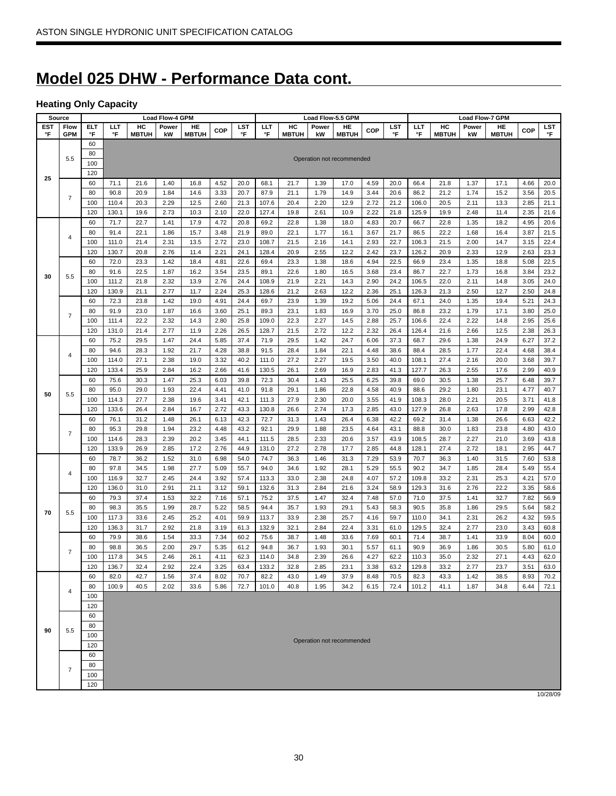# **Model 025 DHW - Performance Data cont.**

# **Heating Only Capacity**

|     | <b>Source</b>  |     |       |              | <b>Load Flow-4 GPM</b> |              |            |      |       |              |       | Load Flow-5.5 GPM         |            |      |       |              | <b>Load Flow-7 GPM</b> |              |            |      |
|-----|----------------|-----|-------|--------------|------------------------|--------------|------------|------|-------|--------------|-------|---------------------------|------------|------|-------|--------------|------------------------|--------------|------------|------|
| EST | Flow           | ELT | ШT    | HC           | Power                  | HE           | <b>COP</b> | LST  | LLT   | HC           | Power | HE                        | <b>COP</b> | LST  | ШT    | HC           | Power                  | HE           | <b>COP</b> | LST  |
| °F  | <b>GPM</b>     | °F  | °F    | <b>MBTUH</b> | kW                     | <b>MBTUH</b> |            | °F   | °F    | <b>MBTUH</b> | kW    | <b>MBTUH</b>              |            | °F   | °F    | <b>MBTUH</b> | kW                     | <b>MBTUH</b> |            | °F   |
|     |                | 60  |       |              |                        |              |            |      |       |              |       |                           |            |      |       |              |                        |              |            |      |
|     | 5.5            | 80  |       |              |                        |              |            |      |       |              |       | Operation not recommended |            |      |       |              |                        |              |            |      |
|     |                | 100 |       |              |                        |              |            |      |       |              |       |                           |            |      |       |              |                        |              |            |      |
| 25  |                | 120 |       |              |                        |              |            |      |       |              |       |                           |            |      |       |              |                        |              |            |      |
|     |                | 60  | 71.1  | 21.6         | 1.40                   | 16.8         | 4.52       | 20.0 | 68.1  | 21.7         | 1.39  | 17.0                      | 4.59       | 20.0 | 66.4  | 21.8         | 1.37                   | 17.1         | 4.66       | 20.0 |
|     | $\overline{7}$ | 80  | 90.8  | 20.9         | 1.84                   | 14.6         | 3.33       | 20.7 | 87.9  | 21.1         | 1.79  | 14.9                      | 3.44       | 20.6 | 86.2  | 21.2         | 1.74                   | 15.2         | 3.56       | 20.5 |
|     |                | 100 | 110.4 | 20.3         | 2.29                   | 12.5         | 2.60       | 21.3 | 107.6 | 20.4         | 2.20  | 12.9                      | 2.72       | 21.2 | 106.0 | 20.5         | 2.11                   | 13.3         | 2.85       | 21.1 |
|     |                | 120 | 130.1 | 19.6         | 2.73                   | 10.3         | 2.10       | 22.0 | 127.4 | 19.8         | 2.61  | 10.9                      | 2.22       | 21.8 | 125.9 | 19.9         | 2.48                   | 11.4         | 2.35       | 21.6 |
|     |                | 60  | 71.7  | 22.7         | 1.41                   | 17.9         | 4.72       | 20.8 | 69.2  | 22.8         | 1.38  | 18.0                      | 4.83       | 20.7 | 66.7  | 22.8         | 1.35                   | 18.2         | 4.95       | 20.6 |
|     | $\sqrt{4}$     | 80  | 91.4  | 22.1         | 1.86                   | 15.7         | 3.48       | 21.9 | 89.0  | 22.1         | 1.77  | 16.1                      | 3.67       | 21.7 | 86.5  | 22.2         | 1.68                   | 16.4         | 3.87       | 21.5 |
|     |                | 100 | 111.0 | 21.4         | 2.31                   | 13.5         | 2.72       | 23.0 | 108.7 | 21.5         | 2.16  | 14.1                      | 2.93       | 22.7 | 106.3 | 21.5         | 2.00                   | 14.7         | 3.15       | 22.4 |
|     |                | 120 | 130.7 | 20.8         | 2.76                   | 11.4         | 2.21       | 24.1 | 128.4 | 20.9         | 2.55  | 12.2                      | 2.42       | 23.7 | 126.2 | 20.9         | 2.33                   | 12.9         | 2.63       | 23.3 |
|     |                | 60  | 72.0  | 23.3         | 1.42                   | 18.4         | 4.81       | 22.6 | 69.4  | 23.3         | 1.38  | 18.6                      | 4.94       | 22.5 | 66.9  | 23.4         | 1.35                   | 18.8         | 5.08       | 22.5 |
|     |                | 80  | 91.6  | 22.5         | 1.87                   | 16.2         | 3.54       | 23.5 | 89.1  | 22.6         | 1.80  | 16.5                      | 3.68       | 23.4 | 86.7  | 22.7         | 1.73                   | 16.8         | 3.84       | 23.2 |
| 30  | 5.5            | 100 | 111.2 | 21.8         | 2.32                   | 13.9         | 2.76       | 24.4 | 108.9 | 21.9         | 2.21  | 14.3                      | 2.90       | 24.2 | 106.5 | 22.0         | 2.11                   | 14.8         | 3.05       | 24.0 |
|     |                | 120 | 130.9 | 21.1         | 2.77                   | 11.7         | 2.24       | 25.3 | 128.6 | 21.2         | 2.63  | 12.2                      | 2.36       | 25.1 | 126.3 | 21.3         | 2.50                   | 12.7         | 2.50       | 24.8 |
|     |                | 60  | 72.3  | 23.8         | 1.42                   | 19.0         | 4.91       | 24.4 | 69.7  | 23.9         | 1.39  | 19.2                      | 5.06       | 24.4 | 67.1  | 24.0         | 1.35                   | 19.4         | 5.21       | 24.3 |
|     |                | 80  | 91.9  | 23.0         | 1.87                   | 16.6         | 3.60       | 25.1 | 89.3  | 23.1         | 1.83  | 16.9                      | 3.70       | 25.0 | 86.8  | 23.2         | 1.79                   | 17.1         | 3.80       | 25.0 |
|     | $\overline{7}$ | 100 | 111.4 | 22.2         | 2.32                   | 14.3         | 2.80       | 25.8 | 109.0 | 22.3         | 2.27  | 14.5                      | 2.88       | 25.7 | 106.6 | 22.4         | 2.22                   | 14.8         | 2.95       | 25.6 |
|     |                | 120 | 131.0 | 21.4         | 2.77                   | 11.9         | 2.26       | 26.5 | 128.7 | 21.5         | 2.72  | 12.2                      | 2.32       | 26.4 | 126.4 | 21.6         | 2.66                   | 12.5         | 2.38       | 26.3 |
|     |                | 60  | 75.2  | 29.5         | 1.47                   | 24.4         | 5.85       | 37.4 | 71.9  | 29.5         | 1.42  | 24.7                      | 6.06       | 37.3 | 68.7  | 29.6         | 1.38                   | 24.9         | 6.27       | 37.2 |
|     |                | 80  | 94.6  | 28.3         | 1.92                   | 21.7         | 4.28       | 38.8 | 91.5  | 28.4         | 1.84  | 22.1                      | 4.48       | 38.6 | 88.4  | 28.5         | 1.77                   | 22.4         | 4.68       | 38.4 |
|     | $\sqrt{4}$     | 100 | 114.0 | 27.1         | 2.38                   | 19.0         | 3.32       | 40.2 | 111.0 | 27.2         | 2.27  | 19.5                      | 3.50       | 40.0 | 108.1 | 27.4         | 2.16                   | 20.0         | 3.68       | 39.7 |
|     |                | 120 | 133.4 | 25.9         | 2.84                   | 16.2         | 2.66       | 41.6 | 130.5 | 26.1         | 2.69  | 16.9                      | 2.83       | 41.3 | 127.7 | 26.3         | 2.55                   | 17.6         | 2.99       | 40.9 |
|     |                | 60  | 75.6  | 30.3         | 1.47                   | 25.3         | 6.03       | 39.8 | 72.3  | 30.4         | 1.43  | 25.5                      | 6.25       | 39.8 | 69.0  | 30.5         | 1.38                   | 25.7         | 6.48       | 39.7 |
|     |                | 80  | 95.0  | 29.0         | 1.93                   | 22.4         | 4.41       | 41.0 | 91.8  | 29.1         | 1.86  | 22.8                      | 4.58       | 40.9 | 88.6  | 29.2         | 1.80                   | 23.1         | 4.77       | 40.7 |
| 50  | 5.5            | 100 | 114.3 | 27.7         | 2.38                   | 19.6         | 3.41       | 42.1 | 111.3 | 27.9         | 2.30  | 20.0                      | 3.55       | 41.9 | 108.3 | 28.0         | 2.21                   | 20.5         | 3.71       | 41.8 |
|     |                | 120 | 133.6 | 26.4         | 2.84                   | 16.7         | 2.72       | 43.3 | 130.8 | 26.6         | 2.74  | 17.3                      | 2.85       | 43.0 | 127.9 | 26.8         | 2.63                   | 17.8         | 2.99       | 42.8 |
|     |                | 60  | 76.1  | 31.2         | 1.48                   | 26.1         | 6.13       | 42.3 | 72.7  | 31.3         | 1.43  | 26.4                      | 6.38       | 42.2 | 69.2  | 31.4         | 1.38                   | 26.6         | 6.63       | 42.2 |
|     |                | 80  | 95.3  | 29.8         | 1.94                   | 23.2         | 4.48       | 43.2 | 92.1  | 29.9         | 1.88  | 23.5                      | 4.64       | 43.1 | 88.8  | 30.0         | 1.83                   | 23.8         | 4.80       | 43.0 |
|     | $\overline{7}$ | 100 | 114.6 | 28.3         | 2.39                   | 20.2         | 3.45       | 44.1 | 111.5 | 28.5         | 2.33  | 20.6                      | 3.57       | 43.9 | 108.5 | 28.7         | 2.27                   | 21.0         | 3.69       | 43.8 |
|     |                | 120 | 133.9 | 26.9         | 2.85                   | 17.2         | 2.76       | 44.9 | 131.0 | 27.2         | 2.78  | 17.7                      | 2.85       | 44.8 | 128.1 | 27.4         | 2.72                   | 18.1         | 2.95       | 44.7 |
|     |                | 60  | 78.7  | 36.2         | 1.52                   | 31.0         | 6.98       | 54.0 | 74.7  | 36.3         | 1.46  | 31.3                      | 7.29       | 53.9 | 70.7  | 36.3         | 1.40                   | 31.5         | 7.60       | 53.8 |
|     |                | 80  | 97.8  | 34.5         | 1.98                   | 27.7         | 5.09       | 55.7 | 94.0  | 34.6         | 1.92  | 28.1                      | 5.29       | 55.5 | 90.2  | 34.7         | 1.85                   | 28.4         | 5.49       | 55.4 |
|     | 4              | 100 | 116.9 | 32.7         | 2.45                   | 24.4         | 3.92       | 57.4 | 113.3 | 33.0         | 2.38  | 24.8                      | 4.07       | 57.2 | 109.8 | 33.2         | 2.31                   | 25.3         | 4.21       | 57.0 |
|     |                | 120 | 136.0 | 31.0         | 2.91                   | 21.1         | 3.12       | 59.1 | 132.6 | 31.3         | 2.84  | 21.6                      | 3.24       | 58.9 | 129.3 | 31.6         | 2.76                   | 22.2         | 3.35       | 58.6 |
|     |                | 60  | 79.3  | 37.4         | 1.53                   | 32.2         | 7.16       | 57.1 | 75.2  | 37.5         | 1.47  | 32.4                      | 7.48       | 57.0 | 71.0  | 37.5         | 1.41                   | 32.7         | 7.82       | 56.9 |
|     |                | 80  | 98.3  | 35.5         | 1.99                   | 28.7         | 5.22       | 58.5 | 94.4  | 35.7         | 1.93  | 29.1                      | 5.43       | 58.3 | 90.5  | 35.8         | 1.86                   | 29.5         | 5.64       | 58.2 |
| 70  | 5.5            | 100 | 117.3 | 33.6         | 2.45                   | 25.2         | 4.01       | 59.9 | 113.7 | 33.9         | 2.38  | 25.7                      | 4.16       | 59.7 | 110.0 | 34.1         | 2.31                   | 26.2         | 4.32       | 59.5 |
|     |                |     |       |              |                        |              |            |      |       |              |       |                           |            |      |       |              |                        |              |            |      |
|     |                | 120 | 136.3 | 31.7         | 2.92                   | 21.8         | 3.19       | 61.3 | 132.9 | 32.1         | 2.84  | 22.4                      | 3.31       | 61.0 | 129.5 | 32.4         | 2.77                   | 23.0         | 3.43       | 60.8 |
|     |                | 60  | 79.9  | 38.6         | 1.54                   | 33.3         | 7.34       | 60.2 | 75.6  | 38.7         | 1.48  | 33.6                      | 7.69       | 60.1 | 71.4  | 38.7         | 1.41                   | 33.9         | 8.04       | 60.0 |
|     | 7              | 80  | 98.8  | 36.5         | 2.00                   | 29.7         | 5.35       | 61.2 | 94.8  | 36.7         | 1.93  | 30.1                      | 5.57       | 61.1 | 90.9  | 36.9         | 1.86                   | 30.5         | 5.80       | 61.0 |
|     |                | 100 | 117.8 | 34.5         | 2.46                   | 26.1         | 4.11       | 62.3 | 114.0 | 34.8         | 2.39  | 26.6                      | 4.27       | 62.2 | 110.3 | 35.0         | 2.32                   | 27.1         | 4.43       | 62.0 |
|     |                | 120 | 136.7 | 32.4         | 2.92                   | 22.4         | 3.25       | 63.4 | 133.2 | 32.8         | 2.85  | 23.1                      | 3.38       | 63.2 | 129.8 | 33.2         | 2.77                   | 23.7         | 3.51       | 63.0 |
|     |                | 60  | 82.0  | 42.7         | 1.56                   | 37.4         | 8.02       | 70.7 | 82.2  | 43.0         | 1.49  | 37.9                      | 8.48       | 70.5 | 82.3  | 43.3         | 1.42                   | 38.5         | 8.93       | 70.2 |
|     | 4              | 80  | 100.9 | 40.5         | 2.02                   | 33.6         | 5.86       | 72.7 | 101.0 | 40.8         | 1.95  | 34.2                      | 6.15       | 72.4 | 101.2 | 41.1         | 1.87                   | 34.8         | 6.44       | 72.1 |
|     |                | 100 |       |              |                        |              |            |      |       |              |       |                           |            |      |       |              |                        |              |            |      |
|     |                | 120 |       |              |                        |              |            |      |       |              |       |                           |            |      |       |              |                        |              |            |      |
|     |                | 60  |       |              |                        |              |            |      |       |              |       |                           |            |      |       |              |                        |              |            |      |
| 90  | 5.5            | 80  |       |              |                        |              |            |      |       |              |       |                           |            |      |       |              |                        |              |            |      |
|     |                | 100 |       |              |                        |              |            |      |       |              |       | Operation not recommended |            |      |       |              |                        |              |            |      |
|     |                | 120 |       |              |                        |              |            |      |       |              |       |                           |            |      |       |              |                        |              |            |      |
|     |                | 60  |       |              |                        |              |            |      |       |              |       |                           |            |      |       |              |                        |              |            |      |
|     | 7              | 80  |       |              |                        |              |            |      |       |              |       |                           |            |      |       |              |                        |              |            |      |
|     |                | 100 |       |              |                        |              |            |      |       |              |       |                           |            |      |       |              |                        |              |            |      |
|     |                | 120 |       |              |                        |              |            |      |       |              |       |                           |            |      |       |              |                        |              |            |      |

10/28/09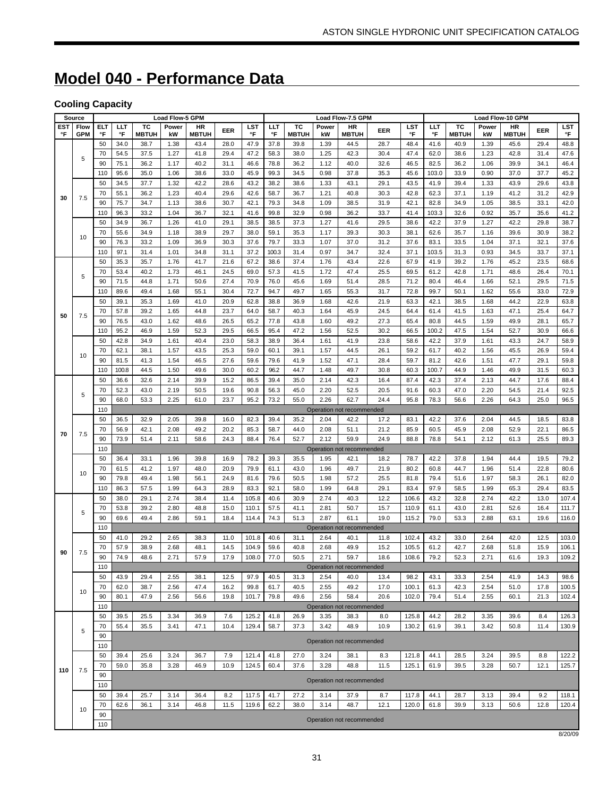# **Model 040 - Performance Data**

# **Cooling Capacity**

|            | Load Flow-5 GPM<br>Load Flow-7.5 GPM<br>Load Flow-10 GPM<br>Source |            |              |              |              |              |              |                |              |              |              |                           |              |                |               |              |              |              |              |                |
|------------|--------------------------------------------------------------------|------------|--------------|--------------|--------------|--------------|--------------|----------------|--------------|--------------|--------------|---------------------------|--------------|----------------|---------------|--------------|--------------|--------------|--------------|----------------|
| <b>EST</b> | Flow                                                               | <b>ELT</b> | LLT          | тc           | Power        | HR           | EER          | LST            | ШT           | тc           | Power        | <b>HR</b>                 | EER          | <b>LST</b>     | ШT            | тc           | Power        | <b>HR</b>    | EER          | <b>LST</b>     |
| °F         | <b>GPM</b>                                                         | °F         | °F           | <b>MBTUH</b> | kW           | <b>MBTUH</b> |              | °F             | °F           | <b>MBTUH</b> | kW           | <b>MBTUH</b>              |              | °F             | °F            | <b>MBTUH</b> | kW           | <b>MBTUH</b> |              | °F             |
|            |                                                                    | 50         | 34.0         | 38.7         | 1.38         | 43.4         | 28.0         | 47.9           | 37.8         | 39.8         | 1.39         | 44.5                      | 28.7         | 48.4           | 41.6          | 40.9         | 1.39         | 45.6         | 29.4         | 48.8           |
|            | 5                                                                  | 70         | 54.5         | 37.5         | 1.27         | 41.8         | 29.4         | 47.2           | 58.3         | 38.0         | 1.25         | 42.3                      | 30.4         | 47.4           | 62.0          | 38.6         | 1.23         | 42.8         | 31.4         | 47.6           |
|            |                                                                    | 90         | 75.1         | 36.2         | 1.17         | 40.2         | 31.1         | 46.6           | 78.8         | 36.2         | 1.12         | 40.0                      | 32.6         | 46.5           | 82.5          | 36.2         | 1.06         | 39.9         | 34.1         | 46.4           |
|            |                                                                    | 110        | 95.6         | 35.0         | 1.06         | 38.6         | 33.0         | 45.9           | 99.3         | 34.5         | 0.98         | 37.8                      | 35.3         | 45.6           | 103.0         | 33.9         | 0.90         | 37.0         | 37.7         | 45.2           |
|            |                                                                    | 50         | 34.5         | 37.7         | 1.32         | 42.2         | 28.6         | 43.2           | 38.2         | 38.6         | 1.33         | 43.1                      | 29.1         | 43.5           | 41.9          | 39.4         | 1.33         | 43.9         | 29.6         | 43.8           |
| 30         | 7.5                                                                | 70         | 55.1         | 36.2         | 1.23         | 40.4         | 29.6         | 42.6           | 58.7         | 36.7         | 1.21         | 40.8                      | 30.3         | 42.8           | 62.3          | 37.1         | 1.19         | 41.2         | 31.2         | 42.9           |
|            |                                                                    | 90<br>110  | 75.7         | 34.7         | 1.13<br>1.04 | 38.6         | 30.7<br>32.1 | 42.1           | 79.3<br>99.8 | 34.8<br>32.9 | 1.09<br>0.98 | 38.5<br>36.2              | 31.9<br>33.7 | 42.1<br>41.4   | 82.8<br>103.3 | 34.9<br>32.6 | 1.05<br>0.92 | 38.5         | 33.1         | 42.0<br>41.2   |
|            |                                                                    | 50         | 96.3         | 33.2<br>36.7 | 1.26         | 36.7<br>41.0 | 29.1         | 41.6           | 38.5         |              | 1.27         | 41.6                      | 29.5         | 38.6           | 42.2          | 37.9         | 1.27         | 35.7<br>42.2 | 35.6<br>29.8 | 38.7           |
|            |                                                                    | 70         | 34.9<br>55.6 | 34.9         | 1.18         | 38.9         | 29.7         | 38.5<br>38.0   | 59.1         | 37.3<br>35.3 | 1.17         | 39.3                      | 30.3         | 38.1           | 62.6          | 35.7         | 1.16         | 39.6         | 30.9         | 38.2           |
|            | 10                                                                 | 90         | 76.3         | 33.2         | 1.09         | 36.9         | 30.3         | 37.6           | 79.7         | 33.3         | 1.07         | 37.0                      | 31.2         | 37.6           | 83.1          | 33.5         | 1.04         | 37.1         | 32.1         | 37.6           |
|            |                                                                    | 110        | 97.1         | 31.4         | 1.01         | 34.8         | 31.1         | 37.2           | 100.3        | 31.4         | 0.97         | 34.7                      | 32.4         | 37.1           | 103.5         | 31.3         | 0.93         | 34.5         | 33.7         | 37.1           |
|            |                                                                    | 50         | 35.3         | 35.7         | 1.76         | 41.7         | 21.6         | 67.2           | 38.6         | 37.4         | 1.76         | 43.4                      | 22.6         | 67.9           | 41.9          | 39.2         | 1.76         | 45.2         | 23.5         | 68.6           |
|            |                                                                    | 70         | 53.4         | 40.2         | 1.73         | 46.1         | 24.5         | 69.0           | 57.3         | 41.5         | 1.72         | 47.4                      | 25.5         | 69.5           | 61.2          | 42.8         | 1.71         | 48.6         | 26.4         | 70.1           |
|            | 5                                                                  | 90         | 71.5         | 44.8         | 1.71         | 50.6         | 27.4         | 70.9           | 76.0         | 45.6         | 1.69         | 51.4                      | 28.5         | 71.2           | 80.4          | 46.4         | 1.66         | 52.1         | 29.5         | 71.5           |
|            |                                                                    | 110        | 89.6         | 49.4         | 1.68         | 55.1         | 30.4         | 72.7           | 94.7         | 49.7         | 1.65         | 55.3                      | 31.7         | 72.8           | 99.7          | 50.1         | 1.62         | 55.6         | 33.0         | 72.9           |
|            |                                                                    | 50         | 39.1         | 35.3         | 1.69         | 41.0         | 20.9         | 62.8           | 38.8         | 36.9         | 1.68         | 42.6                      | 21.9         | 63.3           | 42.1          | 38.5         | 1.68         | 44.2         | 22.9         | 63.8           |
|            |                                                                    | 70         | 57.8         | 39.2         | 1.65         | 44.8         | 23.7         | 64.0           | 58.7         | 40.3         | 1.64         | 45.9                      | 24.5         | 64.4           | 61.4          | 41.5         | 1.63         | 47.1         | 25.4         | 64.7           |
| 50         | 7.5                                                                | 90         | 76.5         | 43.0         | 1.62         | 48.6         | 26.5         | 65.2           | 77.8         | 43.8         | 1.60         | 49.2                      | 27.3         | 65.4           | 80.8          | 44.5         | 1.59         | 49.9         | 28.1         | 65.7           |
|            |                                                                    | 110        | 95.2         | 46.9         | 1.59         | 52.3         | 29.5         | 66.5           | 95.4         | 47.2         | 1.56         | 52.5                      | 30.2         | 66.5           | 100.2         | 47.5         | 1.54         | 52.7         | 30.9         | 66.6           |
|            |                                                                    | 50         | 42.8         | 34.9         | 1.61         | 40.4         | 23.0         | 58.3           | 38.9         | 36.4         | 1.61         | 41.9                      | 23.8         | 58.6           | 42.2          | 37.9         | 1.61         | 43.3         | 24.7         | 58.9           |
|            |                                                                    | 70         | 62.1         | 38.1         | 1.57         | 43.5         | 25.3         | 59.0           | 60.1         | 39.1         | 1.57         | 44.5                      | 26.1         | 59.2           | 61.7          | 40.2         | 1.56         | 45.5         | 26.9         | 59.4           |
|            | 10                                                                 | 90         | 81.5         | 41.3         | 1.54         | 46.5         | 27.6         | 59.6           | 79.6         | 41.9         | 1.52         | 47.1                      | 28.4         | 59.7           | 81.2          | 42.6         | 1.51         | 47.7         | 29.1         | 59.8           |
|            |                                                                    | 110        | 100.8        | 44.5         | 1.50         | 49.6         | 30.0         | 60.2           | 96.2         | 44.7         | 1.48         | 49.7                      | 30.8         | 60.3           | 100.7         | 44.9         | 1.46         | 49.9         | 31.5         | 60.3           |
|            |                                                                    | 50         | 36.6         | 32.6         | 2.14         | 39.9         | 15.2         | 86.5           | 39.4         | 35.0         | 2.14         | 42.3                      | 16.4         | 87.4           | 42.3          | 37.4         | 2.13         | 44.7         | 17.6         | 88.4           |
|            | 5                                                                  | 70         | 52.3         | 43.0         | 2.19         | 50.5         | 19.6         | 90.8           | 56.3         | 45.0         | 2.20         | 52.5                      | 20.5         | 91.6           | 60.3          | 47.0         | 2.20         | 54.5         | 21.4         | 92.5           |
|            |                                                                    | 90         | 68.0         | 53.3         | 2.25         | 61.0         | 23.7         | 95.2           | 73.2         | 55.0         | 2.26         | 62.7                      | 24.4         | 95.8           | 78.3          | 56.6         | 2.26         | 64.3         | 25.0         | 96.5           |
|            |                                                                    | 110        |              |              |              |              |              |                |              |              |              | Operation not recommended |              |                |               |              |              |              |              |                |
|            |                                                                    | 50         | 36.5         | 32.9         | 2.05         | 39.8         | 16.0         | 82.3           | 39.4         | 35.2         | 2.04         | 42.2                      | 17.2         | 83.1           | 42.2          | 37.6         | 2.04         | 44.5         | 18.5         | 83.8           |
| 70         | 7.5                                                                | 70         | 56.9         | 42.1         | 2.08         | 49.2         | 20.2         | 85.3           | 58.7         | 44.0         | 2.08         | 51.1                      | 21.2         | 85.9           | 60.5          | 45.9         | 2.08         | 52.9         | 22.1         | 86.5           |
|            |                                                                    | 90         | 73.9         | 51.4         | 2.11         | 58.6         | 24.3         | 88.4           | 76.4         | 52.7         | 2.12         | 59.9                      | 24.9         | 88.8           | 78.8          | 54.1         | 2.12         | 61.3         | 25.5         | 89.3           |
|            |                                                                    | 110        |              |              |              |              |              |                |              |              |              | Operation not recommended |              |                |               |              |              |              |              |                |
|            |                                                                    | 50         | 36.4         | 33.1         | 1.96         | 39.8         | 16.9         | 78.2           | 39.3         | 35.5         | 1.95         | 42.1                      | 18.2         | 78.7           | 42.2          | 37.8         | 1.94         | 44.4         | 19.5         | 79.2           |
|            | 10                                                                 | 70         | 61.5         | 41.2         | 1.97         | 48.0         | 20.9         | 79.9           | 61.1         | 43.0         | 1.96         | 49.7                      | 21.9         | 80.2           | 60.8          | 44.7         | 1.96         | 51.4         | 22.8         | 80.6           |
|            |                                                                    | 90         | 79.8         | 49.4         | 1.98         | 56.1         | 24.9         | 81.6           | 79.6         | 50.5         | 1.98         | 57.2                      | 25.5         | 81.8           | 79.4          | 51.6         | 1.97         | 58.3         | 26.1         | 82.0           |
|            |                                                                    | 110        | 86.3         | 57.5         | 1.99         | 64.3         | 28.9         | 83.3           | 92.1         | 58.0         | 1.99         | 64.8                      | 29.1         | 83.4           | 97.9          | 58.5         | 1.99         | 65.3         | 29.4         | 83.5           |
|            |                                                                    | 50         | 38.0         | 29.1         | 2.74         | 38.4         | 11.4         | 105.8          | 40.6         | 30.9         | 2.74         | 40.3                      | 12.2         | 106.6          | 43.2          | 32.8         | 2.74         | 42.2         | 13.0         | 107.4          |
|            | 5                                                                  | 70<br>90   | 53.8<br>69.6 | 39.2<br>49.4 | 2.80<br>2.86 | 48.8<br>59.1 | 15.0<br>18.4 | 110.1<br>114.4 | 57.5<br>74.3 | 41.1<br>51.3 | 2.81<br>2.87 | 50.7<br>61.1              | 15.7<br>19.0 | 110.9<br>115.2 | 61.1<br>79.0  | 43.0<br>53.3 | 2.81<br>2.88 | 52.6<br>63.1 | 16.4<br>19.6 | 111.7<br>116.0 |
|            |                                                                    | 110        |              |              |              |              |              |                |              |              |              | Operation not recommended |              |                |               |              |              |              |              |                |
|            |                                                                    | 50         | 41.0         | 29.2         | 2.65         | 38.3         | 11.0         | 101.8          | 40.6         | 31.1         | 2.64         | 40.1                      | 11.8         | 102.4          | 43.2          | 33.0         | 2.64         | 42.0         | 12.5         | 103.0          |
|            |                                                                    | 70         | 57.9         | 38.9         | 2.68         | 48.1         | 14.5         | 104.9          | 59.6         | 40.8         | 2.68         | 49.9                      | 15.2         | 105.5          | 61.2          | 42.7         | 2.68         | 51.8         | 15.9         | 106.1          |
| 90         | 7.5                                                                | 90         | 74.9         | 48.6         | 2.71         | 57.9         | 17.9         | 108.0          | 77.0         | 50.5         | 2.71         | 59.7                      | 18.6         | 108.6          | 79.2          | 52.3         | 2.71         | 61.6         | 19.3         | 109.2          |
|            |                                                                    | 110        |              |              |              |              |              |                |              |              |              | Operation not recommended |              |                |               |              |              |              |              |                |
|            |                                                                    | 50         | 43.9         | 29.4         | 2.55         | 38.1         | 12.5         | 97.9           | 40.5         | 31.3         | 2.54         | 40.0                      | 13.4         | 98.2           | 43.1          | 33.3         | 2.54         | 41.9         | 14.3         | 98.6           |
|            |                                                                    | 70         | 62.0         | 38.7         | 2.56         | 47.4         | 16.2         | 99.8           | 61.7         | 40.5         | 2.55         | 49.2                      | 17.0         | 100.1          | 61.3          | 42.3         | 2.54         | 51.0         | 17.8         | 100.5          |
|            | 10                                                                 | 90         | 80.1         | 47.9         | 2.56         | 56.6         | 19.8         | 101.7          | 79.8         | 49.6         | 2.56         | 58.4                      | 20.6         | 102.0          | 79.4          | 51.4         | 2.55         | 60.1         | 21.3         | 102.4          |
|            |                                                                    | 110        |              |              |              |              |              |                |              |              |              | Operation not recommended |              |                |               |              |              |              |              |                |
|            |                                                                    | 50         | 39.5         | 25.5         | 3.34         | 36.9         | 7.6          | 125.2          | 41.8         | 26.9         | 3.35         | 38.3                      | 8.0          | 125.8          | 44.2          | 28.2         | 3.35         | 39.6         | 8.4          | 126.3          |
|            | 5                                                                  | 70         | 55.4         | 35.5         | 3.41         | 47.1         | 10.4         | 129.4          | 58.7         | 37.3         | 3.42         | 48.9                      | 10.9         | 130.2          | 61.9          | 39.1         | 3.42         | 50.8         | 11.4         | 130.9          |
|            |                                                                    | 90         |              |              |              |              |              |                |              |              |              | Operation not recommended |              |                |               |              |              |              |              |                |
|            |                                                                    | 110        |              |              |              |              |              |                |              |              |              |                           |              |                |               |              |              |              |              |                |
|            |                                                                    | 50         | 39.4         | 25.6         | 3.24         | 36.7         | 7.9          | 121.4          | 41.8         | 27.0         | 3.24         | 38.1                      | 8.3          | 121.8          | 44.1          | 28.5         | 3.24         | 39.5         | 8.8          | 122.2          |
| 110        | 7.5                                                                | 70         | 59.0         | 35.8         | 3.28         | 46.9         | 10.9         | 124.5          | 60.4         | 37.6         | 3.28         | 48.8                      | 11.5         | 125.1          | 61.9          | 39.5         | 3.28         | 50.7         | 12.1         | 125.7          |
|            |                                                                    | 90         |              |              |              |              |              |                |              |              |              | Operation not recommended |              |                |               |              |              |              |              |                |
|            |                                                                    | 110        |              |              |              |              |              |                |              |              |              |                           |              |                |               |              |              |              |              |                |
|            |                                                                    | 50<br>70   | 39.4<br>62.6 | 25.7<br>36.1 | 3.14<br>3.14 | 36.4<br>46.8 | 8.2<br>11.5  | 117.5<br>119.6 | 41.7<br>62.2 | 27.2<br>38.0 | 3.14<br>3.14 | 37.9<br>48.7              | 8.7<br>12.1  | 117.8<br>120.0 | 44.1<br>61.8  | 28.7<br>39.9 | 3.13<br>3.13 | 39.4<br>50.6 | 9.2<br>12.8  | 118.1<br>120.4 |
|            | 10                                                                 | 90         |              |              |              |              |              |                |              |              |              |                           |              |                |               |              |              |              |              |                |
|            |                                                                    | 110        |              |              |              |              |              |                |              |              |              | Operation not recommended |              |                |               |              |              |              |              |                |
|            |                                                                    |            |              |              |              |              |              |                |              |              |              |                           |              |                |               |              |              |              |              |                |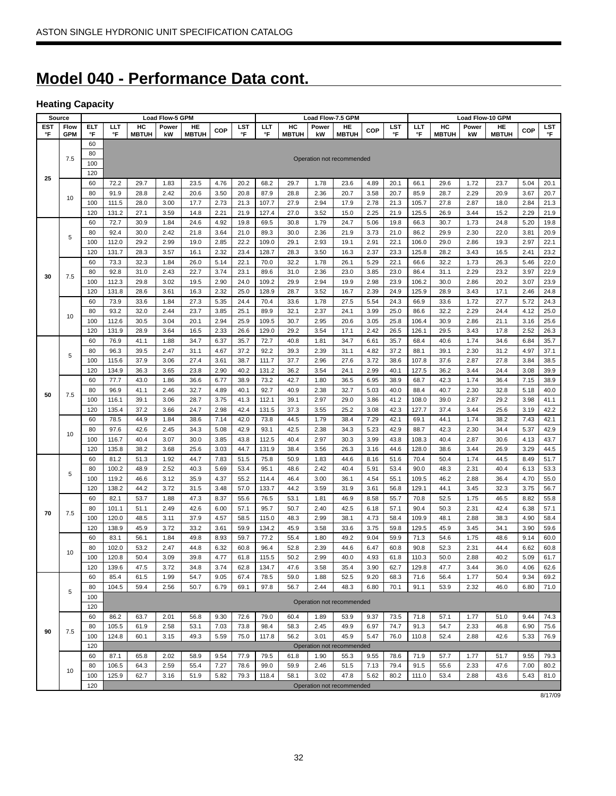# **Model 040 - Performance Data cont.**

### **Heating Capacity**

|     | Source     |            |       |              | <b>Load Flow-5 GPM</b> |              |      |      |       |              |       | Load Flow-7.5 GPM         |            |      |       |              | <b>Load Flow-10 GPM</b> |              |            |      |
|-----|------------|------------|-------|--------------|------------------------|--------------|------|------|-------|--------------|-------|---------------------------|------------|------|-------|--------------|-------------------------|--------------|------------|------|
| EST | Flow       | <b>ELT</b> | ШT    | HC           | Power                  | HE           | COP  | LST  | LLT   | HC           | Power | HE                        | <b>COP</b> | LST  | LLT   | HC           | Power                   | HE           | <b>COP</b> | LST  |
| °F  | <b>GPM</b> | °F         | °F    | <b>MBTUH</b> | kW                     | <b>MBTUH</b> |      | °F   | °F    | <b>MBTUH</b> | kW    | <b>MBTUH</b>              |            | °F   | °F    | <b>MBTUH</b> | kW                      | <b>MBTUH</b> |            | °F   |
|     |            | 60         |       |              |                        |              |      |      |       |              |       |                           |            |      |       |              |                         |              |            |      |
|     | 7.5        | 80         |       |              |                        |              |      |      |       |              |       | Operation not recommended |            |      |       |              |                         |              |            |      |
|     |            | 100        |       |              |                        |              |      |      |       |              |       |                           |            |      |       |              |                         |              |            |      |
| 25  |            | 120        |       |              |                        |              |      |      |       |              |       |                           |            |      |       |              |                         |              |            |      |
|     |            | 60         | 72.2  | 29.7         | 1.83                   | 23.5         | 4.76 | 20.2 | 68.2  | 29.7         | 1.78  | 23.6                      | 4.89       | 20.1 | 66.1  | 29.6         | 1.72                    | 23.7         | 5.04       | 20.1 |
|     | 10         | 80         | 91.9  | 28.8         | 2.42                   | 20.6         | 3.50 | 20.8 | 87.9  | 28.8         | 2.36  | 20.7                      | 3.58       | 20.7 | 85.9  | 28.7         | 2.29                    | 20.9         | 3.67       | 20.7 |
|     |            | 100        | 111.5 | 28.0         | 3.00                   | 17.7         | 2.73 | 21.3 | 107.7 | 27.9         | 2.94  | 17.9                      | 2.78       | 21.3 | 105.7 | 27.8         | 2.87                    | 18.0         | 2.84       | 21.3 |
|     |            | 120        | 131.2 | 27.1         | 3.59                   | 14.8         | 2.21 | 21.9 | 127.4 | 27.0         | 3.52  | 15.0                      | 2.25       | 21.9 | 125.5 | 26.9         | 3.44                    | 15.2         | 2.29       | 21.9 |
|     |            | 60         | 72.7  | 30.9         | 1.84                   | 24.6         | 4.92 | 19.8 | 69.5  | 30.8         | 1.79  | 24.7                      | 5.06       | 19.8 | 66.3  | 30.7         | 1.73                    | 24.8         | 5.20       | 19.8 |
|     | 5          | 80         | 92.4  | 30.0         | 2.42                   | 21.8         | 3.64 | 21.0 | 89.3  | 30.0         | 2.36  | 21.9                      | 3.73       | 21.0 | 86.2  | 29.9         | 2.30                    | 22.0         | 3.81       | 20.9 |
|     |            | 100        | 112.0 | 29.2         | 2.99                   | 19.0         | 2.85 | 22.2 | 109.0 | 29.1         | 2.93  | 19.1                      | 2.91       | 22.1 | 106.0 | 29.0         | 2.86                    | 19.3         | 2.97       | 22.1 |
|     |            | 120        | 131.7 | 28.3         | 3.57                   | 16.1         | 2.32 | 23.4 | 128.7 | 28.3         | 3.50  | 16.3                      | 2.37       | 23.3 | 125.8 | 28.2         | 3.43                    | 16.5         | 2.41       | 23.2 |
|     |            | 60         | 73.3  | 32.3         | 1.84                   | 26.0         | 5.14 | 22.1 | 70.0  | 32.2         | 1.78  | 26.1                      | 5.29       | 22.1 | 66.6  | 32.2         | 1.73                    | 26.3         | 5.46       | 22.0 |
| 30  | 7.5        | 80         | 92.8  | 31.0         | 2.43                   | 22.7         | 3.74 | 23.1 | 89.6  | 31.0         | 2.36  | 23.0                      | 3.85       | 23.0 | 86.4  | 31.1         | 2.29                    | 23.2         | 3.97       | 22.9 |
|     |            | 100        | 112.3 | 29.8         | 3.02                   | 19.5         | 2.90 | 24.0 | 109.2 | 29.9         | 2.94  | 19.9                      | 2.98       | 23.9 | 106.2 | 30.0         | 2.86                    | 20.2         | 3.07       | 23.9 |
|     |            | 120        | 131.8 | 28.6         | 3.61                   | 16.3         | 2.32 | 25.0 | 128.9 | 28.7         | 3.52  | 16.7                      | 2.39       | 24.9 | 125.9 | 28.9         | 3.43                    | 17.1         | 2.46       | 24.8 |
|     |            | 60         | 73.9  | 33.6         | 1.84                   | 27.3         | 5.35 | 24.4 | 70.4  | 33.6         | 1.78  | 27.5                      | 5.54       | 24.3 | 66.9  | 33.6         | 1.72                    | 27.7         | 5.72       | 24.3 |
|     | 10         | 80         | 93.2  | 32.0         | 2.44                   | 23.7         | 3.85 | 25.1 | 89.9  | 32.1         | 2.37  | 24.1                      | 3.99       | 25.0 | 86.6  | 32.2         | 2.29                    | 24.4         | 4.12       | 25.0 |
|     |            | 100        | 112.6 | 30.5         | 3.04                   | 20.1         | 2.94 | 25.9 | 109.5 | 30.7         | 2.95  | 20.6                      | 3.05       | 25.8 | 106.4 | 30.9         | 2.86                    | 21.1         | 3.16       | 25.6 |
|     |            | 120        | 131.9 | 28.9         | 3.64                   | 16.5         | 2.33 | 26.6 | 129.0 | 29.2         | 3.54  | 17.1                      | 2.42       | 26.5 | 126.1 | 29.5         | 3.43                    | 17.8         | 2.52       | 26.3 |
|     |            | 60         | 76.9  | 41.1         | 1.88                   | 34.7         | 6.37 | 35.7 | 72.7  | 40.8         | 1.81  | 34.7                      | 6.61       | 35.7 | 68.4  | 40.6         | 1.74                    | 34.6         | 6.84       | 35.7 |
|     | 5          | 80         | 96.3  | 39.5         | 2.47                   | 31.1         | 4.67 | 37.2 | 92.2  | 39.3         | 2.39  | 31.1                      | 4.82       | 37.2 | 88.1  | 39.1         | 2.30                    | 31.2         | 4.97       | 37.1 |
|     |            | 100        | 115.6 | 37.9         | 3.06                   | 27.4         | 3.61 | 38.7 | 111.7 | 37.7         | 2.96  | 27.6                      | 3.72       | 38.6 | 107.8 | 37.6         | 2.87                    | 27.8         | 3.84       | 38.5 |
|     |            | 120        | 134.9 | 36.3         | 3.65                   | 23.8         | 2.90 | 40.2 | 131.2 | 36.2         | 3.54  | 24.1                      | 2.99       | 40.1 | 127.5 | 36.2         | 3.44                    | 24.4         | 3.08       | 39.9 |
|     |            | 60         | 77.7  | 43.0         | 1.86                   | 36.6         | 6.77 | 38.9 | 73.2  | 42.7         | 1.80  | 36.5                      | 6.95       | 38.9 | 68.7  | 42.3         | 1.74                    | 36.4         | 7.15       | 38.9 |
| 50  | 7.5        | 80         | 96.9  | 41.1         | 2.46                   | 32.7         | 4.89 | 40.1 | 92.7  | 40.9         | 2.38  | 32.7                      | 5.03       | 40.0 | 88.4  | 40.7         | 2.30                    | 32.8         | 5.18       | 40.0 |
|     |            | 100        | 116.1 | 39.1         | 3.06                   | 28.7         | 3.75 | 41.3 | 112.1 | 39.1         | 2.97  | 29.0                      | 3.86       | 41.2 | 108.0 | 39.0         | 2.87                    | 29.2         | 3.98       | 41.1 |
|     |            | 120        | 135.4 | 37.2         | 3.66                   | 24.7         | 2.98 | 42.4 | 131.5 | 37.3         | 3.55  | 25.2                      | 3.08       | 42.3 | 127.7 | 37.4         | 3.44                    | 25.6         | 3.19       | 42.2 |
|     |            | 60         | 78.5  | 44.9         | 1.84                   | 38.6         | 7.14 | 42.0 | 73.8  | 44.5         | 1.79  | 38.4                      | 7.29       | 42.1 | 69.1  | 44.1         | 1.74                    | 38.2         | 7.43       | 42.1 |
|     | 10         | 80         | 97.6  | 42.6         | 2.45                   | 34.3         | 5.08 | 42.9 | 93.1  | 42.5         | 2.38  | 34.3                      | 5.23       | 42.9 | 88.7  | 42.3         | 2.30                    | 34.4         | 5.37       | 42.9 |
|     |            | 100        | 116.7 | 40.4         | 3.07                   | 30.0         | 3.85 | 43.8 | 112.5 | 40.4         | 2.97  | 30.3                      | 3.99       | 43.8 | 108.3 | 40.4         | 2.87                    | 30.6         | 4.13       | 43.7 |
|     |            | 120        | 135.8 | 38.2         | 3.68                   | 25.6         | 3.03 | 44.7 | 131.9 | 38.4         | 3.56  | 26.3                      | 3.16       | 44.6 | 128.0 | 38.6         | 3.44                    | 26.9         | 3.29       | 44.5 |
|     |            | 60         | 81.2  | 51.3         | 1.92                   | 44.7         | 7.83 | 51.5 | 75.8  | 50.9         | 1.83  | 44.6                      | 8.16       | 51.6 | 70.4  | 50.4         | 1.74                    | 44.5         | 8.49       | 51.7 |
|     | 5          | 80         | 100.2 | 48.9         | 2.52                   | 40.3         | 5.69 | 53.4 | 95.1  | 48.6         | 2.42  | 40.4                      | 5.91       | 53.4 | 90.0  | 48.3         | 2.31                    | 40.4         | 6.13       | 53.3 |
|     |            | 100        | 119.2 | 46.6         | 3.12                   | 35.9         | 4.37 | 55.2 | 114.4 | 46.4         | 3.00  | 36.1                      | 4.54       | 55.1 | 109.5 | 46.2         | 2.88                    | 36.4         | 4.70       | 55.0 |
|     |            | 120        | 138.2 | 44.2         | 3.72                   | 31.5         | 3.48 | 57.0 | 133.7 | 44.2         | 3.59  | 31.9                      | 3.61       | 56.8 | 129.1 | 44.1         | 3.45                    | 32.3         | 3.75       | 56.7 |
|     |            | 60         | 82.1  | 53.7         | 1.88                   | 47.3         | 8.37 | 55.6 | 76.5  | 53.1         | 1.81  | 46.9                      | 8.58       | 55.7 | 70.8  | 52.5         | 1.75                    | 46.5         | 8.82       | 55.8 |
| 70  | 7.5        | 80         | 101.1 | 51.1         | 2.49                   | 42.6         | 6.00 | 57.1 | 95.7  | 50.7         | 2.40  | 42.5                      | 6.18       | 57.1 | 90.4  | 50.3         | 2.31                    | 42.4         | 6.38       | 57.1 |
|     |            | 100        | 120.0 | 48.5         | 3.11                   | 37.9         | 4.57 | 58.5 | 115.0 | 48.3         | 2.99  | 38.1                      | 4.73       | 58.4 | 109.9 | 48.1         | 2.88                    | 38.3         | 4.90       | 58.4 |
|     |            | 120        | 138.9 | 45.9         | 3.72                   | 33.2         | 3.61 | 59.9 | 134.2 | 45.9         | 3.58  | 33.6                      | 3.75       | 59.8 | 129.5 | 45.9         | 3.45                    | 34.1         | 3.90       | 59.6 |
|     |            | 60         | 83.1  | 56.1         | 1.84                   | 49.8         | 8.93 | 59.7 | 77.2  | 55.4         | 1.80  | 49.2                      | 9.04       | 59.9 | 71.3  | 54.6         | 1.75                    | 48.6         | 9.14       | 60.0 |
|     | 10         | 80         | 102.0 | 53.2         | 2.47                   | 44.8         | 6.32 | 60.8 | 96.4  | 52.8         | 2.39  | 44.6                      | 6.47       | 60.8 | 90.8  | 52.3         | 2.31                    | 44.4         | 6.62       | 60.8 |
|     |            | 100        | 120.8 | 50.4         | 3.09                   | 39.8         | 4.77 | 61.8 | 115.5 | 50.2         | 2.99  | 40.0                      | 4.93       | 61.8 | 110.3 | 50.0         | 2.88                    | 40.2         | 5.09       | 61.7 |
|     |            | 120        | 139.6 | 47.5         | 3.72                   | 34.8         | 3.74 | 62.8 | 134.7 | 47.6         | 3.58  | 35.4                      | 3.90       | 62.7 | 129.8 | 47.7         | 3.44                    | 36.0         | 4.06       | 62.6 |
|     |            | 60         | 85.4  | 61.5         | 1.99                   | 54.7         | 9.05 | 67.4 | 78.5  | 59.0         | 1.88  | 52.5                      | 9.20       | 68.3 | 71.6  | 56.4         | 1.77                    | 50.4         | 9.34       | 69.2 |
|     | 5          | 80         | 104.5 | 59.4         | 2.56                   | 50.7         | 6.79 | 69.1 | 97.8  | 56.7         | 2.44  | 48.3                      | 6.80       | 70.1 | 91.1  | 53.9         | 2.32                    | 46.0         | 6.80       | 71.0 |
|     |            | 100        |       |              |                        |              |      |      |       |              |       | Operation not recommended |            |      |       |              |                         |              |            |      |
|     |            | 120        |       |              |                        |              |      |      |       |              |       |                           |            |      |       |              |                         |              |            |      |
|     |            | 60         | 86.2  | 63.7         | 2.01                   | 56.8         | 9.30 | 72.6 | 79.0  | 60.4         | 1.89  | 53.9                      | 9.37       | 73.5 | 71.8  | 57.1         | 1.77                    | 51.0         | 9.44       | 74.3 |
| 90  | 7.5        | 80         | 105.5 | 61.9         | 2.58                   | 53.1         | 7.03 | 73.8 | 98.4  | 58.3         | 2.45  | 49.9                      | 6.97       | 74.7 | 91.3  | 54.7         | 2.33                    | 46.8         | 6.90       | 75.6 |
|     |            | 100        | 124.8 | 60.1         | 3.15                   | 49.3         | 5.59 | 75.0 | 117.8 | 56.2         | 3.01  | 45.9                      | 5.47       | 76.0 | 110.8 | 52.4         | 2.88                    | 42.6         | 5.33       | 76.9 |
|     |            | 120        |       |              |                        |              |      |      |       |              |       | Operation not recommended |            |      |       |              |                         |              |            |      |
|     |            | 60         | 87.1  | 65.8         | 2.02                   | 58.9         | 9.54 | 77.9 | 79.5  | 61.8         | 1.90  | 55.3                      | 9.55       | 78.6 | 71.9  | 57.7         | 1.77                    | 51.7         | 9.55       | 79.3 |
|     | 10         | 80         | 106.5 | 64.3         | 2.59                   | 55.4         | 7.27 | 78.6 | 99.0  | 59.9         | 2.46  | 51.5                      | 7.13       | 79.4 | 91.5  | 55.6         | 2.33                    | 47.6         | 7.00       | 80.2 |
|     |            | 100        | 125.9 | 62.7         | 3.16                   | 51.9         | 5.82 | 79.3 | 118.4 | 58.1         | 3.02  | 47.8                      | 5.62       | 80.2 | 111.0 | 53.4         | 2.88                    | 43.6         | 5.43       | 81.0 |
|     |            | 120        |       |              |                        |              |      |      |       |              |       | Operation not recommended |            |      |       |              |                         |              |            |      |

8/17/09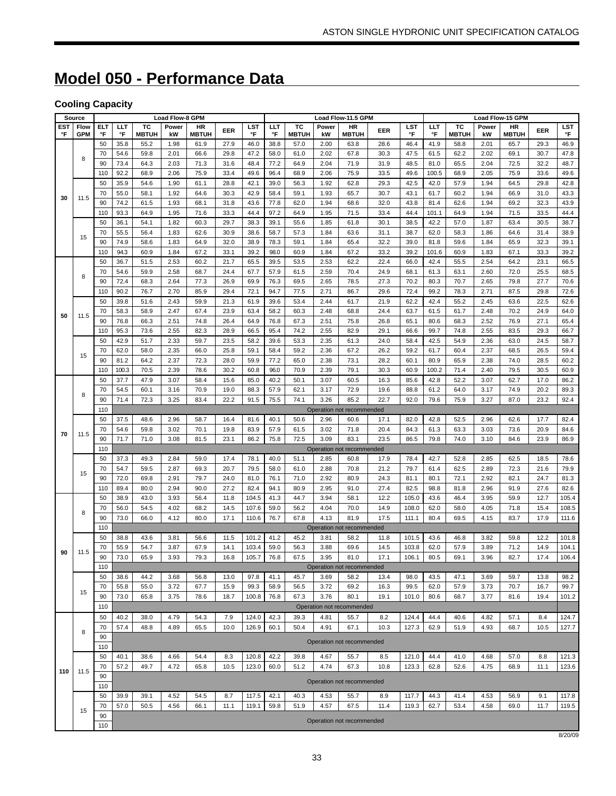# **Model 050 - Performance Data**

# **Cooling Capacity**

|                  | Source             |                  |              |                    | <b>Load Flow-8 GPM</b> |                    |              |                |              |                    |              | Load Flow-11.5 GPM        |              |                |                  |                    |              | <b>Load Flow-15 GPM</b> |              |                  |
|------------------|--------------------|------------------|--------------|--------------------|------------------------|--------------------|--------------|----------------|--------------|--------------------|--------------|---------------------------|--------------|----------------|------------------|--------------------|--------------|-------------------------|--------------|------------------|
| <b>EST</b><br>°F | Flow<br><b>GPM</b> | <b>ELT</b><br>°F | ШT<br>°F     | тc<br><b>MBTUH</b> | Power<br>kW            | HR<br><b>MBTUH</b> | EER          | LST<br>°F      | ШT<br>°F     | тс<br><b>MBTUH</b> | Power<br>kW  | HR<br><b>MBTUH</b>        | EER          | LST<br>°F      | <b>LLT</b><br>°F | тc<br><b>MBTUH</b> | Power<br>kW  | HR<br><b>MBTUH</b>      | EER          | <b>LST</b><br>°F |
|                  |                    | 50               | 35.8         | 55.2               | 1.98                   | 61.9               | 27.9         | 46.0           | 38.8         | 57.0               | 2.00         | 63.8                      | 28.6         | 46.4           | 41.9             | 58.8               | 2.01         | 65.7                    | 29.3         | 46.9             |
|                  | 8                  | 70               | 54.6         | 59.8               | 2.01                   | 66.6               | 29.8         | 47.2           | 58.0         | 61.0               | 2.02         | 67.8                      | 30.3         | 47.5           | 61.5             | 62.2               | 2.02         | 69.1                    | 30.7         | 47.8             |
|                  |                    | 90               | 73.4         | 64.3               | 2.03                   | 71.3               | 31.6         | 48.4           | 77.2         | 64.9               | 2.04         | 71.9                      | 31.9         | 48.5           | 81.0             | 65.5               | 2.04         | 72.5                    | 32.2         | 48.7             |
|                  |                    | 110              | 92.2         | 68.9               | 2.06                   | 75.9               | 33.4         | 49.6           | 96.4         | 68.9               | 2.06         | 75.9                      | 33.5         | 49.6           | 100.5            | 68.9               | 2.05         | 75.9                    | 33.6         | 49.6             |
|                  |                    | 50               | 35.9         | 54.6               | 1.90                   | 61.1               | 28.8         | 42.1           | 39.0         | 56.3               | 1.92         | 62.8                      | 29.3         | 42.5           | 42.0             | 57.9               | 1.94         | 64.5                    | 29.8         | 42.8             |
| 30               | 11.5               | 70<br>90         | 55.0<br>74.2 | 58.1<br>61.5       | 1.92<br>1.93           | 64.6<br>68.1       | 30.3<br>31.8 | 42.9<br>43.6   | 58.4<br>77.8 | 59.1<br>62.0       | 1.93<br>1.94 | 65.7<br>68.6              | 30.7<br>32.0 | 43.1<br>43.8   | 61.7<br>81.4     | 60.2<br>62.6       | 1.94<br>1.94 | 66.9<br>69.2            | 31.0<br>32.3 | 43.3<br>43.9     |
|                  |                    | 110              | 93.3         | 64.9               | 1.95                   | 71.6               | 33.3         | 44.4           | 97.2         | 64.9               | 1.95         | 71.5                      | 33.4         | 44.4           | 101.1            | 64.9               | 1.94         | 71.5                    | 33.5         | 44.4             |
|                  |                    | 50               | 36.1         | 54.1               | 1.82                   | 60.3               | 29.7         | 38.3           | 39.1         | 55.6               | 1.85         | 61.8                      | 30.1         | 38.5           | 42.2             | 57.0               | 1.87         | 63.4                    | 30.5         | 38.7             |
|                  |                    | 70               | 55.5         | 56.4               | 1.83                   | 62.6               | 30.9         | 38.6           | 58.7         | 57.3               | 1.84         | 63.6                      | 31.1         | 38.7           | 62.0             | 58.3               | 1.86         | 64.6                    | 31.4         | 38.9             |
|                  | 15                 | 90               | 74.9         | 58.6               | 1.83                   | 64.9               | 32.0         | 38.9           | 78.3         | 59.1               | 1.84         | 65.4                      | 32.2         | 39.0           | 81.8             | 59.6               | 1.84         | 65.9                    | 32.3         | 39.1             |
|                  |                    | 110              | 94.3         | 60.9               | 1.84                   | 67.2               | 33.1         | 39.2           | 98.0         | 60.9               | 1.84         | 67.2                      | 33.2         | 39.2           | 101.6            | 60.9               | 1.83         | 67.1                    | 33.3         | 39.2             |
|                  |                    | 50               | 36.7         | 51.5               | 2.53                   | 60.2               | 21.7         | 65.5           | 39.5         | 53.5               | 2.53         | 62.2                      | 22.4         | 66.0           | 42.4             | 55.5               | 2.54         | 64.2                    | 23.1         | 66.5             |
|                  | 8                  | 70               | 54.6         | 59.9               | 2.58                   | 68.7               | 24.4         | 67.7           | 57.9         | 61.5               | 2.59         | 70.4                      | 24.9         | 68.1           | 61.3             | 63.1               | 2.60         | 72.0                    | 25.5         | 68.5             |
|                  |                    | 90               | 72.4         | 68.3               | 2.64                   | 77.3               | 26.9         | 69.9           | 76.3         | 69.5               | 2.65         | 78.5                      | 27.3         | 70.2           | 80.3             | 70.7               | 2.65         | 79.8                    | 27.7         | 70.6             |
|                  |                    | 110              | 90.2         | 76.7               | 2.70                   | 85.9               | 29.4         | 72.1           | 94.7         | 77.5               | 2.71         | 86.7                      | 29.6         | 72.4           | 99.2             | 78.3               | 2.71         | 87.5                    | 29.8         | 72.6             |
|                  |                    | 50               | 39.8         | 51.6               | 2.43                   | 59.9               | 21.3         | 61.9           | 39.6         | 53.4               | 2.44         | 61.7                      | 21.9         | 62.2           | 42.4             | 55.2               | 2.45         | 63.6                    | 22.5         | 62.6             |
| 50               | 11.5               | 70               | 58.3         | 58.9               | 2.47                   | 67.4               | 23.9         | 63.4           | 58.2         | 60.3               | 2.48         | 68.8                      | 24.4         | 63.7           | 61.5             | 61.7               | 2.48         | 70.2                    | 24.9         | 64.0             |
|                  |                    | 90               | 76.8         | 66.3               | 2.51                   | 74.8               | 26.4         | 64.9           | 76.8         | 67.3               | 2.51         | 75.8                      | 26.8         | 65.1           | 80.6             | 68.3               | 2.52         | 76.9                    | 27.1         | 65.4             |
|                  |                    | 110              | 95.3         | 73.6               | 2.55                   | 82.3               | 28.9         | 66.5           | 95.4         | 74.2               | 2.55         | 82.9                      | 29.1         | 66.6           | 99.7             | 74.8               | 2.55         | 83.5                    | 29.3         | 66.7             |
|                  |                    | 50               | 42.9         | 51.7               | 2.33<br>2.35           | 59.7               | 23.5<br>25.8 | 58.2           | 39.6         | 53.3               | 2.35<br>2.36 | 61.3<br>67.2              | 24.0<br>26.2 | 58.4<br>59.2   | 42.5             | 54.9<br>60.4       | 2.36<br>2.37 | 63.0                    | 24.5         | 58.7             |
|                  | 15                 | 70<br>90         | 62.0<br>81.2 | 58.0<br>64.2       | 2.37                   | 66.0<br>72.3       | 28.0         | 59.1<br>59.9   | 58.4<br>77.2 | 59.2<br>65.0       | 2.38         | 73.1                      | 28.2         | 60.1           | 61.7<br>80.9     | 65.9               | 2.38         | 68.5<br>74.0            | 26.5<br>28.5 | 59.4<br>60.2     |
|                  |                    | 110              | 100.3        | 70.5               | 2.39                   | 78.6               | 30.2         | 60.8           | 96.0         | 70.9               | 2.39         | 79.1                      | 30.3         | 60.9           | 100.2            | 71.4               | 2.40         | 79.5                    | 30.5         | 60.9             |
|                  |                    | 50               | 37.7         | 47.9               | 3.07                   | 58.4               | 15.6         | 85.0           | 40.2         | 50.1               | 3.07         | 60.5                      | 16.3         | 85.6           | 42.8             | 52.2               | 3.07         | 62.7                    | 17.0         | 86.2             |
|                  |                    | 70               | 54.5         | 60.1               | 3.16                   | 70.9               | 19.0         | 88.3           | 57.9         | 62.1               | 3.17         | 72.9                      | 19.6         | 88.8           | 61.2             | 64.0               | 3.17         | 74.9                    | 20.2         | 89.3             |
|                  | 8                  | 90               | 71.4         | 72.3               | 3.25                   | 83.4               | 22.2         | 91.5           | 75.5         | 74.1               | 3.26         | 85.2                      | 22.7         | 92.0           | 79.6             | 75.9               | 3.27         | 87.0                    | 23.2         | 92.4             |
|                  |                    | 110              |              |                    |                        |                    |              |                |              |                    |              | Operation not recommended |              |                |                  |                    |              |                         |              |                  |
|                  |                    | 50               | 37.5         | 48.6               | 2.96                   | 58.7               | 16.4         | 81.6           | 40.1         | 50.6               | 2.96         | 60.6                      | 17.1         | 82.0           | 42.8             | 52.5               | 2.96         | 62.6                    | 17.7         | 82.4             |
| 70               | 11.5               | 70               | 54.6         | 59.8               | 3.02                   | 70.1               | 19.8         | 83.9           | 57.9         | 61.5               | 3.02         | 71.8                      | 20.4         | 84.3           | 61.3             | 63.3               | 3.03         | 73.6                    | 20.9         | 84.6             |
|                  |                    | 90               | 71.7         | 71.0               | 3.08                   | 81.5               | 23.1         | 86.2           | 75.8         | 72.5               | 3.09         | 83.1                      | 23.5         | 86.5           | 79.8             | 74.0               | 3.10         | 84.6                    | 23.9         | 86.9             |
|                  |                    | 110              |              |                    |                        |                    |              |                |              |                    |              | Operation not recommended |              |                |                  |                    |              |                         |              |                  |
|                  |                    | 50               | 37.3         | 49.3               | 2.84                   | 59.0               | 17.4         | 78.1           | 40.0         | 51.1               | 2.85         | 60.8                      | 17.9         | 78.4           | 42.7             | 52.8               | 2.85         | 62.5                    | 18.5         | 78.6             |
|                  | 15                 | 70               | 54.7         | 59.5               | 2.87                   | 69.3               | 20.7         | 79.5           | 58.0         | 61.0               | 2.88         | 70.8                      | 21.2         | 79.7           | 61.4             | 62.5               | 2.89         | 72.3                    | 21.6         | 79.9             |
|                  |                    | 90               | 72.0         | 69.8               | 2.91                   | 79.7               | 24.0         | 81.0<br>82.4   | 76.1         | 71.0               | 2.92<br>2.95 | 80.9                      | 24.3         | 81.1<br>82.5   | 80.1             | 72.1               | 2.92         | 82.1                    | 24.7         | 81.3<br>82.6     |
|                  |                    | 110<br>50        | 89.4<br>38.9 | 80.0<br>43.0       | 2.94<br>3.93           | 90.0<br>56.4       | 27.2<br>11.8 | 104.5          | 94.1<br>41.3 | 80.9<br>44.7       | 3.94         | 91.0<br>58.1              | 27.4<br>12.2 | 105.0          | 98.8<br>43.6     | 81.8<br>46.4       | 2.96<br>3.95 | 91.9<br>59.9            | 27.6<br>12.7 | 105.4            |
|                  |                    | 70               | 56.0         | 54.5               | 4.02                   | 68.2               | 14.5         | 107.6          | 59.0         | 56.2               | 4.04         | 70.0                      | 14.9         | 108.0          | 62.0             | 58.0               | 4.05         | 71.8                    | 15.4         | 108.5            |
|                  | 8                  | 90               | 73.0         | 66.0               | 4.12                   | 80.0               | 17.1         | 110.6          | 76.7         | 67.8               | 4.13         | 81.9                      | 17.5         | 111.1          | 80.4             | 69.5               | 4.15         | 83.7                    | 17.9         | 111.6            |
|                  |                    | 110              |              |                    |                        |                    |              |                |              |                    |              | Operation not recommended |              |                |                  |                    |              |                         |              |                  |
|                  |                    | 50               | 38.8         | 43.6               | 3.81                   | 56.6               | 11.5         | 101.2          | 41.2         | 45.2               | 3.81         | 58.2                      | 11.8         | 101.5          | 43.6             | 46.8               | 3.82         | 59.8                    | 12.2         | 101.8            |
| 90               | 11.5               | 70               | 55.9         | 54.7               | 3.87                   | 67.9               | 14.1         | 103.4          | 59.0         | 56.3               | 3.88         | 69.6                      | 14.5         | 103.8          | 62.0             | 57.9               | 3.89         | 71.2                    | 14.9         | 104.1            |
|                  |                    | 90               | 73.0         | 65.9               | 3.93                   | 79.3               | 16.8         | 105.7          | 76.8         | 67.5               | 3.95         | 81.0                      | 17.1         | 106.1          | 80.5             | 69.1               | 3.96         | 82.7                    | 17.4         | 106.4            |
|                  |                    | 110              |              |                    |                        |                    |              |                |              |                    |              | Operation not recommended |              |                |                  |                    |              |                         |              |                  |
|                  |                    | 50               | 38.6         | 44.2               | 3.68                   | 56.8               | 13.0         | 97.8           | 41.1         | 45.7               | 3.69         | 58.2                      | 13.4         | 98.0           | 43.5             | 47.1               | 3.69         | 59.7                    | 13.8         | 98.2             |
|                  | 15                 | 70               | 55.8         | 55.0               | 3.72                   | 67.7               | 15.9         | 99.3           | 58.9         | 56.5               | 3.72         | 69.2                      | 16.3         | 99.5           | 62.0             | 57.9               | 3.73         | 70.7                    | 16.7         | 99.7             |
|                  |                    | 90               | 73.0         | 65.8               | 3.75                   | 78.6               | 18.7         | 100.8          | 76.8         | 67.3               | 3.76         | 80.1                      | 19.1         | 101.0          | 80.6             | 68.7               | 3.77         | 81.6                    | 19.4         | 101.2            |
|                  |                    | 110              |              |                    |                        |                    |              |                |              |                    |              | Operation not recommended |              |                |                  |                    |              |                         |              |                  |
|                  |                    | 50               | 40.2<br>57.4 | 38.0<br>48.8       | 4.79<br>4.89           | 54.3<br>65.5       | 7.9<br>10.0  | 124.0<br>126.9 | 42.3<br>60.1 | 39.3<br>50.4       | 4.81<br>4.91 | 55.7<br>67.1              | 8.2<br>10.3  | 124.4<br>127.3 | 44.4<br>62.9     | 40.6<br>51.9       | 4.82<br>4.93 | 57.1<br>68.7            | 8.4<br>10.5  | 124.7            |
|                  | 8                  | 70<br>90         |              |                    |                        |                    |              |                |              |                    |              |                           |              |                |                  |                    |              |                         |              | 127.7            |
|                  |                    | 110              |              |                    |                        |                    |              |                |              |                    |              | Operation not recommended |              |                |                  |                    |              |                         |              |                  |
|                  |                    | 50               | 40.1         | 38.6               | 4.66                   | 54.4               | 8.3          | 120.8          | 42.2         | 39.8               | 4.67         | 55.7                      | 8.5          | 121.0          | 44.4             | 41.0               | 4.68         | 57.0                    | 8.8          | 121.3            |
|                  |                    | 70               | 57.2         | 49.7               | 4.72                   | 65.8               | 10.5         | 123.0          | 60.0         | 51.2               | 4.74         | 67.3                      | 10.8         | 123.3          | 62.8             | 52.6               | 4.75         | 68.9                    | 11.1         | 123.6            |
| 110              | 11.5               | 90               |              |                    |                        |                    |              |                |              |                    |              |                           |              |                |                  |                    |              |                         |              |                  |
|                  |                    | 110              |              |                    |                        |                    |              |                |              |                    |              | Operation not recommended |              |                |                  |                    |              |                         |              |                  |
|                  |                    | 50               | 39.9         | 39.1               | 4.52                   | 54.5               | 8.7          | 117.5          | 42.1         | 40.3               | 4.53         | 55.7                      | 8.9          | 117.7          | 44.3             | 41.4               | 4.53         | 56.9                    | 9.1          | 117.8            |
|                  | 15                 | 70               | 57.0         | 50.5               | 4.56                   | 66.1               | 11.1         | 119.1          | 59.8         | 51.9               | 4.57         | 67.5                      | 11.4         | 119.3          | 62.7             | 53.4               | 4.58         | 69.0                    | 11.7         | 119.5            |
|                  |                    | 90               |              |                    |                        |                    |              |                |              |                    |              | Operation not recommended |              |                |                  |                    |              |                         |              |                  |
|                  |                    | 110              |              |                    |                        |                    |              |                |              |                    |              |                           |              |                |                  |                    |              |                         |              |                  |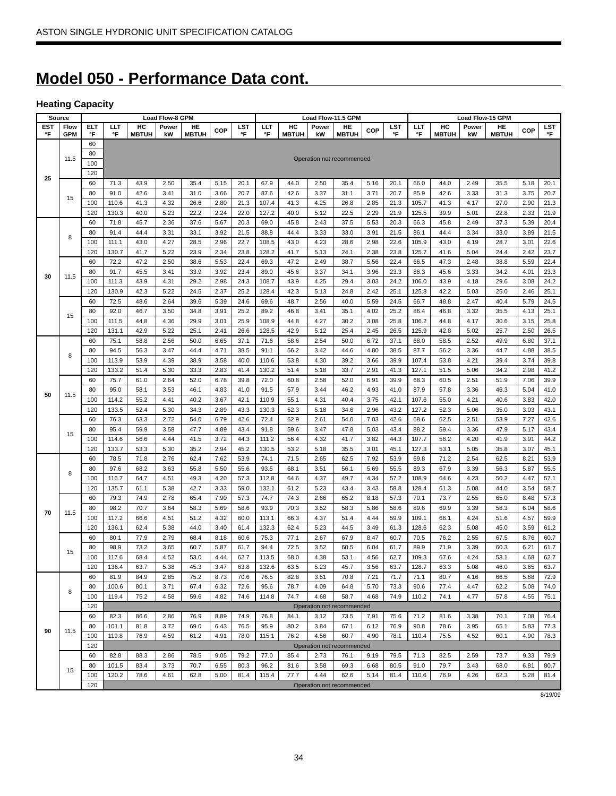# **Model 050 - Performance Data cont.**

# **Heating Capacity**

|           | Source             | <b>Load Flow-8 GPM</b><br>Load Flow-11.5 GPM<br>Load Flow-15 GPM |              |                    |              |                    |              |              |               |                    |              |                           |              |              |              |                    |              |                    |              |              |
|-----------|--------------------|------------------------------------------------------------------|--------------|--------------------|--------------|--------------------|--------------|--------------|---------------|--------------------|--------------|---------------------------|--------------|--------------|--------------|--------------------|--------------|--------------------|--------------|--------------|
| EST<br>°F | Flow<br><b>GPM</b> | ELT<br>°F                                                        | ШT<br>°F     | HC<br><b>MBTUH</b> | Power<br>kW  | HE<br><b>MBTUH</b> | COP          | LST<br>°F    | LLT<br>°F     | HC<br><b>MBTUH</b> | Power<br>kW  | HE<br><b>MBTUH</b>        | COP          | LST<br>°F    | ШT<br>°F     | HC<br><b>MBTUH</b> | Power<br>kW  | HE<br><b>MBTUH</b> | <b>COP</b>   | LST<br>°F    |
|           |                    | 60                                                               |              |                    |              |                    |              |              |               |                    |              |                           |              |              |              |                    |              |                    |              |              |
|           |                    | 80                                                               |              |                    |              |                    |              |              |               |                    |              |                           |              |              |              |                    |              |                    |              |              |
|           | 11.5               | 100                                                              |              |                    |              |                    |              |              |               |                    |              | Operation not recommended |              |              |              |                    |              |                    |              |              |
|           |                    | 120                                                              |              |                    |              |                    |              |              |               |                    |              |                           |              |              |              |                    |              |                    |              |              |
| 25        |                    | 60                                                               | 71.3         | 43.9               | 2.50         | 35.4               | 5.15         | 20.1         | 67.9          | 44.0               | 2.50         | 35.4                      | 5.16         | 20.1         | 66.0         | 44.0               | 2.49         | 35.5               | 5.18         | 20.1         |
|           |                    | 80                                                               | 91.0         | 42.6               | 3.41         | 31.0               | 3.66         | 20.7         | 87.6          | 42.6               | 3.37         | 31.1                      | 3.71         | 20.7         | 85.9         | 42.6               | 3.33         | 31.3               | 3.75         | 20.7         |
|           | 15                 | 100                                                              | 110.6        | 41.3               | 4.32         | 26.6               | 2.80         | 21.3         | 107.4         | 41.3               | 4.25         | 26.8                      | 2.85         | 21.3         | 105.7        | 41.3               | 4.17         | 27.0               | 2.90         | 21.3         |
|           |                    | 120                                                              | 130.3        | 40.0               | 5.23         | 22.2               | 2.24         | 22.0         | 127.2         | 40.0               | 5.12         | 22.5                      | 2.29         | 21.9         | 125.5        | 39.9               | 5.01         | 22.8               | 2.33         | 21.9         |
|           |                    | 60                                                               | 71.8         | 45.7               | 2.36         | 37.6               | 5.67         | 20.3         | 69.0          | 45.8               | 2.43         | 37.5                      | 5.53         | 20.3         | 66.3         | 45.8               | 2.49         | 37.3               | 5.39         | 20.4         |
|           | 8                  | 80                                                               | 91.4         | 44.4               | 3.31         | 33.1               | 3.92         | 21.5         | 88.8          | 44.4               | 3.33         | 33.0                      | 3.91         | 21.5         | 86.1         | 44.4               | 3.34         | 33.0               | 3.89         | 21.5         |
|           |                    | 100                                                              | 111.1        | 43.0               | 4.27         | 28.5               | 2.96         | 22.7         | 108.5         | 43.0               | 4.23         | 28.6                      | 2.98         | 22.6         | 105.9        | 43.0               | 4.19         | 28.7               | 3.01         | 22.6         |
|           |                    | 120                                                              | 130.7        | 41.7               | 5.22         | 23.9               | 2.34         | 23.8         | 128.2         | 41.7               | 5.13         | 24.1                      | 2.38         | 23.8         | 125.7        | 41.6               | 5.04         | 24.4               | 2.42         | 23.7         |
|           |                    | 60                                                               | 72.2         | 47.2               | 2.50         | 38.6               | 5.53         | 22.4         | 69.3          | 47.2               | 2.49         | 38.7                      | 5.56         | 22.4         | 66.5         | 47.3               | 2.48         | 38.8               | 5.59         | 22.4         |
| 30        | 11.5               | 80                                                               | 91.7         | 45.5               | 3.41         | 33.9               | 3.92         | 23.4         | 89.0          | 45.6               | 3.37         | 34.1                      | 3.96         | 23.3         | 86.3         | 45.6               | 3.33         | 34.2               | 4.01         | 23.3         |
|           |                    | 100                                                              | 111.3        | 43.9               | 4.31         | 29.2               | 2.98         | 24.3         | 108.7         | 43.9               | 4.25         | 29.4                      | 3.03         | 24.2         | 106.0        | 43.9               | 4.18         | 29.6               | 3.08         | 24.2         |
|           |                    | 120                                                              | 130.9        | 42.3               | 5.22         | 24.5               | 2.37         | 25.2         | 128.4         | 42.3               | 5.13         | 24.8                      | 2.42         | 25.1         | 125.8        | 42.2               | 5.03         | 25.0               | 2.46         | 25.1         |
|           |                    | 60                                                               | 72.5         | 48.6               | 2.64         | 39.6               | 5.39         | 24.6         | 69.6          | 48.7               | 2.56         | 40.0                      | 5.59         | 24.5         | 66.7         | 48.8               | 2.47         | 40.4               | 5.79         | 24.5         |
|           | 15                 | 80                                                               | 92.0         | 46.7               | 3.50         | 34.8               | 3.91         | 25.2         | 89.2          | 46.8               | 3.41         | 35.1                      | 4.02         | 25.2         | 86.4         | 46.8               | 3.32         | 35.5               | 4.13         | 25.1         |
|           |                    | 100                                                              | 111.5        | 44.8               | 4.36         | 29.9               | 3.01         | 25.9         | 108.9         | 44.8               | 4.27         | 30.2                      | 3.08         | 25.8         | 106.2        | 44.8               | 4.17         | 30.6               | 3.15         | 25.8         |
|           |                    | 120                                                              | 131.1        | 42.9               | 5.22         | 25.1               | 2.41         | 26.6         | 128.5         | 42.9               | 5.12         | 25.4                      | 2.45         | 26.5         | 125.9        | 42.8               | 5.02         | 25.7               | 2.50         | 26.5         |
|           |                    | 60                                                               | 75.1         | 58.8               | 2.56         | 50.0               | 6.65         | 37.1         | 71.6          | 58.6               | 2.54         | 50.0                      | 6.72         | 37.1         | 68.0         | 58.5               | 2.52         | 49.9               | 6.80         | 37.1         |
|           | 8                  | 80                                                               | 94.5         | 56.3               | 3.47         | 44.4               | 4.71         | 38.5         | 91.1          | 56.2               | 3.42         | 44.6                      | 4.80         | 38.5         | 87.7         | 56.2               | 3.36         | 44.7               | 4.88         | 38.5         |
|           |                    | 100                                                              | 113.9        | 53.9               | 4.39         | 38.9               | 3.58         | 40.0         | 110.6         | 53.8               | 4.30         | 39.2                      | 3.66         | 39.9         | 107.4        | 53.8               | 4.21         | 39.4               | 3.74         | 39.8         |
|           |                    | 120                                                              | 133.2        | 51.4               | 5.30         | 33.3               | 2.83         | 41.4         | 130.2         | 51.4               | 5.18         | 33.7                      | 2.91         | 41.3         | 127.1        | 51.5               | 5.06         | 34.2               | 2.98         | 41.2         |
|           |                    | 60                                                               | 75.7         | 61.0               | 2.64         | 52.0               | 6.78         | 39.8         | 72.0          | 60.8               | 2.58         | 52.0                      | 6.91         | 39.9         | 68.3         | 60.5               | 2.51         | 51.9               | 7.06         | 39.9         |
| 50        | 11.5               | 80                                                               | 95.0         | 58.1               | 3.53         | 46.1               | 4.83         | 41.0         | 91.5          | 57.9               | 3.44         | 46.2                      | 4.93         | 41.0         | 87.9         | 57.8               | 3.36         | 46.3               | 5.04         | 41.0         |
|           |                    | 100                                                              | 114.2        | 55.2               | 4.41         | 40.2               | 3.67         | 42.1         | 110.9         | 55.1               | 4.31         | 40.4                      | 3.75         | 42.1         | 107.6        | 55.0               | 4.21         | 40.6               | 3.83         | 42.0         |
|           |                    | 120                                                              | 133.5        | 52.4               | 5.30<br>2.72 | 34.3               | 2.89         | 43.3         | 130.3<br>72.4 | 52.3               | 5.18         | 34.6                      | 2.96         | 43.2         | 127.2        | 52.3               | 5.06<br>2.51 | 35.0               | 3.03         | 43.1         |
|           |                    | 60<br>80                                                         | 76.3<br>95.4 | 63.3               | 3.58         | 54.0<br>47.7       | 6.79         | 42.6<br>43.4 | 91.8          | 62.9<br>59.6       | 2.61<br>3.47 | 54.0                      | 7.03         | 42.6<br>43.4 | 68.6<br>88.2 | 62.5               |              | 53.9               | 7.27<br>5.17 | 42.6         |
|           | 15                 | 100                                                              | 114.6        | 59.9<br>56.6       | 4.44         | 41.5               | 4.89<br>3.72 | 44.3         | 111.2         | 56.4               | 4.32         | 47.8<br>41.7              | 5.03<br>3.82 | 44.3         | 107.7        | 59.4<br>56.2       | 3.36<br>4.20 | 47.9<br>41.9       | 3.91         | 43.4<br>44.2 |
|           |                    | 120                                                              | 133.7        | 53.3               | 5.30         | 35.2               | 2.94         | 45.2         | 130.5         | 53.2               | 5.18         | 35.5                      | 3.01         | 45.1         | 127.3        | 53.1               | 5.05         | 35.8               | 3.07         | 45.1         |
|           |                    | 60                                                               | 78.5         | 71.8               | 2.76         | 62.4               | 7.62         | 53.9         | 74.1          | 71.5               | 2.65         | 62.5                      | 7.92         | 53.9         | 69.8         | 71.2               | 2.54         | 62.5               | 8.21         | 53.9         |
|           |                    | 80                                                               | 97.6         | 68.2               | 3.63         | 55.8               | 5.50         | 55.6         | 93.5          | 68.1               | 3.51         | 56.1                      | 5.69         | 55.5         | 89.3         | 67.9               | 3.39         | 56.3               | 5.87         | 55.5         |
|           | 8                  | 100                                                              | 116.7        | 64.7               | 4.51         | 49.3               | 4.20         | 57.3         | 112.8         | 64.6               | 4.37         | 49.7                      | 4.34         | 57.2         | 108.9        | 64.6               | 4.23         | 50.2               | 4.47         | 57.1         |
|           |                    | 120                                                              | 135.7        | 61.1               | 5.38         | 42.7               | 3.33         | 59.0         | 132.1         | 61.2               | 5.23         | 43.4                      | 3.43         | 58.8         | 128.4        | 61.3               | 5.08         | 44.0               | 3.54         | 58.7         |
|           |                    | 60                                                               | 79.3         | 74.9               | 2.78         | 65.4               | 7.90         | 57.3         | 74.7          | 74.3               | 2.66         | 65.2                      | 8.18         | 57.3         | 70.1         | 73.7               | 2.55         | 65.0               | 8.48         | 57.3         |
|           |                    | 80                                                               | 98.2         | 70.7               | 3.64         | 58.3               | 5.69         | 58.6         | 93.9          | 70.3               | 3.52         | 58.3                      | 5.86         | 58.6         | 89.6         | 69.9               | 3.39         | 58.3               | 6.04         | 58.6         |
| 70        | 11.5               | 100                                                              | 117.2        | 66.6               | 4.51         | 51.2               | 4.32         | 60.0         | 113.1         | 66.3               | 4.37         | 51.4                      | 4.44         | 59.9         | 109.1        | 66.1               | 4.24         | 51.6               | 4.57         | 59.9         |
|           |                    | 120                                                              | 136.1        | 62.4               | 5.38         | 44.0               | 3.40         | 61.4         | 132.3         | 62.4               | 5.23         | 44.5                      | 3.49         | 61.3         | 128.6        | 62.3               | 5.08         | 45.0               | 3.59         | 61.2         |
|           |                    | 60                                                               | 80.1         | 77.9               | 2.79         | 68.4               | 8.18         | 60.6         | 75.3          | 77.1               | 2.67         | 67.9                      | 8.47         | 60.7         | 70.5         | 76.2               | 2.55         | 67.5               | 8.76         | 60.7         |
|           |                    | 80                                                               | 98.9         | 73.2               | 3.65         | 60.7               | 5.87         | 61.7         | 94.4          | 72.5               | 3.52         | 60.5                      | 6.04         | 61.7         | 89.9         | 71.9               | 3.39         | 60.3               | 6.21         | 61.7         |
|           | 15                 | 100                                                              | 117.6        | 68.4               | 4.52         | 53.0               | 4.44         | 62.7         | 113.5         | 68.0               | 4.38         | 53.1                      | 4.56         | 62.7         | 109.3        | 67.6               | 4.24         | 53.1               | 4.68         | 62.7         |
|           |                    | 120                                                              | 136.4        | 63.7               | 5.38         | 45.3               | 3.47         | 63.8         | 132.6         | 63.5               | 5.23         | 45.7                      | 3.56         | 63.7         | 128.7        | 63.3               | 5.08         | 46.0               | 3.65         | 63.7         |
|           |                    | 60                                                               | 81.9         | 84.9               | 2.85         | 75.2               | 8.73         | 70.6         | 76.5          | 82.8               | 3.51         | 70.8                      | 7.21         | 71.7         | 71.1         | 80.7               | 4.16         | 66.5               | 5.68         | 72.9         |
|           |                    | 80                                                               | 100.6        | 80.1               | 3.71         | 67.4               | 6.32         | 72.6         | 95.6          | 78.7               | 4.09         | 64.8                      | 5.70         | 73.3         | 90.6         | 77.4               | 4.47         | 62.2               | 5.08         | 74.0         |
|           | 8                  | 100                                                              | 119.4        | 75.2               | 4.58         | 59.6               | 4.82         | 74.6         | 114.8         | 74.7               | 4.68         | 58.7                      | 4.68         | 74.9         | 110.2        | 74.1               | 4.77         | 57.8               | 4.55         | 75.1         |
|           |                    | 120                                                              |              |                    |              |                    |              |              |               |                    |              | Operation not recommended |              |              |              |                    |              |                    |              |              |
|           |                    | 60                                                               | 82.3         | 86.6               | 2.86         | 76.9               | 8.89         | 74.9         | 76.8          | 84.1               | 3.12         | 73.5                      | 7.91         | 75.6         | 71.2         | 81.6               | 3.38         | 70.1               | 7.08         | 76.4         |
| 90        | 11.5               | 80                                                               | 101.1        | 81.8               | 3.72         | 69.0               | 6.43         | 76.5         | 95.9          | 80.2               | 3.84         | 67.1                      | 6.12         | 76.9         | 90.8         | 78.6               | 3.95         | 65.1               | 5.83         | 77.3         |
|           |                    | 100                                                              | 119.8        | 76.9               | 4.59         | 61.2               | 4.91         | 78.0         | 115.1         | 76.2               | 4.56         | 60.7                      | 4.90         | 78.1         | 110.4        | 75.5               | 4.52         | 60.1               | 4.90         | 78.3         |
|           |                    | 120                                                              |              |                    |              |                    |              |              |               |                    |              | Operation not recommended |              |              |              |                    |              |                    |              |              |
|           |                    | 60                                                               | 82.8         | 88.3               | 2.86         | 78.5               | 9.05         | 79.2         | 77.0          | 85.4               | 2.73         | 76.1                      | 9.19         | 79.5         | 71.3         | 82.5               | 2.59         | 73.7               | 9.33         | 79.9         |
|           | 15                 | 80                                                               | 101.5        | 83.4               | 3.73         | 70.7               | 6.55         | 80.3         | 96.2          | 81.6               | 3.58         | 69.3                      | 6.68         | 80.5         | 91.0         | 79.7               | 3.43         | 68.0               | 6.81         | 80.7         |
|           |                    | 100                                                              | 120.2        | 78.6               | 4.61         | 62.8               | 5.00         | 81.4         | 115.4         | 77.7               | 4.44         | 62.6                      | 5.14         | 81.4         | 110.6        | 76.9               | 4.26         | 62.3               | 5.28         | 81.4         |
|           |                    | 120                                                              |              |                    |              |                    |              |              |               |                    |              | Operation not recommended |              |              |              |                    |              |                    |              |              |

8/19/09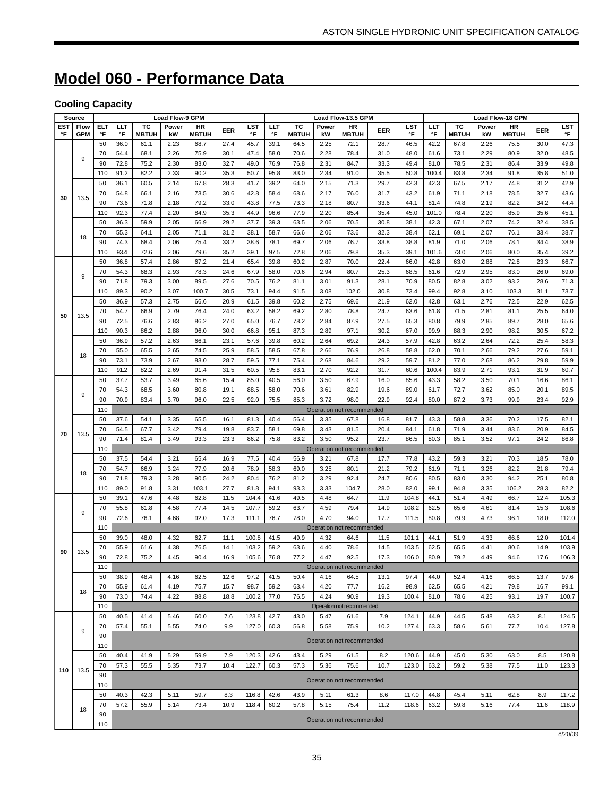# **Model 060 - Performance Data**

# **Cooling Capacity**

|           | Source             |           |              |                    | <b>Load Flow-9 GPM</b> |                    |              |                |              |                    |              | Load Flow-13.5 GPM                |              |                |               |                    |              | Load Flow-18 GPM          |              |                |  |  |
|-----------|--------------------|-----------|--------------|--------------------|------------------------|--------------------|--------------|----------------|--------------|--------------------|--------------|-----------------------------------|--------------|----------------|---------------|--------------------|--------------|---------------------------|--------------|----------------|--|--|
| EST<br>°F | Flow<br><b>GPM</b> | ELT<br>°F | LLT<br>°F    | TC<br><b>MBTUH</b> | Power<br>kW            | HR<br><b>MBTUH</b> | EER          | LST<br>°F      | LLT<br>°F    | тс<br><b>MBTUH</b> | Power<br>kW  | <b>HR</b><br><b>MBTUH</b>         | EER          | LST<br>°F      | ШT<br>°F      | TC<br><b>MBTUH</b> | Power<br>kW  | <b>HR</b><br><b>MBTUH</b> | EER          | LST<br>°F      |  |  |
|           |                    | 50        | 36.0         | 61.1               | 2.23                   | 68.7               | 27.4         | 45.7           | 39.1         | 64.5               | 2.25         | 72.1                              | 28.7         | 46.5           | 42.2          | 67.8               | 2.26         | 75.5                      | 30.0         | 47.3           |  |  |
|           | 9                  | 70        | 54.4         | 68.1               | 2.26                   | 75.9               | 30.1         | 47.4           | 58.0         | 70.6               | 2.28         | 78.4                              | 31.0         | 48.0           | 61.6          | 73.1               | 2.29         | 80.9                      | 32.0         | 48.5           |  |  |
|           |                    | 90        | 72.8         | 75.2               | 2.30                   | 83.0               | 32.7         | 49.0           | 76.9         | 76.8               | 2.31         | 84.7                              | 33.3         | 49.4           | 81.0          | 78.5               | 2.31         | 86.4                      | 33.9         | 49.8           |  |  |
|           |                    | 110       | 91.2         | 82.2               | 2.33                   | 90.2               | 35.3         | 50.7           | 95.8         | 83.0               | 2.34         | 91.0                              | 35.5         | 50.8           | 100.4         | 83.8               | 2.34         | 91.8                      | 35.8         | 51.0           |  |  |
|           |                    | 50        | 36.1         | 60.5               | 2.14                   | 67.8               | 28.3         | 41.7           | 39.2         | 64.0               | 2.15         | 71.3                              | 29.7         | 42.3           | 42.3          | 67.5               | 2.17         | 74.8                      | 31.2         | 42.9           |  |  |
| 30        | 13.5               | 70        | 54.8         | 66.1               | 2.16                   | 73.5               | 30.6         | 42.8           | 58.4         | 68.6               | 2.17         | 76.0                              | 31.7         | 43.2           | 61.9          | 71.1               | 2.18         | 78.5                      | 32.7         | 43.6           |  |  |
|           |                    | 90        | 73.6         | 71.8               | 2.18                   | 79.2               | 33.0         | 43.8           | 77.5         | 73.3               | 2.18         | 80.7                              | 33.6         | 44.1           | 81.4          | 74.8               | 2.19         | 82.2                      | 34.2         | 44.4           |  |  |
|           |                    | 110       | 92.3         | 77.4               | 2.20                   | 84.9               | 35.3         | 44.9           | 96.6         | 77.9               | 2.20         | 85.4                              | 35.4         | 45.0           | 101.0         | 78.4               | 2.20         | 85.9                      | 35.6         | 45.1           |  |  |
|           |                    | 50        | 36.3         | 59.9               | 2.05                   | 66.9               | 29.2         | 37.7           | 39.3         | 63.5               | 2.06         | 70.5                              | 30.8         | 38.1           | 42.3          | 67.1               | 2.07         | 74.2                      | 32.4         | 38.5           |  |  |
|           | 18                 | 70        | 55.3         | 64.1               | 2.05                   | 71.1               | 31.2         | 38.1           | 58.7         | 66.6               | 2.06         | 73.6                              | 32.3         | 38.4           | 62.1          | 69.1               | 2.07         | 76.1                      | 33.4         | 38.7           |  |  |
|           |                    | 90<br>110 | 74.3         | 68.4<br>72.6       | 2.06<br>2.06           | 75.4               | 33.2         | 38.6           | 78.1<br>97.5 | 69.7               | 2.06         | 76.7                              | 33.8         | 38.8<br>39.1   | 81.9          | 71.0               | 2.06         | 78.1<br>80.0              | 34.4         | 38.9           |  |  |
|           |                    | 50        | 93.4<br>36.8 | 57.4               | 2.86                   | 79.6<br>67.2       | 35.2<br>21.4 | 39.1<br>65.4   | 39.8         | 72.8<br>60.2       | 2.06<br>2.87 | 79.8<br>70.0                      | 35.3<br>22.4 | 66.0           | 101.6<br>42.8 | 73.0<br>63.0       | 2.06<br>2.88 | 72.8                      | 35.4<br>23.3 | 39.2<br>66.7   |  |  |
|           |                    | 70        | 54.3         | 68.3               | 2.93                   | 78.3               | 24.6         | 67.9           | 58.0         | 70.6               | 2.94         | 80.7                              | 25.3         | 68.5           | 61.6          | 72.9               | 2.95         | 83.0                      | 26.0         | 69.0           |  |  |
|           | 9                  | 90        | 71.8         | 79.3               | 3.00                   | 89.5               | 27.6         | 70.5           | 76.2         | 81.1               | 3.01         | 91.3                              | 28.1         | 70.9           | 80.5          | 82.8               | 3.02         | 93.2                      | 28.6         | 71.3           |  |  |
|           |                    | 110       | 89.3         | 90.2               | 3.07                   | 100.7              | 30.5         | 73.1           | 94.4         | 91.5               | 3.08         | 102.0                             | 30.8         | 73.4           | 99.4          | 92.8               | 3.10         | 103.3                     | 31.1         | 73.7           |  |  |
|           |                    | 50        | 36.9         | 57.3               | 2.75                   | 66.6               | 20.9         | 61.5           | 39.8         | 60.2               | 2.75         | 69.6                              | 21.9         | 62.0           | 42.8          | 63.1               | 2.76         | 72.5                      | 22.9         | 62.5           |  |  |
|           |                    | 70        | 54.7         | 66.9               | 2.79                   | 76.4               | 24.0         | 63.2           | 58.2         | 69.2               | 2.80         | 78.8                              | 24.7         | 63.6           | 61.8          | 71.5               | 2.81         | 81.1                      | 25.5         | 64.0           |  |  |
| 50        | 13.5               | 90        | 72.5         | 76.6               | 2.83                   | 86.2               | 27.0         | 65.0           | 76.7         | 78.2               | 2.84         | 87.9                              | 27.5         | 65.3           | 80.8          | 79.9               | 2.85         | 89.7                      | 28.0         | 65.6           |  |  |
|           |                    | 110       | 90.3         | 86.2               | 2.88                   | 96.0               | 30.0         | 66.8           | 95.1         | 87.3               | 2.89         | 97.1                              | 30.2         | 67.0           | 99.9          | 88.3               | 2.90         | 98.2                      | 30.5         | 67.2           |  |  |
|           |                    | 50        | 36.9         | 57.2               | 2.63                   | 66.1               | 23.1         | 57.6           | 39.8         | 60.2               | 2.64         | 69.2                              | 24.3         | 57.9           | 42.8          | 63.2               | 2.64         | 72.2                      | 25.4         | 58.3           |  |  |
|           | 18                 | 70        | 55.0         | 65.5               | 2.65                   | 74.5               | 25.9         | 58.5           | 58.5         | 67.8               | 2.66         | 76.9                              | 26.8         | 58.8           | 62.0          | 70.1               | 2.66         | 79.2                      | 27.6         | 59.1           |  |  |
|           |                    | 90        | 73.1         | 73.9               | 2.67                   | 83.0               | 28.7         | 59.5           | 77.1         | 75.4               | 2.68         | 84.6                              | 29.2         | 59.7           | 81.2          | 77.0               | 2.68         | 86.2                      | 29.8         | 59.9           |  |  |
|           |                    | 110       | 91.2         | 82.2               | 2.69                   | 91.4               | 31.5         | 60.5           | 95.8         | 83.1               | 2.70         | 92.2                              | 31.7         | 60.6           | 100.4         | 83.9               | 2.71         | 93.1                      | 31.9         | 60.7           |  |  |
|           |                    | 50        | 37.7         | 53.7               | 3.49                   | 65.6               | 15.4         | 85.0           | 40.5         | 56.0               | 3.50         | 67.9                              | 16.0         | 85.6           | 43.3          | 58.2               | 3.50         | 70.1                      | 16.6         | 86.1           |  |  |
|           | 9                  | 70        | 54.3         | 68.5               | 3.60                   | 80.8               | 19.1         | 88.5           | 58.0         | 70.6               | 3.61         | 82.9                              | 19.6         | 89.0           | 61.7          | 72.7               | 3.62         | 85.0                      | 20.1         | 89.5           |  |  |
|           |                    | 90<br>110 | 70.9         | 83.4               | 3.70                   | 96.0               | 22.5         | 92.0           | 75.5         | 85.3               | 3.72         | 98.0                              | 22.9         | 92.4           | 80.0          | 87.2               | 3.73         | 99.9                      | 23.4         | 92.9           |  |  |
|           |                    | 50        | 37.6         | 54.1               | 3.35                   | 65.5               | 16.1         | 81.3           | 40.4         | 56.4               | 3.35         | Operation not recommended<br>67.8 | 16.8         | 81.7           | 43.3          | 58.8               | 3.36         | 70.2                      | 17.5         | 82.1           |  |  |
|           |                    | 70        | 54.5         | 67.7               | 3.42                   | 79.4               | 19.8         | 83.7           | 58.1         | 69.8               | 3.43         | 81.5                              | 20.4         | 84.1           | 61.8          | 71.9               | 3.44         | 83.6                      | 20.9         | 84.5           |  |  |
| 70        | 13.5               | 90        | 71.4         | 81.4               | 3.49                   | 93.3               | 23.3         | 86.2           | 75.8         | 83.2               | 3.50         | 95.2                              | 23.7         | 86.5           | 80.3          | 85.1               | 3.52         | 97.1                      | 24.2         | 86.8           |  |  |
|           |                    | 110       |              |                    |                        |                    |              |                |              |                    |              | Operation not recommended         |              |                |               |                    |              |                           |              |                |  |  |
|           |                    | 50        | 37.5         | 54.4               | 3.21                   | 65.4               | 16.9         | 77.5           | 40.4         | 56.9               | 3.21         | 67.8                              | 17.7         | 77.8           | 43.2          | 59.3               | 3.21         | 70.3                      | 18.5         | 78.0           |  |  |
|           | 18                 | 70        | 54.7         | 66.9               | 3.24                   | 77.9               | 20.6         | 78.9           | 58.3         | 69.0               | 3.25         | 80.1                              | 21.2         | 79.2           | 61.9          | 71.1               | 3.26         | 82.2                      | 21.8         | 79.4           |  |  |
|           |                    | 90        | 71.8         | 79.3               | 3.28                   | 90.5               | 24.2         | 80.4           | 76.2         | 81.2               | 3.29         | 92.4                              | 24.7         | 80.6           | 80.5          | 83.0               | 3.30         | 94.2                      | 25.1         | 80.8           |  |  |
|           |                    | 110       | 89.0         | 91.8               | 3.31                   | 103.1              | 27.7         | 81.8           | 94.1         | 93.3               | 3.33         | 104.7                             | 28.0         | 82.0           | 99.1          | 94.8               | 3.35         | 106.2                     | 28.3         | 82.2           |  |  |
|           |                    | 50        | 39.1         | 47.6               | 4.48                   | 62.8               | 11.5         | 104.4          | 41.6         | 49.5               | 4.48         | 64.7                              | 11.9         | 104.8          | 44.1          | 51.4               | 4.49         | 66.7                      | 12.4         | 105.3          |  |  |
|           | 9                  | 70        | 55.8         | 61.8               | 4.58                   | 77.4               | 14.5         | 107.7          | 59.2         | 63.7               | 4.59         | 79.4                              | 14.9         | 108.2          | 62.5          | 65.6               | 4.61         | 81.4                      | 15.3         | 108.6          |  |  |
|           |                    | 90        | 72.6         | 76.1               | 4.68                   | 92.0               | 17.3         | 111.1          | 76.7         | 78.0               | 4.70         | 94.0                              | 17.7         | 111.5          | 80.8          | 79.9               | 4.73         | 96.1                      | 18.0         | 112.0          |  |  |
|           |                    | 110       |              |                    |                        |                    |              |                |              |                    |              | Operation not recommended         |              |                |               |                    |              |                           |              |                |  |  |
|           |                    | 50        | 39.0         | 48.0               | 4.32                   | 62.7               | 11.1         | 100.8          | 41.5         | 49.9               | 4.32         | 64.6                              | 11.5         | 101.1          | 44.1          | 51.9               | 4.33         | 66.6                      | 12.0         | 101.4          |  |  |
| 90        | 13.5               | 70<br>90  | 55.9<br>72.8 | 61.6<br>75.2       | 4.38<br>4.45           | 76.5<br>90.4       | 14.1<br>16.9 | 103.2<br>105.6 | 59.2<br>76.8 | 63.6<br>77.2       | 4.40<br>4.47 | 78.6<br>92.5                      | 14.5<br>17.3 | 103.5<br>106.0 | 62.5<br>80.9  | 65.5<br>79.2       | 4.41<br>4.49 | 80.6<br>94.6              | 14.9<br>17.6 | 103.9<br>106.3 |  |  |
|           |                    | 110       |              |                    |                        |                    |              |                |              |                    |              | Operation not recommended         |              |                |               |                    |              |                           |              |                |  |  |
|           |                    | 50        | 38.9         | 48.4               | 4.16                   | 62.5               | 12.6         | 97.2           | 41.5         | 50.4               | 4.16         | 64.5                              | 13.1         | 97.4           | 44.0          | 52.4               | 4.16         | 66.5                      | 13.7         | 97.6           |  |  |
|           |                    | 70        | 55.9         | 61.4               | 4.19                   | 75.7               | 15.7         | 98.7           | 59.2         | 63.4               | 4.20         | 77.7                              | 16.2         | 98.9           | 62.5          | 65.5               | 4.21         | 79.8                      | 16.7         | 99.1           |  |  |
|           | 18                 | 90        | 73.0         | 74.4               | 4.22                   | 88.8               | 18.8         | 100.2          | 77.0         | 76.5               | 4.24         | 90.9                              | 19.3         | 100.4          | 81.0          | 78.6               | 4.25         | 93.1                      | 19.7         | 100.7          |  |  |
|           |                    | 110       |              |                    |                        |                    |              |                |              |                    |              | Operation not recommended         |              |                |               |                    |              |                           |              |                |  |  |
|           |                    | 50        | 40.5         | 41.4               | 5.46                   | 60.0               | 7.6          | 123.8          | 42.7         | 43.0               | 5.47         | 61.6                              | 7.9          | 124.1          | 44.9          | 44.5               | 5.48         | 63.2                      | 8.1          | 124.5          |  |  |
|           | 9                  | 70        | 57.4         | 55.1               | 5.55                   | 74.0               | 9.9          | 127.0          | 60.3         | 56.8               | 5.58         | 75.9                              | 10.2         | 127.4          | 63.3          | 58.6               | 5.61         | 77.7                      | 10.4         | 127.8          |  |  |
|           |                    | 90        |              |                    |                        |                    |              |                |              |                    |              | Operation not recommended         |              |                |               |                    |              |                           |              |                |  |  |
|           |                    | 110       |              |                    |                        |                    |              |                |              |                    |              |                                   |              |                |               |                    |              |                           |              |                |  |  |
|           |                    | 50        | 40.4         | 41.9               | 5.29                   | 59.9               | 7.9          | 120.3          | 42.6         | 43.4               | 5.29         | 61.5                              | 8.2          | 120.6          | 44.9          | 45.0               | 5.30         | 63.0                      | 8.5          | 120.8          |  |  |
| 110       | 13.5               | 70        | 57.3         | 55.5               | 5.35                   | 73.7               | 10.4         | 122.7          | 60.3         | 57.3               | 5.36         | 75.6                              | 10.7         | 123.0          | 63.2          | 59.2               | 5.38         | 77.5                      | 11.0         | 123.3          |  |  |
|           |                    | 90<br>110 |              |                    |                        |                    |              |                |              |                    |              | Operation not recommended         |              |                |               |                    |              |                           |              |                |  |  |
|           |                    | 50        | 40.3         | 42.3               | 5.11                   | 59.7               | 8.3          | 116.8          | 42.6         | 43.9               | 5.11         | 61.3                              | 8.6          | 117.0          | 44.8          | 45.4               | 5.11         | 62.8                      | 8.9          | 117.2          |  |  |
|           |                    | 70        | 57.2         | 55.9               | 5.14                   | 73.4               | 10.9         | 118.4          | 60.2         | 57.8               | 5.15         | 75.4                              | 11.2         | 118.6          | 63.2          | 59.8               | 5.16         | 77.4                      | 11.6         | 118.9          |  |  |
|           | 18                 | 90        |              |                    |                        |                    |              |                |              |                    |              |                                   |              |                |               |                    |              |                           |              |                |  |  |
|           |                    | 110       |              |                    |                        |                    |              |                |              |                    |              | Operation not recommended         |              |                |               |                    |              |                           |              |                |  |  |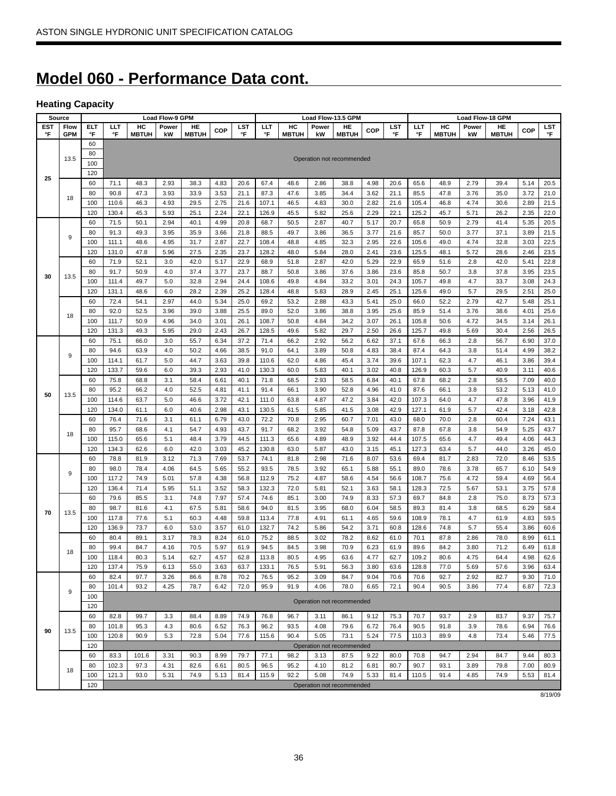# **Model 060 - Performance Data cont.**

# **Heating Capacity**

| Source     |            |            |               |              | <b>Load Flow-9 GPM</b> |              |              |              |               |              |              | Load Flow-13.5 GPM        |              |              |               |              | Load Flow-18 GPM |              |              |              |
|------------|------------|------------|---------------|--------------|------------------------|--------------|--------------|--------------|---------------|--------------|--------------|---------------------------|--------------|--------------|---------------|--------------|------------------|--------------|--------------|--------------|
| <b>EST</b> | Flow       | <b>ELT</b> | LLT           | HC           | Power                  | HE           | COP          | LST          | LLT           | HC           | Power        | HE                        | COP          | LST          | LLT           | HC           | Power            | HE           | COP          | <b>LST</b>   |
| °F         | <b>GPM</b> | °F         | °F            | <b>MBTUH</b> | kW                     | <b>MBTUH</b> |              | °F           | °F            | <b>MBTUH</b> | kW           | <b>MBTUH</b>              |              | °F           | °F            | <b>MBTUH</b> | kW               | <b>MBTUH</b> |              | °F           |
|            |            | 60         |               |              |                        |              |              |              |               |              |              |                           |              |              |               |              |                  |              |              |              |
|            | 13.5       | 80         |               |              |                        |              |              |              |               |              |              | Operation not recommended |              |              |               |              |                  |              |              |              |
|            |            | 100        |               |              |                        |              |              |              |               |              |              |                           |              |              |               |              |                  |              |              |              |
| 25         |            | 120        |               |              |                        |              |              |              |               |              |              |                           |              |              |               |              |                  |              |              |              |
|            |            | 60         | 71.1          | 48.3         | 2.93                   | 38.3         | 4.83         | 20.6         | 67.4          | 48.6         | 2.86         | 38.8                      | 4.98         | 20.6         | 65.6          | 48.9         | 2.79             | 39.4         | 5.14         | 20.5         |
|            | 18         | 80         | 90.8          | 47.3         | 3.93                   | 33.9         | 3.53         | 21.1         | 87.3          | 47.6         | 3.85         | 34.4                      | 3.62         | 21.1         | 85.5          | 47.8         | 3.76             | 35.0         | 3.72         | 21.0         |
|            |            | 100        | 110.6         | 46.3         | 4.93                   | 29.5         | 2.75         | 21.6         | 107.1         | 46.5         | 4.83         | 30.0                      | 2.82         | 21.6         | 105.4         | 46.8         | 4.74             | 30.6         | 2.89         | 21.5         |
|            |            | 120        | 130.4         | 45.3         | 5.93                   | 25.1         | 2.24         | 22.1         | 126.9         | 45.5         | 5.82         | 25.6                      | 2.29         | 22.1         | 125.2         | 45.7         | 5.71             | 26.2         | 2.35         | 22.0         |
|            |            | 60         | 71.5          | 50.1         | 2.94                   | 40.1         | 4.99         | 20.8         | 68.7          | 50.5         | 2.87         | 40.7                      | 5.17         | 20.7         | 65.8          | 50.9         | 2.79             | 41.4         | 5.35         | 20.5         |
|            | 9          | 80         | 91.3          | 49.3         | 3.95                   | 35.9         | 3.66         | 21.8         | 88.5          | 49.7         | 3.86         | 36.5                      | 3.77         | 21.6         | 85.7          | 50.0         | 3.77             | 37.1         | 3.89         | 21.5         |
|            |            | 100        | 111.1         | 48.6         | 4.95                   | 31.7         | 2.87         | 22.7         | 108.4         | 48.8         | 4.85         | 32.3                      | 2.95         | 22.6         | 105.6         | 49.0         | 4.74             | 32.8         | 3.03         | 22.5         |
|            |            | 120        | 131.0         | 47.8         | 5.96                   | 27.5         | 2.35         | 23.7         | 128.2         | 48.0         | 5.84         | 28.0                      | 2.41         | 23.6         | 125.5         | 48.1         | 5.72             | 28.6         | 2.46         | 23.5         |
|            |            | 60         | 71.9          | 52.1         | 3.0                    | 42.0         | 5.17         | 22.9         | 68.9          | 51.8         | 2.87         | 42.0                      | 5.29         | 22.9         | 65.9          | 51.6         | 2.8              | 42.0         | 5.41         | 22.8         |
| 30         | 13.5       | 80         | 91.7          | 50.9         | 4.0                    | 37.4         | 3.77         | 23.7         | 88.7          | 50.8         | 3.86         | 37.6                      | 3.86         | 23.6         | 85.8          | 50.7         | 3.8              | 37.8         | 3.95         | 23.5         |
|            |            | 100        | 111.4         | 49.7         | 5.0                    | 32.8         | 2.94         | 24.4         | 108.6         | 49.8         | 4.84         | 33.2                      | 3.01         | 24.3         | 105.7         | 49.8         | 4.7              | 33.7         | 3.08         | 24.3         |
|            |            | 120        | 131.1         | 48.6         | 6.0                    | 28.2         | 2.39         | 25.2         | 128.4         | 48.8         | 5.83         | 28.9                      | 2.45         | 25.1         | 125.6         | 49.0         | 5.7              | 29.5         | 2.51         | 25.0         |
|            |            | 60         | 72.4          | 54.1         | 2.97                   | 44.0         | 5.34         | 25.0         | 69.2          | 53.2         | 2.88         | 43.3                      | 5.41         | 25.0         | 66.0          | 52.2         | 2.79             | 42.7         | 5.48         | 25.1         |
|            | 18         | 80         | 92.0          | 52.5         | 3.96                   | 39.0         | 3.88         | 25.5         | 89.0          | 52.0         | 3.86         | 38.8                      | 3.95         | 25.6         | 85.9          | 51.4         | 3.76             | 38.6         | 4.01         | 25.6         |
|            |            | 100        | 111.7         | 50.9         | 4.96                   | 34.0         | 3.01         | 26.1         | 108.7         | 50.8         | 4.84         | 34.2                      | 3.07         | 26.1         | 105.8         | 50.6         | 4.72             | 34.5         | 3.14         | 26.1         |
|            |            | 120        | 131.3         | 49.3         | 5.95                   | 29.0         | 2.43         | 26.7         | 128.5         | 49.6         | 5.82         | 29.7                      | 2.50         | 26.6         | 125.7         | 49.8         | 5.69             | 30.4         | 2.56         | 26.5         |
|            |            | 60         | 75.1          | 66.0         | 3.0                    | 55.7         | 6.34         | 37.2         | 71.4          | 66.2         | 2.92         | 56.2                      | 6.62         | 37.1         | 67.6          | 66.3         | 2.8              | 56.7         | 6.90         | 37.0         |
|            | 9          | 80         | 94.6          | 63.9         | 4.0                    | 50.2         | 4.66         | 38.5         | 91.0          | 64.1         | 3.89         | 50.8                      | 4.83         | 38.4         | 87.4          | 64.3         | 3.8              | 51.4         | 4.99         | 38.2         |
|            |            | 100        | 114.1         | 61.7         | 5.0                    | 44.7         | 3.63         | 39.8         | 110.6         | 62.0         | 4.86         | 45.4                      | 3.74         | 39.6         | 107.1         | 62.3         | 4.7              | 46.1         | 3.86         | 39.4         |
|            |            | 120        | 133.7<br>75.8 | 59.6         | 6.0                    | 39.3<br>58.4 | 2.93         | 41.0         | 130.3<br>71.8 | 60.0<br>68.5 | 5.83         | 40.1<br>58.5              | 3.02         | 40.8         | 126.9<br>67.8 | 60.3         | 5.7<br>2.8       | 40.9         | 3.11         | 40.6         |
|            |            | 60<br>80   | 95.2          | 68.8         | 3.1<br>4.0             |              | 6.61         | 40.1         | 91.4          | 66.1         | 2.93         |                           | 6.84<br>4.96 | 40.1<br>41.0 | 87.6          | 68.2         |                  | 58.5         | 7.09         | 40.0         |
| 50         | 13.5       | 100        | 114.6         | 66.2         |                        | 52.5<br>46.6 | 4.81         | 41.1         | 111.0         | 63.8         | 3.90         | 52.8<br>47.2              | 3.84         | 42.0         | 107.3         | 66.1<br>64.0 | 3.8<br>4.7       | 53.2<br>47.8 | 5.13<br>3.96 | 41.0         |
|            |            | 120        | 134.0         | 63.7<br>61.1 | 5.0<br>6.0             | 40.6         | 3.72<br>2.98 | 42.1<br>43.1 | 130.5         | 61.5         | 4.87<br>5.85 | 41.5                      |              | 42.9         | 127.1         |              | 5.7              | 42.4         |              | 41.9<br>42.8 |
|            |            | 60         | 76.4          | 71.6         | 3.1                    | 61.1         | 6.79         | 43.0         | 72.2          | 70.8         | 2.95         | 60.7                      | 3.08<br>7.01 | 43.0         | 68.0          | 61.9<br>70.0 | 2.8              | 60.4         | 3.18<br>7.24 | 43.1         |
|            |            | 80         | 95.7          | 68.6         | 4.1                    | 54.7         | 4.93         | 43.7         | 91.7          | 68.2         | 3.92         | 54.8                      | 5.09         | 43.7         | 87.8          | 67.8         | 3.8              | 54.9         | 5.25         | 43.7         |
|            | 18         | 100        | 115.0         | 65.6         | 5.1                    | 48.4         | 3.79         | 44.5         | 111.3         | 65.6         | 4.89         | 48.9                      | 3.92         | 44.4         | 107.5         | 65.6         | 4.7              | 49.4         | 4.06         | 44.3         |
|            |            | 120        | 134.3         | 62.6         | 6.0                    | 42.0         | 3.03         | 45.2         | 130.8         | 63.0         | 5.87         | 43.0                      | 3.15         | 45.1         | 127.3         | 63.4         | 5.7              | 44.0         | 3.26         | 45.0         |
|            |            | 60         | 78.8          | 81.9         | 3.12                   | 71.3         | 7.69         | 53.7         | 74.1          | 81.8         | 2.98         | 71.6                      | 8.07         | 53.6         | 69.4          | 81.7         | 2.83             | 72.0         | 8.46         | 53.5         |
|            |            | 80         | 98.0          | 78.4         | 4.06                   | 64.5         | 5.65         | 55.2         | 93.5          | 78.5         | 3.92         | 65.1                      | 5.88         | 55.1         | 89.0          | 78.6         | 3.78             | 65.7         | 6.10         | 54.9         |
|            | 9          | 100        | 117.2         | 74.9         | 5.01                   | 57.8         | 4.38         | 56.8         | 112.9         | 75.2         | 4.87         | 58.6                      | 4.54         | 56.6         | 108.7         | 75.6         | 4.72             | 59.4         | 4.69         | 56.4         |
|            |            | 120        | 136.4         | 71.4         | 5.95                   | 51.1         | 3.52         | 58.3         | 132.3         | 72.0         | 5.81         | 52.1                      | 3.63         | 58.1         | 128.3         | 72.5         | 5.67             | 53.1         | 3.75         | 57.8         |
|            |            | 60         | 79.6          | 85.5         | 3.1                    | 74.8         | 7.97         | 57.4         | 74.6          | 85.1         | 3.00         | 74.9                      | 8.33         | 57.3         | 69.7          | 84.8         | 2.8              | 75.0         | 8.73         | 57.3         |
|            |            | 80         | 98.7          | 81.6         | 4.1                    | 67.5         | 5.81         | 58.6         | 94.0          | 81.5         | 3.95         | 68.0                      | 6.04         | 58.5         | 89.3          | 81.4         | 3.8              | 68.5         | 6.29         | 58.4         |
| 70         | 13.5       | 100        | 117.8         | 77.6         | 5.1                    | 60.3         | 4.48         | 59.8         | 113.4         | 77.8         | 4.91         | 61.1                      | 4.65         | 59.6         | 108.9         | 78.1         | 4.7              | 61.9         | 4.83         | 59.5         |
|            |            | 120        | 136.9         | 73.7         | 6.0                    | 53.0         | 3.57         | 61.0         | 132.7         | 74.2         | 5.86         | 54.2                      | 3.71         | 60.8         | 128.6         | 74.8         | 5.7              | 55.4         | 3.86         | 60.6         |
|            |            | 60         | 80.4          | 89.1         | 3.17                   | 78.3         | 8.24         | 61.0         | 75.2          | 88.5         | 3.02         | 78.2                      | 8.62         | 61.0         | 70.1          | 87.8         | 2.86             | 78.0         | 8.99         | 61.1         |
|            |            | 80         | 99.4          | 84.7         | 4.16                   | 70.5         | 5.97         | 61.9         | 94.5          | 84.5         | 3.98         | 70.9                      | 6.23         | 61.9         | 89.6          | 84.2         | 3.80             | 71.2         | 6.49         | 61.8         |
|            | 18         | 100        | 118.4         | 80.3         | 5.14                   | 62.7         | 4.57         | 62.8         | 113.8         | 80.5         | 4.95         | 63.6                      | 4.77         | 62.7         | 109.2         | 80.6         | 4.75             | 64.4         | 4.98         | 62.6         |
|            |            | 120        | 137.4         | 75.9         | 6.13                   | 55.0         | 3.63         | 63.7         | 133.1         | 76.5         | 5.91         | 56.3                      | 3.80         | 63.6         | 128.8         | 77.0         | 5.69             | 57.6         | 3.96         | 63.4         |
|            |            | 60         | 82.4          | 97.7         | 3.26                   | 86.6         | 8.78         | 70.2         | 76.5          | 95.2         | 3.09         | 84.7                      | 9.04         | 70.6         | 70.6          | 92.7         | 2.92             | 82.7         | 9.30         | 71.0         |
|            |            | 80         | 101.4         | 93.2         | 4.25                   | 78.7         | 6.42         | 72.0         | 95.9          | 91.9         | 4.06         | 78.0                      | 6.65         | 72.1         | 90.4          | 90.5         | 3.86             | 77.4         | 6.87         | 72.3         |
|            | 9          | 100        |               |              |                        |              |              |              |               |              |              |                           |              |              |               |              |                  |              |              |              |
|            |            | 120        |               |              |                        |              |              |              |               |              |              | Operation not recommended |              |              |               |              |                  |              |              |              |
|            |            | 60         | 82.8          | 99.7         | 3.3                    | 88.4         | 8.89         | 74.9         | 76.8          | 96.7         | 3.11         | 86.1                      | 9.12         | 75.3         | 70.7          | 93.7         | 2.9              | 83.7         | 9.37         | 75.7         |
|            |            | 80         | 101.8         | 95.3         | 4.3                    | 80.6         | 6.52         | 76.3         | 96.2          | 93.5         | 4.08         | 79.6                      | 6.72         | 76.4         | 90.5          | 91.8         | 3.9              | 78.6         | 6.94         | 76.6         |
| 90         | 13.5       | 100        | 120.8         | 90.9         | 5.3                    | 72.8         | 5.04         | 77.6         | 115.6         | 90.4         | 5.05         | 73.1                      | 5.24         | 77.5         | 110.3         | 89.9         | 4.8              | 73.4         | 5.46         | 77.5         |
|            |            | 120        |               |              |                        |              |              |              |               |              |              | Operation not recommended |              |              |               |              |                  |              |              |              |
|            |            | 60         | 83.3          | 101.6        | 3.31                   | 90.3         | 8.99         | 79.7         | 77.1          | 98.2         | 3.13         | 87.5                      | 9.22         | 80.0         | 70.8          | 94.7         | 2.94             | 84.7         | 9.44         | 80.3         |
|            |            | 80         | 102.3         | 97.3         | 4.31                   | 82.6         | 6.61         | 80.5         | 96.5          | 95.2         | 4.10         | 81.2                      | 6.81         | 80.7         | 90.7          | 93.1         | 3.89             | 79.8         | 7.00         | 80.9         |
|            | 18         | 100        | 121.3         | 93.0         | 5.31                   | 74.9         | 5.13         | 81.4         | 115.9         | 92.2         | 5.08         | 74.9                      | 5.33         | 81.4         | 110.5         | 91.4         | 4.85             | 74.9         | 5.53         | 81.4         |
|            |            | 120        |               |              |                        |              |              |              |               |              |              | Operation not recommended |              |              |               |              |                  |              |              |              |

8/19/09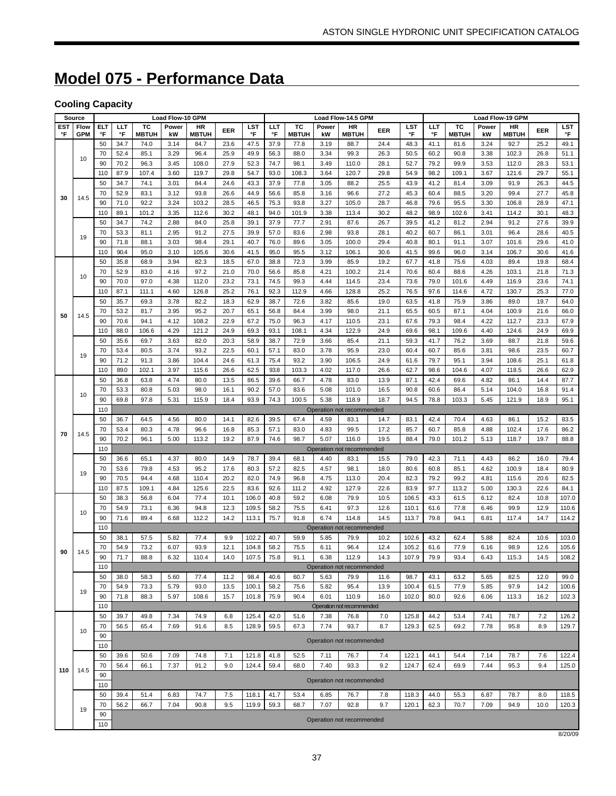# **Model 075 - Performance Data**

# **Cooling Capacity**

|     | <b>Source</b> |           |              |               | Load Flow-10 GPM |               |              |                |              |              |              | Load Flow-14.5 GPM        |              |                |              |               |              | Load Flow-19 GPM |              |                |  |  |
|-----|---------------|-----------|--------------|---------------|------------------|---------------|--------------|----------------|--------------|--------------|--------------|---------------------------|--------------|----------------|--------------|---------------|--------------|------------------|--------------|----------------|--|--|
| EST | Flow          | ELT       | LLT          | тс            | Power            | HR            | EER          | LST            | LLT          | тc           | Power        | HR                        | EER          | LST            | LLT          | тc            | Power        | HR               | EER          | <b>LST</b>     |  |  |
| °F  | <b>GPM</b>    | °F        | °F           | <b>MBTUH</b>  | kW               | <b>MBTUH</b>  |              | °F             | °F           | <b>MBTUH</b> | kW           | <b>MBTUH</b>              |              | °F             | °F           | <b>MBTUH</b>  | kW           | <b>MBTUH</b>     |              | °F             |  |  |
|     |               | 50        | 34.7         | 74.0          | 3.14             | 84.7          | 23.6         | 47.5           | 37.9         | 77.8         | 3.19         | 88.7                      | 24.4         | 48.3           | 41.1         | 81.6          | 3.24         | 92.7             | 25.2         | 49.1           |  |  |
|     | 10            | 70        | 52.4         | 85.1          | 3.29             | 96.4          | 25.9         | 49.9           | 56.3         | 88.0         | 3.34         | 99.3                      | 26.3         | 50.5           | 60.2         | 90.8          | 3.38         | 102.3            | 26.8         | 51.1           |  |  |
|     |               | 90        | 70.2         | 96.3          | 3.45             | 108.0         | 27.9         | 52.3           | 74.7         | 98.1         | 3.49         | 110.0                     | 28.1         | 52.7           | 79.2         | 99.9          | 3.53         | 112.0            | 28.3         | 53.1           |  |  |
|     |               | 110       | 87.9         | 107.4         | 3.60             | 119.7         | 29.8         | 54.7           | 93.0         | 108.3        | 3.64         | 120.7                     | 29.8         | 54.9           | 98.2         | 109.1         | 3.67         | 121.6            | 29.7         | 55.1           |  |  |
|     |               | 50        | 34.7         | 74.1          | 3.01             | 84.4          | 24.6         | 43.3           | 37.9         | 77.8         | 3.05         | 88.2                      | 25.5         | 43.9           | 41.2         | 81.4          | 3.09         | 91.9             | 26.3         | 44.5           |  |  |
| 30  | 14.5          | 70        | 52.9         | 83.1          | 3.12             | 93.8          | 26.6         | 44.9           | 56.6         | 85.8         | 3.16         | 96.6                      | 27.2         | 45.3           | 60.4         | 88.5          | 3.20         | 99.4             | 27.7         | 45.8           |  |  |
|     |               | 90        | 71.0         | 92.2          | 3.24             | 103.2         | 28.5         | 46.5           | 75.3         | 93.8         | 3.27         | 105.0                     | 28.7         | 46.8           | 79.6         | 95.5          | 3.30         | 106.8            | 28.9         | 47.1           |  |  |
|     |               | 110<br>50 | 89.1         | 101.2<br>74.2 | 3.35<br>2.88     | 112.6         | 30.2         | 48.1<br>39.1   | 94.0         | 101.9        | 3.38<br>2.91 | 113.4                     | 30.2         | 48.2           | 98.9         | 102.6<br>81.2 | 3.41<br>2.94 | 114.2<br>91.2    | 30.1<br>27.6 | 48.3           |  |  |
|     |               | 70        | 34.7<br>53.3 | 81.1          | 2.95             | 84.0<br>91.2  | 25.8<br>27.5 | 39.9           | 37.9<br>57.0 | 77.7<br>83.6 | 2.98         | 87.6<br>93.8              | 26.7<br>28.1 | 39.5<br>40.2   | 41.2<br>60.7 | 86.1          | 3.01         | 96.4             | 28.6         | 39.9<br>40.5   |  |  |
|     | 19            | 90        | 71.8         | 88.1          | 3.03             | 98.4          | 29.1         | 40.7           | 76.0         | 89.6         | 3.05         | 100.0                     | 29.4         | 40.8           | 80.1         | 91.1          | 3.07         | 101.6            | 29.6         | 41.0           |  |  |
|     |               | 110       | 90.4         | 95.0          | 3.10             | 105.6         | 30.6         | 41.5           | 95.0         | 95.5         | 3.12         | 106.1                     | 30.6         | 41.5           | 99.6         | 96.0          | 3.14         | 106.7            | 30.6         | 41.6           |  |  |
|     |               | 50        | 35.8         | 68.9          | 3.94             | 82.3          | 18.5         | 67.0           | 38.8         | 72.3         | 3.99         | 85.9                      | 19.2         | 67.7           | 41.8         | 75.6          | 4.03         | 89.4             | 19.8         | 68.4           |  |  |
|     |               | 70        | 52.9         | 83.0          | 4.16             | 97.2          | 21.0         | 70.0           | 56.6         | 85.8         | 4.21         | 100.2                     | 21.4         | 70.6           | 60.4         | 88.6          | 4.26         | 103.1            | 21.8         | 71.3           |  |  |
|     | 10            | 90        | 70.0         | 97.0          | 4.38             | 112.0         | 23.2         | 73.1           | 74.5         | 99.3         | 4.44         | 114.5                     | 23.4         | 73.6           | 79.0         | 101.6         | 4.49         | 116.9            | 23.6         | 74.1           |  |  |
|     |               | 110       | 87.1         | 111.1         | 4.60             | 126.8         | 25.2         | 76.1           | 92.3         | 112.9        | 4.66         | 128.8                     | 25.2         | 76.5           | 97.6         | 114.6         | 4.72         | 130.7            | 25.3         | 77.0           |  |  |
|     |               | 50        | 35.7         | 69.3          | 3.78             | 82.2          | 18.3         | 62.9           | 38.7         | 72.6         | 3.82         | 85.6                      | 19.0         | 63.5           | 41.8         | 75.9          | 3.86         | 89.0             | 19.7         | 64.0           |  |  |
|     |               | 70        | 53.2         | 81.7          | 3.95             | 95.2          | 20.7         | 65.1           | 56.8         | 84.4         | 3.99         | 98.0                      | 21.1         | 65.5           | 60.5         | 87.1          | 4.04         | 100.9            | 21.6         | 66.0           |  |  |
| 50  | 14.5          | 90        | 70.6         | 94.1          | 4.12             | 108.2         | 22.9         | 67.2           | 75.0         | 96.3         | 4.17         | 110.5                     | 23.1         | 67.6           | 79.3         | 98.4          | 4.22         | 112.7            | 23.3         | 67.9           |  |  |
|     |               | 110       | 88.0         | 106.6         | 4.29             | 121.2         | 24.9         | 69.3           | 93.1         | 108.1        | 4.34         | 122.9                     | 24.9         | 69.6           | 98.1         | 109.6         | 4.40         | 124.6            | 24.9         | 69.9           |  |  |
|     |               | 50        | 35.6         | 69.7          | 3.63             | 82.0          | 20.3         | 58.9           | 38.7         | 72.9         | 3.66         | 85.4                      | 21.1         | 59.3           | 41.7         | 76.2          | 3.69         | 88.7             | 21.8         | 59.6           |  |  |
|     |               | 70        | 53.4         | 80.5          | 3.74             | 93.2          | 22.5         | 60.1           | 57.1         | 83.0         | 3.78         | 95.9                      | 23.0         | 60.4           | 60.7         | 85.6          | 3.81         | 98.6             | 23.5         | 60.7           |  |  |
|     | 19            | 90        | 71.2         | 91.3          | 3.86             | 104.4         | 24.6         | 61.3           | 75.4         | 93.2         | 3.90         | 106.5                     | 24.9         | 61.6           | 79.7         | 95.1          | 3.94         | 108.6            | 25.1         | 61.8           |  |  |
|     |               | 110       | 89.0         | 102.1         | 3.97             | 115.6         | 26.6         | 62.5           | 93.8         | 103.3        | 4.02         | 117.0                     | 26.6         | 62.7           | 98.6         | 104.6         | 4.07         | 118.5            | 26.6         | 62.9           |  |  |
|     |               | 50        | 36.8         | 63.8          | 4.74             | 80.0          | 13.5         | 86.5           | 39.6         | 66.7         | 4.78         | 83.0                      | 13.9         | 87.1           | 42.4         | 69.6          | 4.82         | 86.1             | 14.4         | 87.7           |  |  |
|     | 10            | 70        | 53.3         | 80.8          | 5.03             | 98.0          | 16.1         | 90.2           | 57.0         | 83.6         | 5.08         | 101.0                     | 16.5         | 90.8           | 60.6         | 86.4          | 5.14         | 104.0            | 16.8         | 91.4           |  |  |
|     |               | 90        | 69.8         | 97.8          | 5.31             | 115.9         | 18.4         | 93.9           | 74.3         | 100.5        | 5.38         | 118.9                     | 18.7         | 94.5           | 78.8         | 103.3         | 5.45         | 121.9            | 18.9         | 95.1           |  |  |
|     |               | 110       |              |               |                  |               |              |                |              |              |              | Operation not recommended |              |                |              |               |              |                  |              |                |  |  |
|     |               | 50        | 36.7         | 64.5          | 4.56             | 80.0          | 14.1         | 82.6           | 39.5         | 67.4         | 4.59         | 83.1                      | 14.7         | 83.1           | 42.4         | 70.4          | 4.63         | 86.1             | 15.2         | 83.5           |  |  |
| 70  | 14.5          | 70        | 53.4         | 80.3          | 4.78             | 96.6          | 16.8         | 85.3           | 57.1         | 83.0         | 4.83         | 99.5                      | 17.2         | 85.7           | 60.7         | 85.8          | 4.88         | 102.4            | 17.6         | 86.2           |  |  |
|     |               | 90        | 70.2         | 96.1          | 5.00             | 113.2         | 19.2         | 87.9           | 74.6         | 98.7         | 5.07         | 116.0                     | 19.5         | 88.4           | 79.0         | 101.2         | 5.13         | 118.7            | 19.7         | 88.8           |  |  |
|     |               | 110       |              |               |                  |               |              |                |              |              |              | Operation not recommended |              |                |              |               |              |                  |              |                |  |  |
|     |               | 50        | 36.6         | 65.1          | 4.37             | 80.0          | 14.9         | 78.7           | 39.4         | 68.1         | 4.40         | 83.1                      | 15.5         | 79.0           | 42.3         | 71.1          | 4.43         | 86.2             | 16.0         | 79.4           |  |  |
|     | 19            | 70        | 53.6         | 79.8          | 4.53             | 95.2          | 17.6         | 80.3           | 57.2         | 82.5         | 4.57         | 98.1                      | 18.0         | 80.6           | 60.8         | 85.1          | 4.62         | 100.9            | 18.4         | 80.9           |  |  |
|     |               | 90        | 70.5         | 94.4          | 4.68             | 110.4         | 20.2         | 82.0           | 74.9         | 96.8         | 4.75         | 113.0                     | 20.4         | 82.3           | 79.2         | 99.2          | 4.81         | 115.6            | 20.6         | 82.5           |  |  |
|     |               | 110       | 87.5         | 109.1         | 4.84             | 125.6         | 22.5         | 83.6           | 92.6         | 111.2        | 4.92         | 127.9                     | 22.6         | 83.9           | 97.7         | 113.2         | 5.00         | 130.3            | 22.6         | 84.1           |  |  |
|     |               | 50        | 38.3         | 56.8<br>73.1  | 6.04             | 77.4          | 10.1<br>12.3 | 106.0          | 40.8         | 59.2         | 6.08         | 79.9                      | 10.5<br>12.6 | 106.5          | 43.3         | 61.5          | 6.12         | 82.4<br>99.9     | 10.8<br>12.9 | 107.0          |  |  |
|     | 10            | 70<br>90  | 54.9<br>71.6 | 89.4          | 6.36<br>6.68     | 94.8<br>112.2 | 14.2         | 109.5<br>113.1 | 58.2<br>75.7 | 75.5<br>91.8 | 6.41<br>6.74 | 97.3<br>114.8             | 14.5         | 110.1<br>113.7 | 61.6<br>79.8 | 77.8<br>94.1  | 6.46<br>6.81 | 117.4            | 14.7         | 110.6<br>114.2 |  |  |
|     |               | 110       |              |               |                  |               |              |                |              |              |              | Operation not recommended |              |                |              |               |              |                  |              |                |  |  |
|     |               | 50        | 38.1         | 57.5          | 5.82             | 77.4          | 9.9          | 102.2          | 40.7         | 59.9         | 5.85         | 79.9                      | 10.2         | 102.6          | 43.2         | 62.4          | 5.88         | 82.4             | 10.6         | 103.0          |  |  |
|     |               | 70        | 54.9         | 73.2          | 6.07             | 93.9          | 12.1         | 104.8          | 58.2         | 75.5         | 6.11         | 96.4                      | 12.4         | 105.2          | 61.6         | 77.9          | 6.16         | 98.9             | 12.6         | 105.6          |  |  |
| 90  | 14.5          | 90        | 71.7         | 88.8          | 6.32             | 110.4         | 14.0         | 107.5          | 75.8         | 91.1         | 6.38         | 112.9                     | 14.3         | 107.9          | 79.9         | 93.4          | 6.43         | 115.3            | 14.5         | 108.2          |  |  |
|     |               | 110       |              |               |                  |               |              |                |              |              |              | Operation not recommended |              |                |              |               |              |                  |              |                |  |  |
|     |               | 50        | 38.0         | 58.3          | 5.60             | 77.4          | 11.2         | 98.4           | 40.6         | 60.7         | 5.63         | 79.9                      | 11.6         | 98.7           | 43.1         | 63.2          | 5.65         | 82.5             | 12.0         | 99.0           |  |  |
|     |               | 70        | 54.9         | 73.3          | 5.79             | 93.0          | 13.5         | 100.1          | 58.2         | 75.6         | 5.82         | 95.4                      | 13.9         | 100.4          | 61.5         | 77.9          | 5.85         | 97.9             | 14.2         | 100.6          |  |  |
|     | 19            | 90        | 71.8         | 88.3          | 5.97             | 108.6         | 15.7         | 101.8          | 75.9         | 90.4         | 6.01         | 110.9                     | 16.0         | 102.0          | 80.0         | 92.6          | 6.06         | 113.3            | 16.2         | 102.3          |  |  |
|     |               | 110       |              |               |                  |               |              |                |              |              |              | Operation not recommended |              |                |              |               |              |                  |              |                |  |  |
|     |               | 50        | 39.7         | 49.8          | 7.34             | 74.9          | 6.8          | 125.4          | 42.0         | 51.6         | 7.38         | 76.8                      | 7.0          | 125.8          | 44.2         | 53.4          | 7.41         | 78.7             | 7.2          | 126.2          |  |  |
|     | 10            | 70        | 56.5         | 65.4          | 7.69             | 91.6          | 8.5          | 128.9          | 59.5         | 67.3         | 7.74         | 93.7                      | 8.7          | 129.3          | 62.5         | 69.2          | 7.78         | 95.8             | 8.9          | 129.7          |  |  |
|     |               | 90        |              |               |                  |               |              |                |              |              |              | Operation not recommended |              |                |              |               |              |                  |              |                |  |  |
|     |               | 110       |              |               |                  |               |              |                |              |              |              |                           |              |                |              |               |              |                  |              |                |  |  |
|     |               | 50        | 39.6         | 50.6          | 7.09             | 74.8          | 7.1          | 121.8          | 41.8         | 52.5         | 7.11         | 76.7                      | 7.4          | 122.1          | 44.1         | 54.4          | 7.14         | 78.7             | 7.6          | 122.4          |  |  |
| 110 | 14.5          | 70        | 56.4         | 66.1          | 7.37             | 91.2          | 9.0          | 124.4          | 59.4         | 68.0         | 7.40         | 93.3                      | 9.2          | 124.7          | 62.4         | 69.9          | 7.44         | 95.3             | 9.4          | 125.0          |  |  |
|     |               | 90        |              |               |                  |               |              |                |              |              |              | Operation not recommended |              |                |              |               |              |                  |              |                |  |  |
|     |               | 110       |              |               |                  |               |              |                |              |              |              |                           |              |                |              |               |              |                  |              |                |  |  |
|     |               | 50        | 39.4         | 51.4          | 6.83             | 74.7          | 7.5          | 118.1          | 41.7         | 53.4         | 6.85         | 76.7                      | 7.8          | 118.3          | 44.0         | 55.3          | 6.87         | 78.7             | 8.0          | 118.5          |  |  |
|     | 19            | 70        | 56.2         | 66.7          | 7.04             | 90.8          | 9.5          | 119.9          | 59.3         | 68.7         | 7.07         | 92.8                      | 9.7          | 120.1          | 62.3         | 70.7          | 7.09         | 94.9             | 10.0         | 120.3          |  |  |
|     |               | 90<br>110 |              |               |                  |               |              |                |              |              |              | Operation not recommended |              |                |              |               |              |                  |              |                |  |  |
|     |               |           |              |               |                  |               |              |                |              |              |              |                           |              |                |              |               |              |                  |              |                |  |  |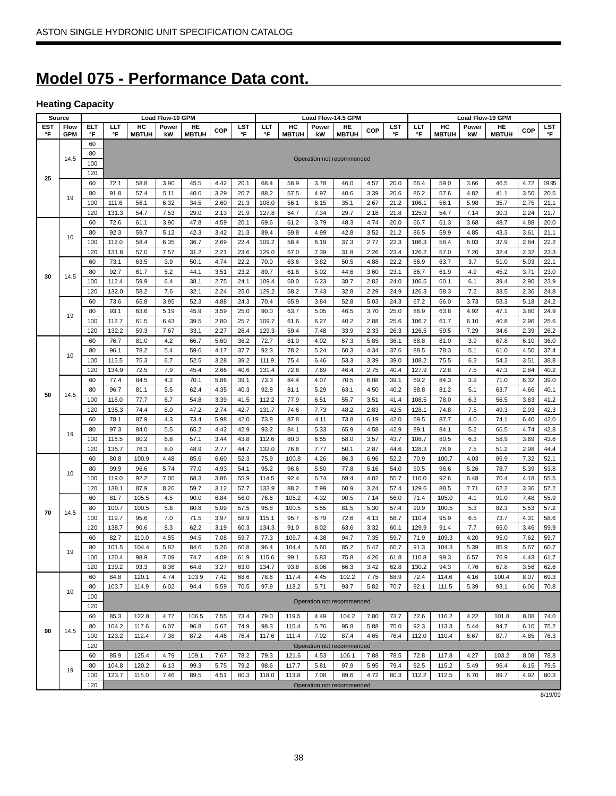# **Model 075 - Performance Data cont.**

# **Heating Capacity**

| Source     |            |            |                |              | Load Flow-10 GPM |              |              |              |               |              |              | Load Flow-14.5 GPM        |              |              |               |              | Load Flow-19 GPM |              |              |              |
|------------|------------|------------|----------------|--------------|------------------|--------------|--------------|--------------|---------------|--------------|--------------|---------------------------|--------------|--------------|---------------|--------------|------------------|--------------|--------------|--------------|
| <b>EST</b> | Flow       | <b>ELT</b> | LLT            | HC           | Power            | HE           | COP          | LST          | ШT            | HC           | Power        | HE                        | COP          | LST          | ШT            | HC           | Power            | HE           | COP          | LST          |
| °F         | <b>GPM</b> | °F         | °F             | <b>MBTUH</b> | kW               | <b>MBTUH</b> |              | °F           | °F            | <b>MBTUH</b> | kW           | <b>MBTUH</b>              |              | °F           | °F            | <b>MBTUH</b> | kW               | <b>MBTUH</b> |              | °F           |
|            |            | 60         |                |              |                  |              |              |              |               |              |              |                           |              |              |               |              |                  |              |              |              |
|            | 14.5       | 80         |                |              |                  |              |              |              |               |              |              | Operation not recommended |              |              |               |              |                  |              |              |              |
|            |            | 100        |                |              |                  |              |              |              |               |              |              |                           |              |              |               |              |                  |              |              |              |
| 25         |            | 120        |                |              |                  |              |              |              |               |              |              |                           |              |              |               |              |                  |              |              |              |
|            |            | 60         | 72.1           | 58.8         | 3.90             | 45.5         | 4.42         | 20.1         | 68.4          | 58.9         | 3.78         | 46.0                      | 4.57         | 20.0         | 66.4          | 59.0         | 3.66             | 46.5         | 4.72         | 19.95        |
|            | 19         | 80         | 91.8           | 57.4         | 5.11             | 40.0         | 3.29         | 20.7         | 88.2          | 57.5         | 4.97         | 40.6                      | 3.39         | 20.6         | 86.2          | 57.6         | 4.82             | 41.1         | 3.50         | 20.5         |
|            |            | 100        | 111.6          | 56.1         | 6.32             | 34.5         | 2.60         | 21.3         | 108.0         | 56.1         | 6.15         | 35.1                      | 2.67         | 21.2         | 106.1         | 56.1         | 5.98             | 35.7         | 2.75         | 21.1         |
|            |            | 120        | 131.3          | 54.7         | 7.53             | 29.0         | 2.13         | 21.9         | 127.8         | 54.7         | 7.34         | 29.7                      | 2.18         | 21.8         | 125.9         | 54.7         | 7.14             | 30.3         | 2.24         | 21.7         |
|            |            | 60         | 72.6           | 61.1         | 3.90             | 47.8         | 4.59         | 20.1         | 69.6          | 61.2         | 3.79         | 48.3                      | 4.74         | 20.0         | 66.7          | 61.3         | 3.68             | 48.7         | 4.88         | 20.0         |
|            | 10         | 80         | 92.3           | 59.7         | 5.12             | 42.3         | 3.42         | 21.3         | 89.4          | 59.8         | 4.99         | 42.8                      | 3.52         | 21.2         | 86.5          | 59.9         | 4.85             | 43.3         | 3.61         | 21.1         |
|            |            | 100        | 112.0          | 58.4         | 6.35             | 36.7         | 2.69         | 22.4         | 109.2         | 58.4         | 6.19         | 37.3                      | 2.77         | 22.3         | 106.3         | 58.4         | 6.03             | 37.9         | 2.84         | 22.2         |
|            |            | 120        | 131.8          | 57.0         | 7.57             | 31.2         | 2.21         | 23.6         | 129.0         | 57.0         | 7.39         | 31.8                      | 2.26         | 23.4         | 126.2         | 57.0         | 7.20             | 32.4         | 2.32         | 23.3         |
|            |            | 60         | 73.1           | 63.5         | 3.9              | 50.1         | 4.74         | 22.2         | 70.0          | 63.6         | 3.82         | 50.5                      | 4.88         | 22.2         | 66.9          | 63.7         | 3.7              | 51.0         | 5.03         | 22.1         |
| 30         | 14.5       | 80         | 92.7           | 61.7         | 5.2              | 44.1         | 3.51         | 23.2         | 89.7          | 61.8         | 5.02         | 44.6                      | 3.60         | 23.1         | 86.7          | 61.9         | 4.9              | 45.2         | 3.71         | 23.0         |
|            |            | 100        | 112.4          | 59.9         | 6.4              | 38.1         | 2.75         | 24.1         | 109.4         | 60.0         | 6.23         | 38.7                      | 2.82         | 24.0         | 106.5         | 60.1         | 6.1              | 39.4         | 2.90         | 23.9         |
|            |            | 120        | 132.0          | 58.2         | 7.6              | 32.1         | 2.24         | 25.0         | 129.2         | 58.2         | 7.43         | 32.8                      | 2.29         | 24.9         | 126.3         | 58.3         | 7.2              | 33.5         | 2.36         | 24.8         |
|            |            | 60         | 73.6           | 65.8         | 3.95             | 52.3         | 4.88         | 24.3         | 70.4          | 65.9         | 3.84         | 52.8                      | 5.03         | 24.3         | 67.2          | 66.0         | 3.73             | 53.3         | 5.18         | 24.2         |
|            | 19         | 80         | 93.1           | 63.6         | 5.19             | 45.9         | 3.59         | 25.0         | 90.0          | 63.7         | 5.05         | 46.5                      | 3.70         | 25.0         | 86.9          | 63.8         | 4.92             | 47.1         | 3.80         | 24.9         |
|            |            | 100        | 112.7          | 61.5         | 6.43             | 39.5         | 2.80         | 25.7         | 109.7         | 61.6         | 6.27         | 40.2                      | 2.88         | 25.6         | 106.7         | 61.7         | 6.10             | 40.8         | 2.96         | 25.6         |
|            |            | 120        | 132.2          | 59.3         | 7.67             | 33.1         | 2.27         | 26.4         | 129.3         | 59.4         | 7.48         | 33.9                      | 2.33         | 26.3         | 126.5         | 59.5         | 7.29             | 34.6         | 2.39         | 26.2         |
|            |            | 60         | 76.7           | 81.0         | 4.2              | 66.7         | 5.60         | 36.2         | 72.7          | 81.0         | 4.02         | 67.3                      | 5.85         | 36.1         | 68.8          | 81.0         | 3.9              | 67.8         | 6.10         | 36.0         |
|            | 10         | 80<br>100  | 96.1           | 78.2         | 5.4              | 59.6         | 4.17         | 37.7         | 92.3<br>111.9 | 78.2         | 5.24<br>6.46 | 60.3                      | 4.34         | 37.6<br>39.0 | 88.5<br>108.2 | 78.3         | 5.1              | 61.0         | 4.50         | 37.4         |
|            |            | 120        | 115.5<br>134.9 | 75.3         | 6.7              | 52.5         | 3.28         | 39.2<br>40.6 | 131.4         | 75.4<br>72.6 |              | 53.3<br>46.4              | 3.39         | 40.4         |               | 75.5         | 6.3<br>7.5       | 54.2         | 3.51         | 38.8<br>40.2 |
|            |            | 60         | 77.4           | 72.5<br>84.5 | 7.9<br>4.2       | 45.4<br>70.1 | 2.66<br>5.86 | 39.1         | 73.3          | 84.4         | 7.69<br>4.07 | 70.5                      | 2.75         | 39.1         | 127.9<br>69.2 | 72.8<br>84.3 | 3.9              | 47.3<br>71.0 | 2.84<br>6.32 |              |
|            |            | 80         | 96.7           | 81.1         | 5.5              | 62.4         | 4.35         | 40.3         | 92.8          | 81.1         | 5.29         | 63.1                      | 6.08<br>4.50 | 40.2         | 88.8          | 81.2         | 5.1              | 63.7         | 4.66         | 39.0<br>40.1 |
| 50         | 14.5       | 100        | 116.0          | 77.7         | 6.7              | 54.8         | 3.39         | 41.5         | 112.2         | 77.9         | 6.51         | 55.7                      | 3.51         | 41.4         | 108.5         | 78.0         | 6.3              | 56.5         | 3.63         | 41.2         |
|            |            | 120        | 135.3          | 74.4         | 8.0              | 47.2         | 2.74         | 42.7         | 131.7         | 74.6         | 7.73         | 48.2                      | 2.83         | 42.5         | 128.1         | 74.8         | 7.5              | 49.3         | 2.93         | 42.3         |
|            |            | 60         | 78.1           | 87.9         | 4.3              | 73.4         | 5.98         | 42.0         | 73.8          | 87.8         | 4.11         | 73.8                      | 6.19         | 42.0         | 69.5          | 87.7         | 4.0              | 74.1         | 6.40         | 42.0         |
|            |            | 80         | 97.3           | 84.0         | 5.5              | 65.2         | 4.42         | 42.9         | 93.2          | 84.1         | 5.33         | 65.9                      | 4.58         | 42.9         | 89.1          | 84.1         | 5.2              | 66.5         | 4.74         | 42.8         |
|            | 19         | 100        | 116.5          | 80.2         | 6.8              | 57.1         | 3.44         | 43.8         | 112.6         | 80.3         | 6.55         | 58.0                      | 3.57         | 43.7         | 108.7         | 80.5         | 6.3              | 58.9         | 3.69         | 43.6         |
|            |            | 120        | 135.7          | 76.3         | 8.0              | 48.9         | 2.77         | 44.7         | 132.0         | 76.6         | 7.77         | 50.1                      | 2.87         | 44.6         | 128.3         | 76.9         | 7.5              | 51.2         | 2.98         | 44.4         |
|            |            | 60         | 80.8           | 100.9        | 4.48             | 85.6         | 6.60         | 52.3         | 75.9          | 100.8        | 4.26         | 86.3                      | 6.96         | 52.2         | 70.9          | 100.7        | 4.03             | 86.9         | 7.32         | 52.1         |
|            |            | 80         | 99.9           | 96.6         | 5.74             | 77.0         | 4.93         | 54.1         | 95.2          | 96.6         | 5.50         | 77.8                      | 5.16         | 54.0         | 90.5          | 96.6         | 5.26             | 78.7         | 5.39         | 53.8         |
|            | 10         | 100        | 119.0          | 92.2         | 7.00             | 68.3         | 3.86         | 55.9         | 114.5         | 92.4         | 6.74         | 69.4                      | 4.02         | 55.7         | 110.0         | 92.6         | 6.48             | 70.4         | 4.18         | 55.5         |
|            |            | 120        | 138.1          | 87.9         | 8.26             | 59.7         | 3.12         | 57.7         | 133.9         | 88.2         | 7.99         | 60.9                      | 3.24         | 57.4         | 129.6         | 88.5         | 7.71             | 62.2         | 3.36         | 57.2         |
|            |            | 60         | 81.7           | 105.5        | 4.5              | 90.0         | 6.84         | 56.0         | 76.6          | 105.2        | 4.32         | 90.5                      | 7.14         | 56.0         | 71.4          | 105.0        | 4.1              | 91.0         | 7.48         | 55.9         |
|            |            | 80         | 100.7          | 100.5        | 5.8              | 80.8         | 5.09         | 57.5         | 95.8          | 100.5        | 5.55         | 81.5                      | 5.30         | 57.4         | 90.9          | 100.5        | 5.3              | 82.3         | 5.53         | 57.2         |
| 70         | 14.5       | 100        | 119.7          | 95.6         | 7.0              | 71.5         | 3.97         | 58.9         | 115.1         | 95.7         | 6.79         | 72.6                      | 4.13         | 58.7         | 110.4         | 95.9         | 6.5              | 73.7         | 4.31         | 58.6         |
|            |            | 120        | 138.7          | 90.6         | 8.3              | 62.2         | 3.19         | 60.3         | 134.3         | 91.0         | 8.02         | 63.6                      | 3.32         | 60.1         | 129.9         | 91.4         | 7.7              | 65.0         | 3.46         | 59.9         |
|            |            | 60         | 82.7           | 110.0        | 4.55             | 94.5         | 7.08         | 59.7         | 77.3          | 109.7        | 4.38         | 94.7                      | 7.35         | 59.7         | 71.9          | 109.3        | 4.20             | 95.0         | 7.62         | 59.7         |
|            |            | 80         | 101.5          | 104.4        | 5.82             | 84.6         | 5.26         | 60.8         | 96.4          | 104.4        | 5.60         | 85.2                      | 5.47         | 60.7         | 91.3          | 104.3        | 5.39             | 85.9         | 5.67         | 60.7         |
|            | 19         | 100        | 120.4          | 98.9         | 7.09             | 74.7         | 4.09         | 61.9         | 115.6         | 99.1         | 6.83         | 75.8                      | 4.26         | 61.8         | 110.8         | 99.3         | 6.57             | 76.9         | 4.43         | 61.7         |
|            |            | 120        | 139.2          | 93.3         | 8.36             | 64.8         | 3.27         | 63.0         | 134.7         | 93.8         | 8.06         | 66.3                      | 3.42         | 62.8         | 130.2         | 94.3         | 7.76             | 67.8         | 3.56         | 62.6         |
|            |            | 60         | 84.8           | 120.1        | 4.74             | 103.9        | 7.42         | 68.6         | 78.6          | 117.4        | 4.45         | 102.2                     | 7.75         | 68.9         | 72.4          | 114.6        | 4.16             | 100.4        | 8.07         | 69.3         |
|            |            | 80         | 103.7          | 114.9        | 6.02             | 94.4         | 5.59         | 70.5         | 97.9          | 113.2        | 5.71         | 93.7                      | 5.82         | 70.7         | 92.1          | 111.5        | 5.39             | 93.1         | 6.06         | 70.8         |
|            | 10         | 100        |                |              |                  |              |              |              |               |              |              |                           |              |              |               |              |                  |              |              |              |
|            |            | 120        |                |              |                  |              |              |              |               |              |              | Operation not recommended |              |              |               |              |                  |              |              |              |
|            |            | 60         | 85.3           | 122.8        | 4.77             | 106.5        | 7.55         | 73.4         | 79.0          | 119.5        | 4.49         | 104.2                     | 7.80         | 73.7         | 72.6          | 116.2        | 4.22             | 101.8        | 8.08         | 74.0         |
|            |            | 80         | 104.2          | 117.6        | 6.07             | 96.8         | 5.67         | 74.9         | 98.3          | 115.4        | 5.76         | 95.8                      | 5.88         | 75.0         | 92.3          | 113.3        | 5.44             | 94.7         | 6.10         | 75.2         |
| 90         | 14.5       | 100        | 123.2          | 112.4        | 7.38             | 87.2         | 4.46         | 76.4         | 117.6         | 111.4        | 7.02         | 87.4                      | 4.65         | 76.4         | 112.0         | 110.4        | 6.67             | 87.7         | 4.85         | 76.3         |
|            |            | 120        |                |              |                  |              |              |              |               |              |              | Operation not recommended |              |              |               |              |                  |              |              |              |
|            |            | 60         | 85.9           | 125.4        | 4.79             | 109.1        | 7.67         | 78.2         | 79.3          | 121.6        | 4.53         | 106.1                     | 7.88         | 78.5         | 72.8          | 117.8        | 4.27             | 103.2        | 8.08         | 78.8         |
|            |            | 80         | 104.8          | 120.2        | 6.13             | 99.3         | 5.75         | 79.2         | 98.6          | 117.7        | 5.81         | 97.9                      | 5.95         | 79.4         | 92.5          | 115.2        | 5.49             | 96.4         | 6.15         | 79.5         |
|            | 19         | 100        | 123.7          | 115.0        | 7.46             | 89.5         | 4.51         | 80.3         | 118.0         | 113.8        | 7.08         | 89.6                      | 4.72         | 80.3         | 112.2         | 112.5        | 6.70             | 89.7         | 4.92         | 80.3         |
|            |            | 120        |                |              |                  |              |              |              |               |              |              | Operation not recommended |              |              |               |              |                  |              |              |              |

8/19/09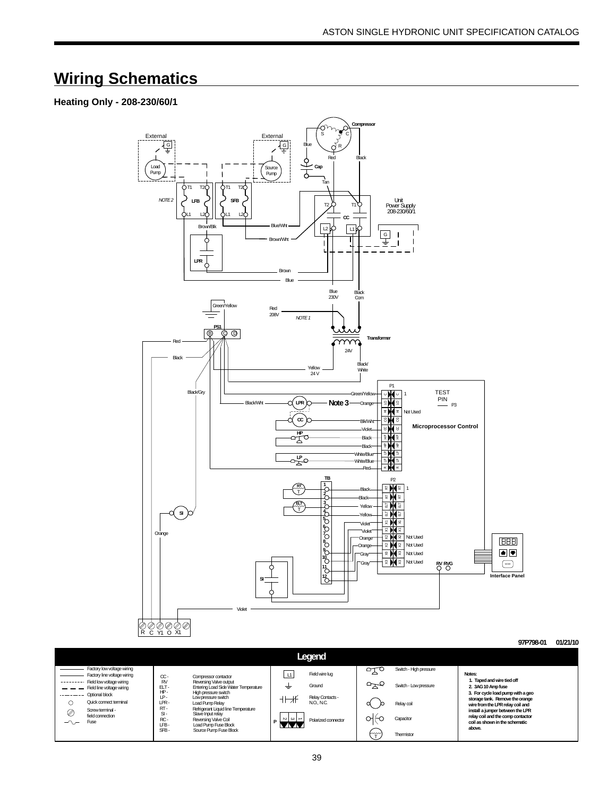# **Wiring Schematics**

### **Heating Only - 208-230/60/1**



|                          |                                                           |                         |                                                              |                           | ноча м                         |        |                        |                                                                      |
|--------------------------|-----------------------------------------------------------|-------------------------|--------------------------------------------------------------|---------------------------|--------------------------------|--------|------------------------|----------------------------------------------------------------------|
|                          | Factory low voltage wiring<br>Factory line voltage wiring |                         |                                                              |                           | Field wire lua                 | $\sim$ | Switch - High pressure | Notes:                                                               |
|                          | Field low voltage wiring                                  | $\alpha$ -<br><b>RV</b> | Compressor contactor<br>Reversing Valve output               | .                         |                                |        |                        | I. Taped and wire tied off                                           |
|                          | Field line voltage wiring<br>Optional block               | ELT-<br>HP-             | Entering Load Side Water Temperature<br>High pressure switch | ≑                         | Ground                         |        | Switch - Low pressure  | 2. 3AG 10 Amp fuse<br>3. For cycle load pump with a geo              |
|                          | Quick connect terminal                                    | LP-<br>LPR              | Low pressure switch<br>Load Pump Relay                       |                           | Relay Contacts -<br>N.O., N.C. |        | Relay coil             | storage tank. Remove the orange                                      |
| ⊘                        | Screw terminal -                                          | RT-<br>$S-I$            | Refrigerant Liquid line Temperature<br>Slave Input relay     |                           |                                |        |                        | wire from the LPR relay coil and<br>install a jumper between the LPR |
| $\overline{\phantom{0}}$ | field connection<br>Fuse                                  | RC-                     | Reversing Valve Coil                                         | $\sim$ $\sim$ $\sim$<br>D | Polarized connector            |        | Capacitor              | relay coil and the comp contactor<br>coil as shown in the schematic  |
|                          |                                                           | LFB-<br>SFB-            | Load Pump Fuse Block<br>Source Pump Fuse Block               | ◣◭◭                       |                                | ∽      | Thermistor             | above.                                                               |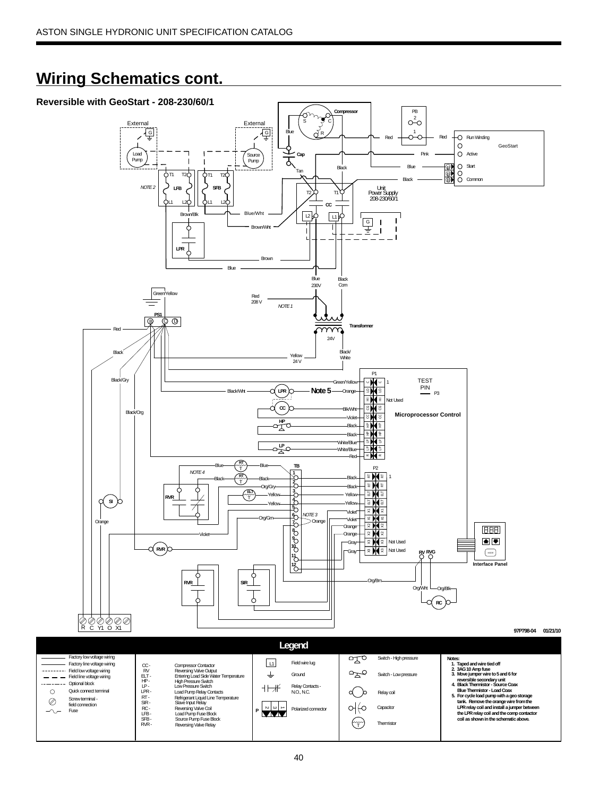# **Wiring Schematics cont.**

Quick connect terminal Screw terminal field connection<br>Firee

 $\circ$ 

 $\oslash$  $\sim$  Screwterminal - RTT - Refrigerant Liquid Line Temperature<br>16 SIR - Slave Input Relay<br>16 - Roversing Valve Coil<br>19 - Source Pump Fuse Block<br>19 - Source Pump Fuse Block<br>19 - Source Pump Fuse Block<br>19 - Roversing Valve Relay

LFB - SFB -



∾ | →

 $\mathcal{H} \rightarrow \mathcal{H}$ 

Relay Contacts - N.O., N.C.

Polarized connector **<sup>P</sup>** Capacitor

Relay coil

 **Blue Thermistor - Load Coax 5. For cycle load pump with a geo storage**

 **tank. Remove the orange wire from the LPR relay coil and install a jumper between the LPR relay coil and the comp contactor coil as shown in the schematic above.**

 $\begin{pmatrix} \uparrow \\ \uparrow \end{pmatrix}$  Thermisto

d b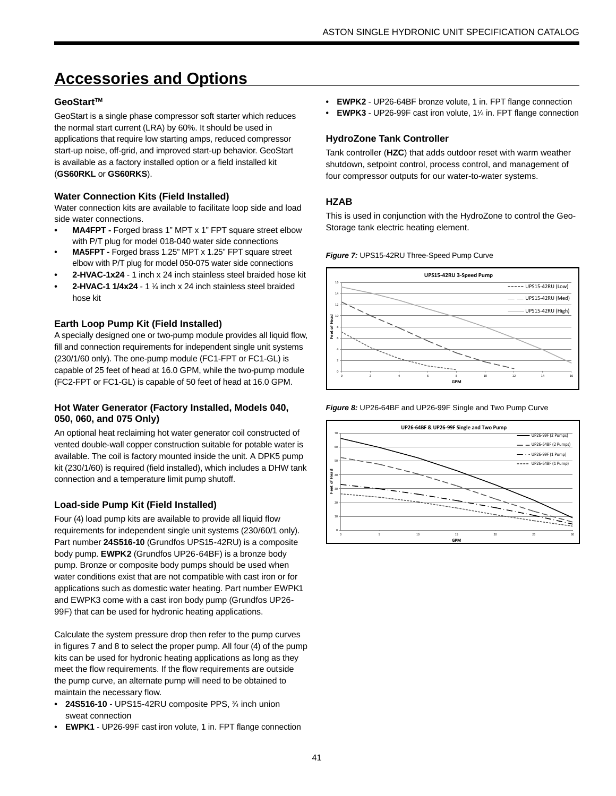# **Accessories and Options**

### GeoStart<sup>™</sup>

GeoStart is a single phase compressor soft starter which reduces the normal start current (LRA) by 60%. It should be used in applications that require low starting amps, reduced compressor start-up noise, off-grid, and improved start-up behavior. GeoStart is available as a factory installed option or a field installed kit (**GS60RKL** or **GS60RKS**).

### **Water Connection Kits (Field Installed)**

Water connection kits are available to facilitate loop side and load side water connections.

- **MA4FPT -** Forged brass 1" MPT x 1" FPT square street elbow with P/T plug for model 018-040 water side connections
- **MA5FPT -** Forged brass 1.25" MPT x 1.25" FPT square street elbow with P/T plug for model 050-075 water side connections
- **2-HVAC-1x24**  1 inch x 24 inch stainless steel braided hose kit
- **2-HVAC-1 1/4x24** 1 1/4 inch x 24 inch stainless steel braided hose kit

### **Earth Loop Pump Kit (Field Installed)**

A specially designed one or two-pump module provides all liquid flow, fill and connection requirements for independent single unit systems (230/1/60 only). The one-pump module (FC1-FPT or FC1-GL) is capable of 25 feet of head at 16.0 GPM, while the two-pump module (FC2-FPT or FC1-GL) is capable of 50 feet of head at 16.0 GPM.

### **Hot Water Generator (Factory Installed, Models 040, 050, 060, and 075 Only)**

An optional heat reclaiming hot water generator coil constructed of vented double-wall copper construction suitable for potable water is available. The coil is factory mounted inside the unit. A DPK5 pump kit (230/1/60) is required (field installed), which includes a DHW tank connection and a temperature limit pump shutoff.

### **Load-side Pump Kit (Field Installed)**

Four (4) load pump kits are available to provide all liquid flow requirements for independent single unit systems (230/60/1 only). Part number **24S516-10** (Grundfos UPS15-42RU) is a composite body pump. **EWPK2** (Grundfos UP26-64BF) is a bronze body pump. Bronze or composite body pumps should be used when water conditions exist that are not compatible with cast iron or for applications such as domestic water heating. Part number EWPK1 and EWPK3 come with a cast iron body pump (Grundfos UP26- 99F) that can be used for hydronic heating applications.

Calculate the system pressure drop then refer to the pump curves in figures 7 and 8 to select the proper pump. All four (4) of the pump kits can be used for hydronic heating applications as long as they meet the flow requirements. If the flow requirements are outside the pump curve, an alternate pump will need to be obtained to maintain the necessary flow.

- **24S516-10** UPS15-42RU composite PPS, 34 inch union sweat connection
- **EWPK1** UP26-99F cast iron volute, 1 in. FPT flange connection
- **EWPK2** UP26-64BF bronze volute, 1 in. FPT flange connection
- **EWPK3** UP26-99F cast iron volute, 11/<sub>4</sub> in. FPT flange connection

### **HydroZone Tank Controller**

Tank controller (**HZC**) that adds outdoor reset with warm weather shutdown, setpoint control, process control, and management of four compressor outputs for our water-to-water systems.

### **HZAB**

This is used in conjunction with the HydroZone to control the Geo-Storage tank electric heating element.

*Figure 7:* UPS15-42RU Three-Speed Pump Curve



*Figure 8:* UP26-64BF and UP26-99F Single and Two Pump Curve

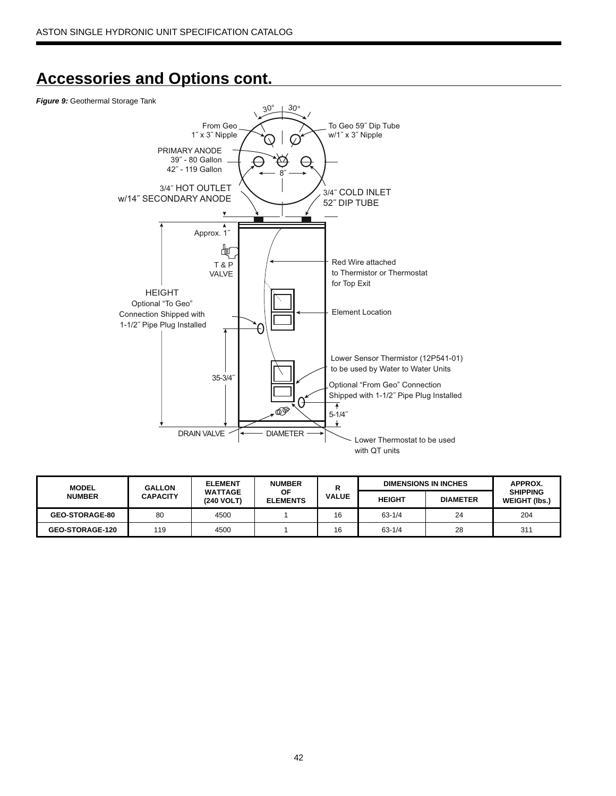# **Accessories and Options cont.**

#### *Figure 9:* Geothermal Storage Tank



| <b>MODEL</b>           | <b>GALLON</b>   | <b>ELEMENT</b>               | <b>NUMBER</b>                |              | <b>DIMENSIONS IN INCHES</b> | APPROX.         |                                         |
|------------------------|-----------------|------------------------------|------------------------------|--------------|-----------------------------|-----------------|-----------------------------------------|
| <b>NUMBER</b>          | <b>CAPACITY</b> | <b>WATTAGE</b><br>(240 VOLT) | <b>OF</b><br><b>ELEMENTS</b> | <b>VALUE</b> | <b>HEIGHT</b>               | <b>DIAMETER</b> | <b>SHIPPING</b><br><b>WEIGHT (Ibs.)</b> |
| <b>GEO-STORAGE-80</b>  | 80              | 4500                         |                              | 16           | $63 - 1/4$                  | 24              | 204                                     |
| <b>GEO-STORAGE-120</b> | 119             | 4500                         |                              | 16           | $63 - 1/4$                  | 28              | 311                                     |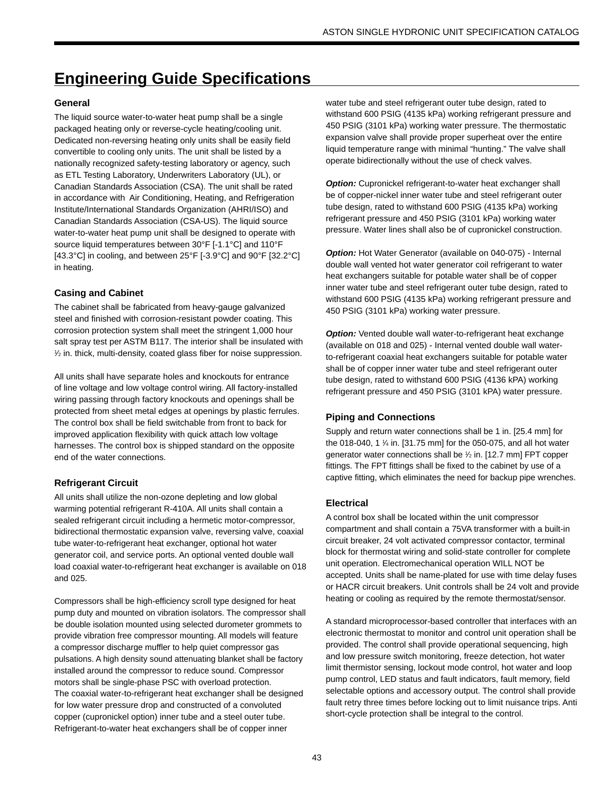# **Engineering Guide Specifications**

### **General**

The liquid source water-to-water heat pump shall be a single packaged heating only or reverse-cycle heating/cooling unit. Dedicated non-reversing heating only units shall be easily field convertible to cooling only units. The unit shall be listed by a nationally recognized safety-testing laboratory or agency, such as ETL Testing Laboratory, Underwriters Laboratory (UL), or Canadian Standards Association (CSA). The unit shall be rated in accordance with Air Conditioning, Heating, and Refrigeration Institute/International Standards Organization (AHRI/ISO) and Canadian Standards Association (CSA-US). The liquid source water-to-water heat pump unit shall be designed to operate with source liquid temperatures between 30°F [-1.1°C] and 110°F [43.3°C] in cooling, and between 25°F [-3.9°C] and 90°F [32.2°C] in heating.

### **Casing and Cabinet**

The cabinet shall be fabricated from heavy-gauge galvanized steel and finished with corrosion-resistant powder coating. This corrosion protection system shall meet the stringent 1,000 hour salt spray test per ASTM B117. The interior shall be insulated with 1 ⁄2 in. thick, multi-density, coated glass fiber for noise suppression.

All units shall have separate holes and knockouts for entrance of line voltage and low voltage control wiring. All factory-installed wiring passing through factory knockouts and openings shall be protected from sheet metal edges at openings by plastic ferrules. The control box shall be field switchable from front to back for improved application flexibility with quick attach low voltage harnesses. The control box is shipped standard on the opposite end of the water connections.

### **Refrigerant Circuit**

All units shall utilize the non-ozone depleting and low global warming potential refrigerant R-410A. All units shall contain a sealed refrigerant circuit including a hermetic motor-compressor, bidirectional thermostatic expansion valve, reversing valve, coaxial tube water-to-refrigerant heat exchanger, optional hot water generator coil, and service ports. An optional vented double wall load coaxial water-to-refrigerant heat exchanger is available on 018 and 025.

Compressors shall be high-efficiency scroll type designed for heat pump duty and mounted on vibration isolators. The compressor shall be double isolation mounted using selected durometer grommets to provide vibration free compressor mounting. All models will feature a compressor discharge muffler to help quiet compressor gas pulsations. A high density sound attenuating blanket shall be factory installed around the compressor to reduce sound. Compressor motors shall be single-phase PSC with overload protection. The coaxial water-to-refrigerant heat exchanger shall be designed for low water pressure drop and constructed of a convoluted copper (cupronickel option) inner tube and a steel outer tube. Refrigerant-to-water heat exchangers shall be of copper inner

water tube and steel refrigerant outer tube design, rated to withstand 600 PSIG (4135 kPa) working refrigerant pressure and 450 PSIG (3101 kPa) working water pressure. The thermostatic expansion valve shall provide proper superheat over the entire liquid temperature range with minimal "hunting." The valve shall operate bidirectionally without the use of check valves.

**Option:** Cupronickel refrigerant-to-water heat exchanger shall be of copper-nickel inner water tube and steel refrigerant outer tube design, rated to withstand 600 PSIG (4135 kPa) working refrigerant pressure and 450 PSIG (3101 kPa) working water pressure. Water lines shall also be of cupronickel construction.

*Option:* Hot Water Generator (available on 040-075) - Internal double wall vented hot water generator coil refrigerant to water heat exchangers suitable for potable water shall be of copper inner water tube and steel refrigerant outer tube design, rated to withstand 600 PSIG (4135 kPa) working refrigerant pressure and 450 PSIG (3101 kPa) working water pressure.

**Option:** Vented double wall water-to-refrigerant heat exchange (available on 018 and 025) - Internal vented double wall waterto-refrigerant coaxial heat exchangers suitable for potable water shall be of copper inner water tube and steel refrigerant outer tube design, rated to withstand 600 PSIG (4136 kPA) working refrigerant pressure and 450 PSIG (3101 kPA) water pressure.

### **Piping and Connections**

Supply and return water connections shall be 1 in. [25.4 mm] for the 018-040, 1 1 ⁄4 in. [31.75 mm] for the 050-075, and all hot water generator water connections shall be 1 ⁄2 in. [12.7 mm] FPT copper fittings. The FPT fittings shall be fixed to the cabinet by use of a captive fitting, which eliminates the need for backup pipe wrenches.

### **Electrical**

A control box shall be located within the unit compressor compartment and shall contain a 75VA transformer with a built-in circuit breaker, 24 volt activated compressor contactor, terminal block for thermostat wiring and solid-state controller for complete unit operation. Electromechanical operation WILL NOT be accepted. Units shall be name-plated for use with time delay fuses or HACR circuit breakers. Unit controls shall be 24 volt and provide heating or cooling as required by the remote thermostat/sensor.

A standard microprocessor-based controller that interfaces with an electronic thermostat to monitor and control unit operation shall be provided. The control shall provide operational sequencing, high and low pressure switch monitoring, freeze detection, hot water limit thermistor sensing, lockout mode control, hot water and loop pump control, LED status and fault indicators, fault memory, field selectable options and accessory output. The control shall provide fault retry three times before locking out to limit nuisance trips. Anti short-cycle protection shall be integral to the control.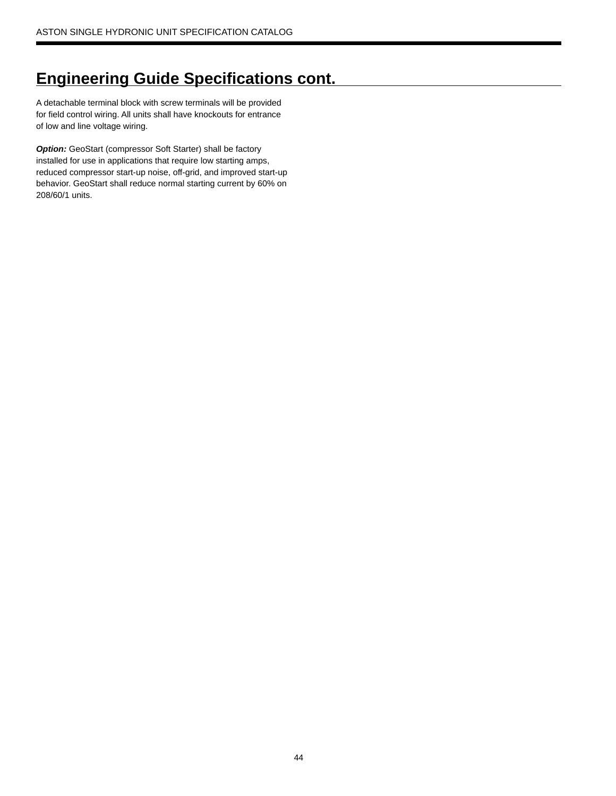# **Engineering Guide Specifications cont.**

A detachable terminal block with screw terminals will be provided for field control wiring. All units shall have knockouts for entrance of low and line voltage wiring.

**Option:** GeoStart (compressor Soft Starter) shall be factory installed for use in applications that require low starting amps, reduced compressor start-up noise, off-grid, and improved start-up behavior. GeoStart shall reduce normal starting current by 60% on 208/60/1 units.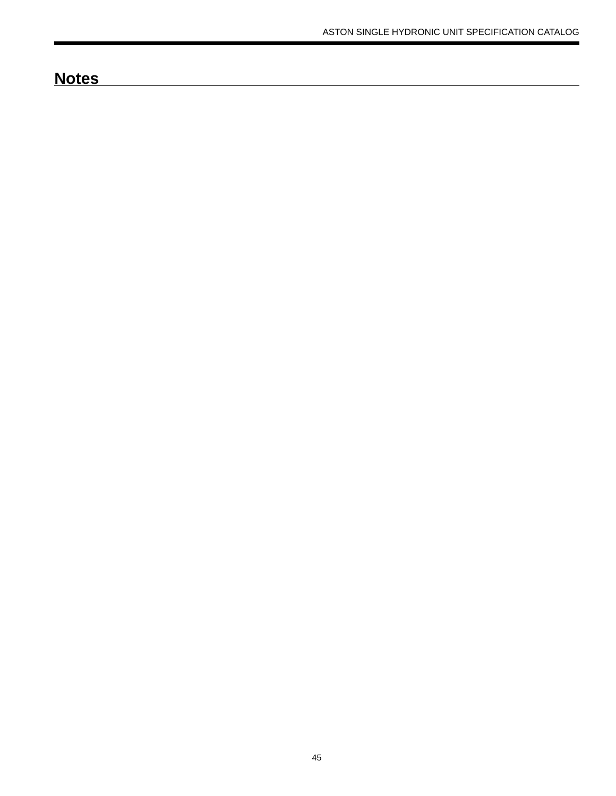# **Notes**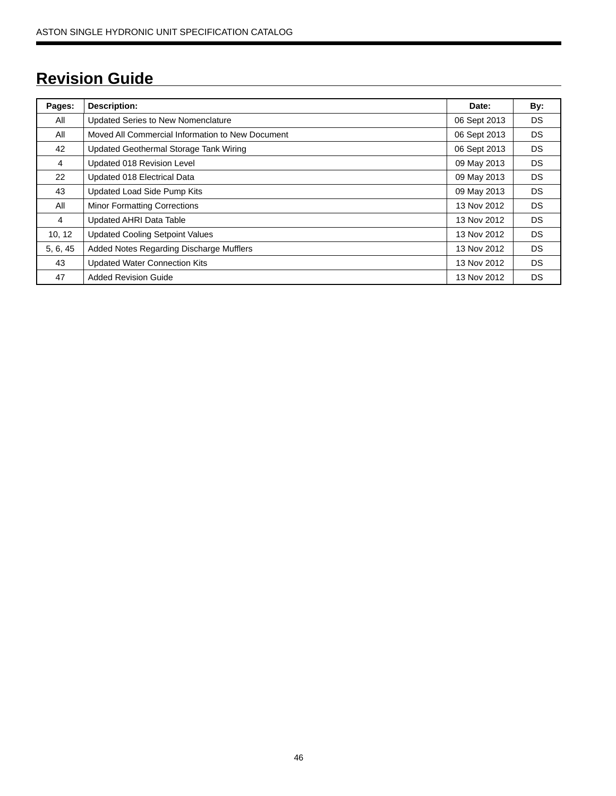# **Revision Guide**

| Pages:   | <b>Description:</b>                              | Date:        | By:       |
|----------|--------------------------------------------------|--------------|-----------|
| All      | <b>Updated Series to New Nomenclature</b>        | 06 Sept 2013 | DS.       |
| All      | Moved All Commercial Information to New Document | 06 Sept 2013 | DS.       |
| 42       | Updated Geothermal Storage Tank Wiring           | 06 Sept 2013 | DS.       |
| 4        | Updated 018 Revision Level                       | 09 May 2013  | DS.       |
| 22       | Updated 018 Electrical Data                      | 09 May 2013  | DS.       |
| 43       | Updated Load Side Pump Kits                      | 09 May 2013  | DS.       |
| All      | <b>Minor Formatting Corrections</b>              | 13 Nov 2012  | DS.       |
| 4        | <b>Updated AHRI Data Table</b>                   | 13 Nov 2012  | DS.       |
| 10, 12   | <b>Updated Cooling Setpoint Values</b>           | 13 Nov 2012  | DS.       |
| 5, 6, 45 | Added Notes Regarding Discharge Mufflers         | 13 Nov 2012  | DS.       |
| 43       | <b>Updated Water Connection Kits</b>             | 13 Nov 2012  | DS.       |
| 47       | <b>Added Revision Guide</b>                      | 13 Nov 2012  | <b>DS</b> |